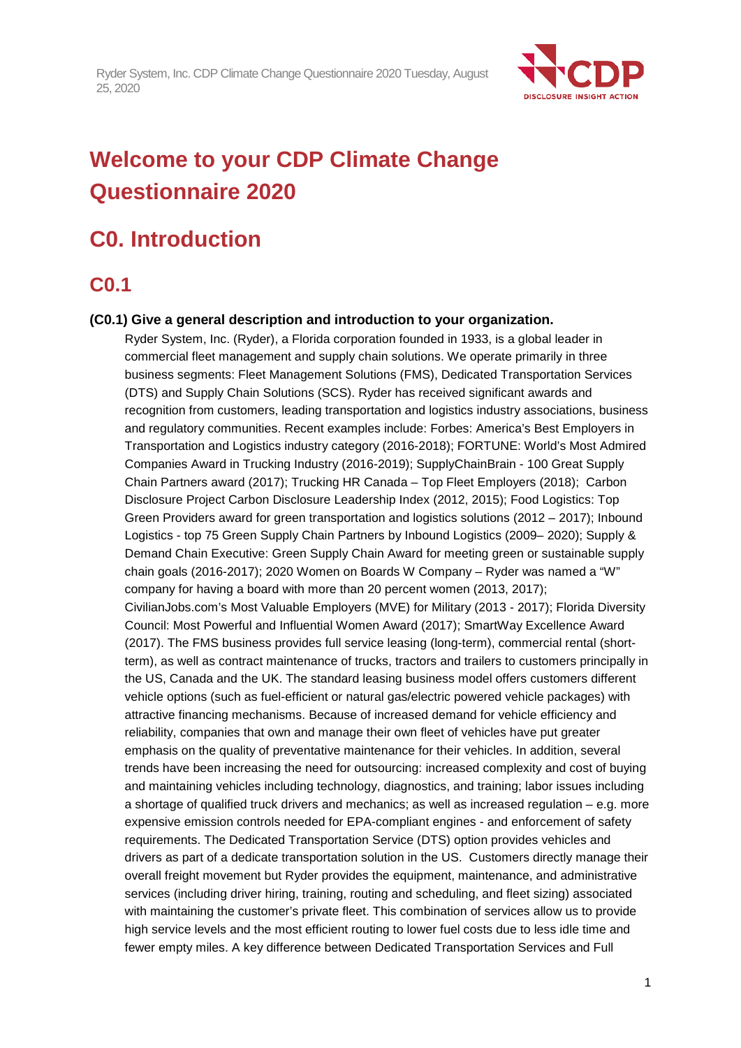

# **Welcome to your CDP Climate Change Questionnaire 2020**

# **C0. Introduction**

## **C0.1**

### **(C0.1) Give a general description and introduction to your organization.**

Ryder System, Inc. (Ryder), a Florida corporation founded in 1933, is a global leader in commercial fleet management and supply chain solutions. We operate primarily in three business segments: Fleet Management Solutions (FMS), Dedicated Transportation Services (DTS) and Supply Chain Solutions (SCS). Ryder has received significant awards and recognition from customers, leading transportation and logistics industry associations, business and regulatory communities. Recent examples include: Forbes: America's Best Employers in Transportation and Logistics industry category (2016-2018); FORTUNE: World's Most Admired Companies Award in Trucking Industry (2016-2019); SupplyChainBrain - 100 Great Supply Chain Partners award (2017); Trucking HR Canada – Top Fleet Employers (2018); Carbon Disclosure Project Carbon Disclosure Leadership Index (2012, 2015); Food Logistics: Top Green Providers award for green transportation and logistics solutions (2012 – 2017); Inbound Logistics - top 75 Green Supply Chain Partners by Inbound Logistics (2009– 2020); Supply & Demand Chain Executive: Green Supply Chain Award for meeting green or sustainable supply chain goals (2016-2017); 2020 Women on Boards W Company – Ryder was named a "W" company for having a board with more than 20 percent women (2013, 2017); CivilianJobs.com's Most Valuable Employers (MVE) for Military (2013 - 2017); Florida Diversity Council: Most Powerful and Influential Women Award (2017); SmartWay Excellence Award (2017). The FMS business provides full service leasing (long-term), commercial rental (shortterm), as well as contract maintenance of trucks, tractors and trailers to customers principally in the US, Canada and the UK. The standard leasing business model offers customers different vehicle options (such as fuel-efficient or natural gas/electric powered vehicle packages) with attractive financing mechanisms. Because of increased demand for vehicle efficiency and reliability, companies that own and manage their own fleet of vehicles have put greater emphasis on the quality of preventative maintenance for their vehicles. In addition, several trends have been increasing the need for outsourcing: increased complexity and cost of buying and maintaining vehicles including technology, diagnostics, and training; labor issues including a shortage of qualified truck drivers and mechanics; as well as increased regulation – e.g. more expensive emission controls needed for EPA-compliant engines - and enforcement of safety requirements. The Dedicated Transportation Service (DTS) option provides vehicles and drivers as part of a dedicate transportation solution in the US. Customers directly manage their overall freight movement but Ryder provides the equipment, maintenance, and administrative services (including driver hiring, training, routing and scheduling, and fleet sizing) associated with maintaining the customer's private fleet. This combination of services allow us to provide high service levels and the most efficient routing to lower fuel costs due to less idle time and fewer empty miles. A key difference between Dedicated Transportation Services and Full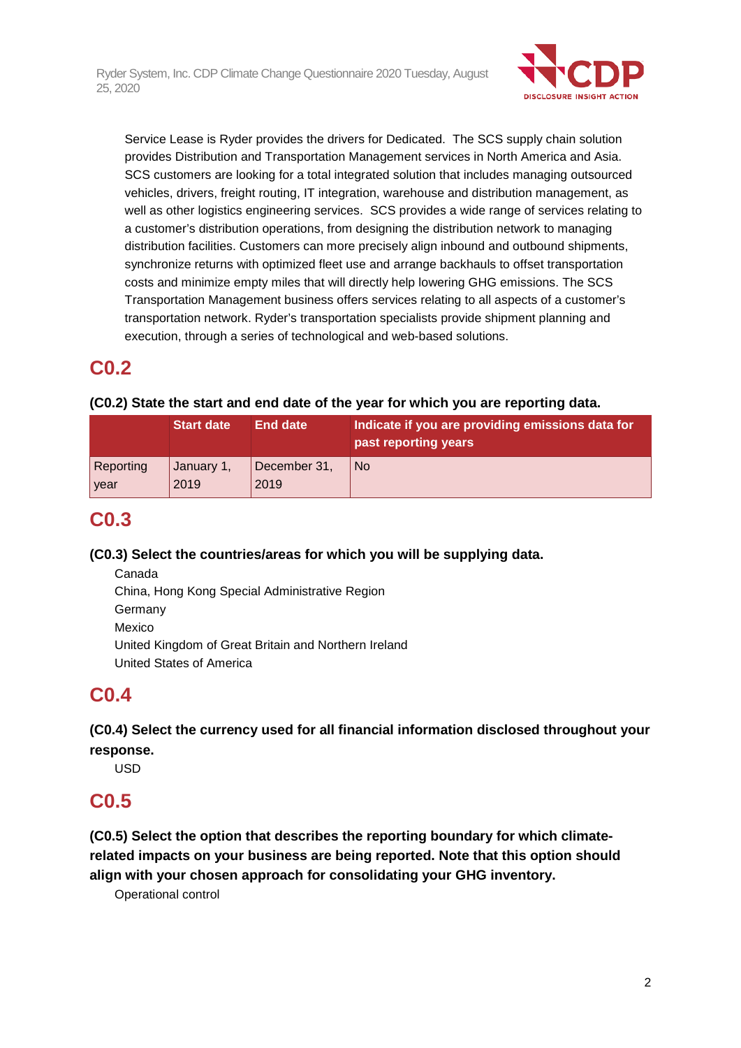

Service Lease is Ryder provides the drivers for Dedicated. The SCS supply chain solution provides Distribution and Transportation Management services in North America and Asia. SCS customers are looking for a total integrated solution that includes managing outsourced vehicles, drivers, freight routing, IT integration, warehouse and distribution management, as well as other logistics engineering services. SCS provides a wide range of services relating to a customer's distribution operations, from designing the distribution network to managing distribution facilities. Customers can more precisely align inbound and outbound shipments, synchronize returns with optimized fleet use and arrange backhauls to offset transportation costs and minimize empty miles that will directly help lowering GHG emissions. The SCS Transportation Management business offers services relating to all aspects of a customer's transportation network. Ryder's transportation specialists provide shipment planning and execution, through a series of technological and web-based solutions.

## **C0.2**

## **(C0.2) State the start and end date of the year for which you are reporting data.**

|                  | <b>Start date</b> | End date     | Indicate if you are providing emissions data for<br>past reporting years |
|------------------|-------------------|--------------|--------------------------------------------------------------------------|
| <b>Reporting</b> | January 1,        | December 31, | <b>No</b>                                                                |
| <b>vear</b>      | 2019              | 2019         |                                                                          |

## **C0.3**

## **(C0.3) Select the countries/areas for which you will be supplying data.**

Canada China, Hong Kong Special Administrative Region Germany Mexico United Kingdom of Great Britain and Northern Ireland United States of America

## **C0.4**

**(C0.4) Select the currency used for all financial information disclosed throughout your response.**

USD

## **C0.5**

**(C0.5) Select the option that describes the reporting boundary for which climaterelated impacts on your business are being reported. Note that this option should align with your chosen approach for consolidating your GHG inventory.**

Operational control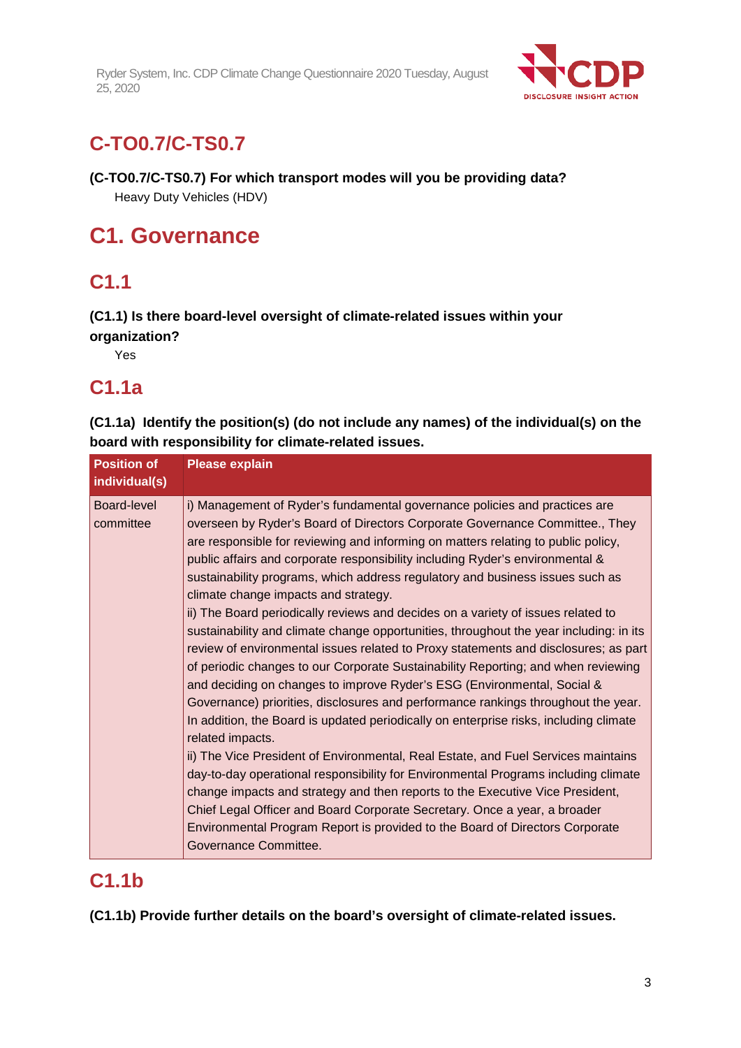

# **C-TO0.7/C-TS0.7**

## **(C-TO0.7/C-TS0.7) For which transport modes will you be providing data?**

Heavy Duty Vehicles (HDV)

# **C1. Governance**

# **C1.1**

**(C1.1) Is there board-level oversight of climate-related issues within your organization?**

Yes

# **C1.1a**

**(C1.1a) Identify the position(s) (do not include any names) of the individual(s) on the board with responsibility for climate-related issues.**

| <b>Position of</b><br>individual(s) | <b>Please explain</b>                                                                                                                                                                                                                                                                                                                                                                                                                                                                                                                                                                                                                                                                                                                                                                                                                                                                                                                                                                                                                                                                                                                                                                                                                                                                                                                                                                                                                                                                                                                              |
|-------------------------------------|----------------------------------------------------------------------------------------------------------------------------------------------------------------------------------------------------------------------------------------------------------------------------------------------------------------------------------------------------------------------------------------------------------------------------------------------------------------------------------------------------------------------------------------------------------------------------------------------------------------------------------------------------------------------------------------------------------------------------------------------------------------------------------------------------------------------------------------------------------------------------------------------------------------------------------------------------------------------------------------------------------------------------------------------------------------------------------------------------------------------------------------------------------------------------------------------------------------------------------------------------------------------------------------------------------------------------------------------------------------------------------------------------------------------------------------------------------------------------------------------------------------------------------------------------|
| <b>Board-level</b><br>committee     | i) Management of Ryder's fundamental governance policies and practices are<br>overseen by Ryder's Board of Directors Corporate Governance Committee., They<br>are responsible for reviewing and informing on matters relating to public policy,<br>public affairs and corporate responsibility including Ryder's environmental &<br>sustainability programs, which address regulatory and business issues such as<br>climate change impacts and strategy.<br>ii) The Board periodically reviews and decides on a variety of issues related to<br>sustainability and climate change opportunities, throughout the year including: in its<br>review of environmental issues related to Proxy statements and disclosures; as part<br>of periodic changes to our Corporate Sustainability Reporting; and when reviewing<br>and deciding on changes to improve Ryder's ESG (Environmental, Social &<br>Governance) priorities, disclosures and performance rankings throughout the year.<br>In addition, the Board is updated periodically on enterprise risks, including climate<br>related impacts.<br>ii) The Vice President of Environmental, Real Estate, and Fuel Services maintains<br>day-to-day operational responsibility for Environmental Programs including climate<br>change impacts and strategy and then reports to the Executive Vice President,<br>Chief Legal Officer and Board Corporate Secretary. Once a year, a broader<br>Environmental Program Report is provided to the Board of Directors Corporate<br>Governance Committee. |

## **C1.1b**

**(C1.1b) Provide further details on the board's oversight of climate-related issues.**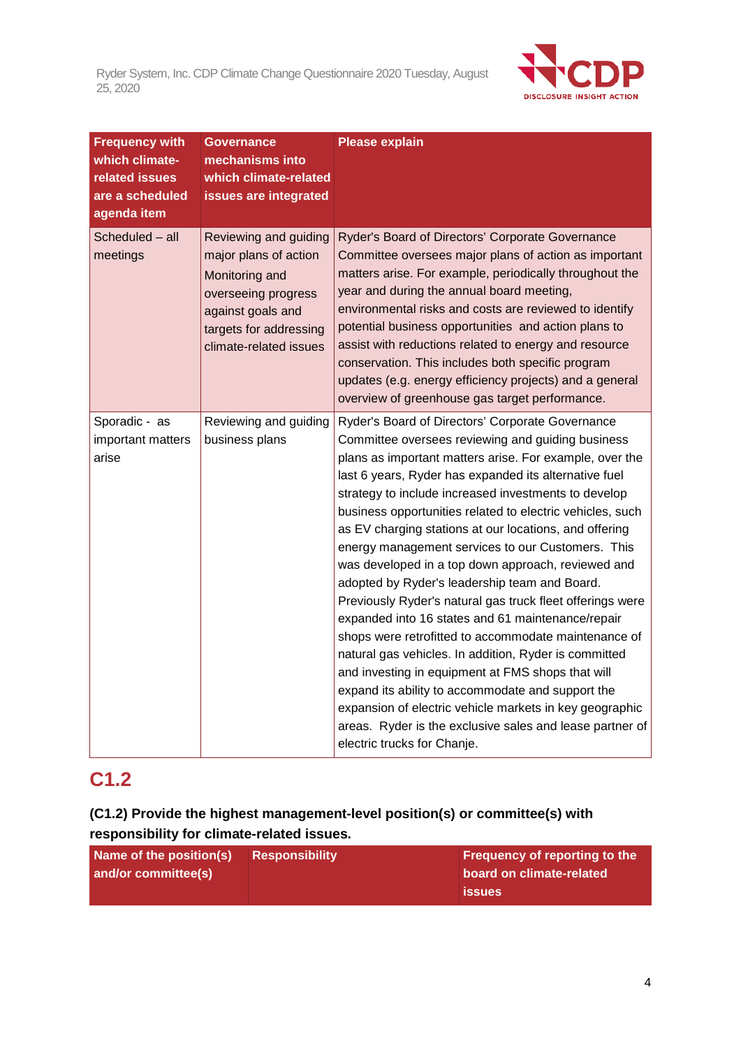

| <b>Frequency with</b><br>which climate-<br>related issues<br>are a scheduled<br>agenda item | <b>Governance</b><br>mechanisms into<br>which climate-related<br>issues are integrated                                                                           | <b>Please explain</b>                                                                                                                                                                                                                                                                                                                                                                                                                                                                                                                                                                                                                                                                                                                                                                                                                                                                                                                                                                                                                                                   |
|---------------------------------------------------------------------------------------------|------------------------------------------------------------------------------------------------------------------------------------------------------------------|-------------------------------------------------------------------------------------------------------------------------------------------------------------------------------------------------------------------------------------------------------------------------------------------------------------------------------------------------------------------------------------------------------------------------------------------------------------------------------------------------------------------------------------------------------------------------------------------------------------------------------------------------------------------------------------------------------------------------------------------------------------------------------------------------------------------------------------------------------------------------------------------------------------------------------------------------------------------------------------------------------------------------------------------------------------------------|
| Scheduled - all<br>meetings                                                                 | Reviewing and guiding<br>major plans of action<br>Monitoring and<br>overseeing progress<br>against goals and<br>targets for addressing<br>climate-related issues | Ryder's Board of Directors' Corporate Governance<br>Committee oversees major plans of action as important<br>matters arise. For example, periodically throughout the<br>year and during the annual board meeting,<br>environmental risks and costs are reviewed to identify<br>potential business opportunities and action plans to<br>assist with reductions related to energy and resource<br>conservation. This includes both specific program<br>updates (e.g. energy efficiency projects) and a general<br>overview of greenhouse gas target performance.                                                                                                                                                                                                                                                                                                                                                                                                                                                                                                          |
| Sporadic - as<br>important matters<br>arise                                                 | Reviewing and guiding<br>business plans                                                                                                                          | Ryder's Board of Directors' Corporate Governance<br>Committee oversees reviewing and guiding business<br>plans as important matters arise. For example, over the<br>last 6 years, Ryder has expanded its alternative fuel<br>strategy to include increased investments to develop<br>business opportunities related to electric vehicles, such<br>as EV charging stations at our locations, and offering<br>energy management services to our Customers. This<br>was developed in a top down approach, reviewed and<br>adopted by Ryder's leadership team and Board.<br>Previously Ryder's natural gas truck fleet offerings were<br>expanded into 16 states and 61 maintenance/repair<br>shops were retrofitted to accommodate maintenance of<br>natural gas vehicles. In addition, Ryder is committed<br>and investing in equipment at FMS shops that will<br>expand its ability to accommodate and support the<br>expansion of electric vehicle markets in key geographic<br>areas. Ryder is the exclusive sales and lease partner of<br>electric trucks for Chanje. |

# **C1.2**

## **(C1.2) Provide the highest management-level position(s) or committee(s) with responsibility for climate-related issues.**

| Name of the position(s) | Responsibility | <b>Frequency of reporting to the</b> |
|-------------------------|----------------|--------------------------------------|
| and/or committee(s)     |                | board on climate-related             |
|                         |                | <b>issues</b>                        |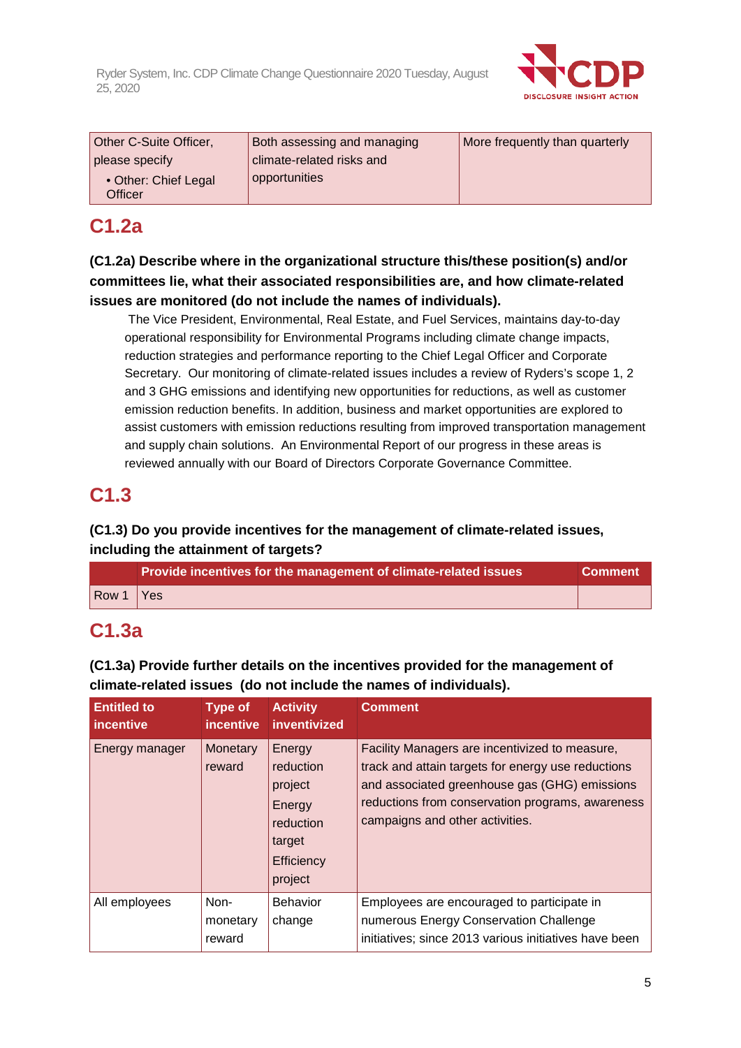

| Other C-Suite Officer,          | Both assessing and managing | More frequently than quarterly |
|---------------------------------|-----------------------------|--------------------------------|
| please specify                  | climate-related risks and   |                                |
| • Other: Chief Legal<br>Officer | opportunities               |                                |

## **C1.2a**

**(C1.2a) Describe where in the organizational structure this/these position(s) and/or committees lie, what their associated responsibilities are, and how climate-related issues are monitored (do not include the names of individuals).**

The Vice President, Environmental, Real Estate, and Fuel Services, maintains day-to-day operational responsibility for Environmental Programs including climate change impacts, reduction strategies and performance reporting to the Chief Legal Officer and Corporate Secretary. Our monitoring of climate-related issues includes a review of Ryders's scope 1, 2 and 3 GHG emissions and identifying new opportunities for reductions, as well as customer emission reduction benefits. In addition, business and market opportunities are explored to assist customers with emission reductions resulting from improved transportation management and supply chain solutions. An Environmental Report of our progress in these areas is reviewed annually with our Board of Directors Corporate Governance Committee.

## **C1.3**

**(C1.3) Do you provide incentives for the management of climate-related issues, including the attainment of targets?**

|       | Provide incentives for the management of climate-related issues | <b>Comment</b> |
|-------|-----------------------------------------------------------------|----------------|
| Row 1 | <b>Yes</b>                                                      |                |

## **C1.3a**

**climate-related issues (do not include the names of individuals). Entitled to incentive Type of Activity incentive inventivized Comment** Energy manager  $\vert$  Monetary Energy Facility Managers are incentivized to measure,

**(C1.3a) Provide further details on the incentives provided for the management of** 

| incentive      | <i>incentive</i>           | inventivized                                                                             |                                                                                                                                                                                                                                              |
|----------------|----------------------------|------------------------------------------------------------------------------------------|----------------------------------------------------------------------------------------------------------------------------------------------------------------------------------------------------------------------------------------------|
| Energy manager | Monetary<br>reward         | Energy<br>reduction<br>project<br>Energy<br>reduction<br>target<br>Efficiency<br>project | Facility Managers are incentivized to measure,<br>track and attain targets for energy use reductions<br>and associated greenhouse gas (GHG) emissions<br>reductions from conservation programs, awareness<br>campaigns and other activities. |
| All employees  | Non-<br>monetary<br>reward | Behavior<br>change                                                                       | Employees are encouraged to participate in<br>numerous Energy Conservation Challenge<br>initiatives; since 2013 various initiatives have been                                                                                                |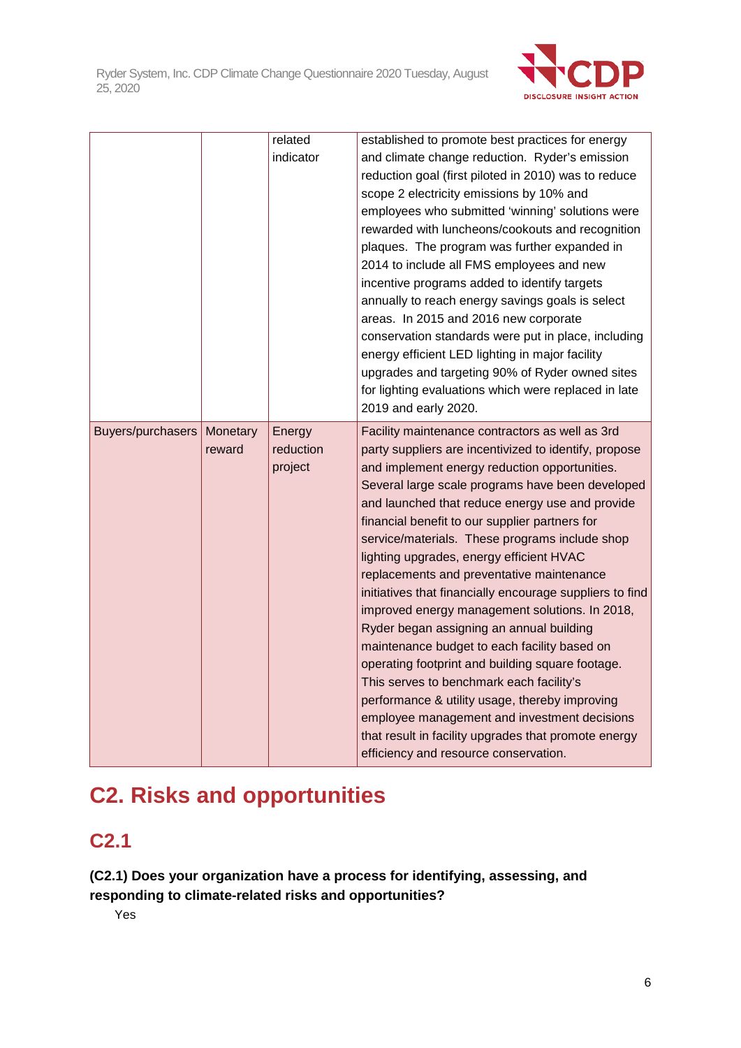

|                   |                    | related             | established to promote best practices for energy                                                         |
|-------------------|--------------------|---------------------|----------------------------------------------------------------------------------------------------------|
|                   |                    | indicator           | and climate change reduction. Ryder's emission                                                           |
|                   |                    |                     | reduction goal (first piloted in 2010) was to reduce                                                     |
|                   |                    |                     | scope 2 electricity emissions by 10% and                                                                 |
|                   |                    |                     | employees who submitted 'winning' solutions were                                                         |
|                   |                    |                     | rewarded with luncheons/cookouts and recognition                                                         |
|                   |                    |                     | plaques. The program was further expanded in                                                             |
|                   |                    |                     | 2014 to include all FMS employees and new                                                                |
|                   |                    |                     | incentive programs added to identify targets                                                             |
|                   |                    |                     | annually to reach energy savings goals is select                                                         |
|                   |                    |                     | areas. In 2015 and 2016 new corporate                                                                    |
|                   |                    |                     | conservation standards were put in place, including                                                      |
|                   |                    |                     | energy efficient LED lighting in major facility<br>upgrades and targeting 90% of Ryder owned sites       |
|                   |                    |                     | for lighting evaluations which were replaced in late                                                     |
|                   |                    |                     | 2019 and early 2020.                                                                                     |
|                   |                    |                     |                                                                                                          |
| Buyers/purchasers | Monetary<br>reward | Energy<br>reduction | Facility maintenance contractors as well as 3rd<br>party suppliers are incentivized to identify, propose |
|                   |                    | project             | and implement energy reduction opportunities.                                                            |
|                   |                    |                     | Several large scale programs have been developed                                                         |
|                   |                    |                     | and launched that reduce energy use and provide                                                          |
|                   |                    |                     | financial benefit to our supplier partners for                                                           |
|                   |                    |                     | service/materials. These programs include shop                                                           |
|                   |                    |                     | lighting upgrades, energy efficient HVAC                                                                 |
|                   |                    |                     | replacements and preventative maintenance                                                                |
|                   |                    |                     | initiatives that financially encourage suppliers to find                                                 |
|                   |                    |                     | improved energy management solutions. In 2018,                                                           |
|                   |                    |                     | Ryder began assigning an annual building                                                                 |
|                   |                    |                     | maintenance budget to each facility based on                                                             |
|                   |                    |                     |                                                                                                          |
|                   |                    |                     | operating footprint and building square footage.                                                         |
|                   |                    |                     | This serves to benchmark each facility's                                                                 |
|                   |                    |                     | performance & utility usage, thereby improving                                                           |
|                   |                    |                     | employee management and investment decisions                                                             |
|                   |                    |                     | that result in facility upgrades that promote energy<br>efficiency and resource conservation.            |

# **C2. Risks and opportunities**

# **C2.1**

**(C2.1) Does your organization have a process for identifying, assessing, and responding to climate-related risks and opportunities?**

Yes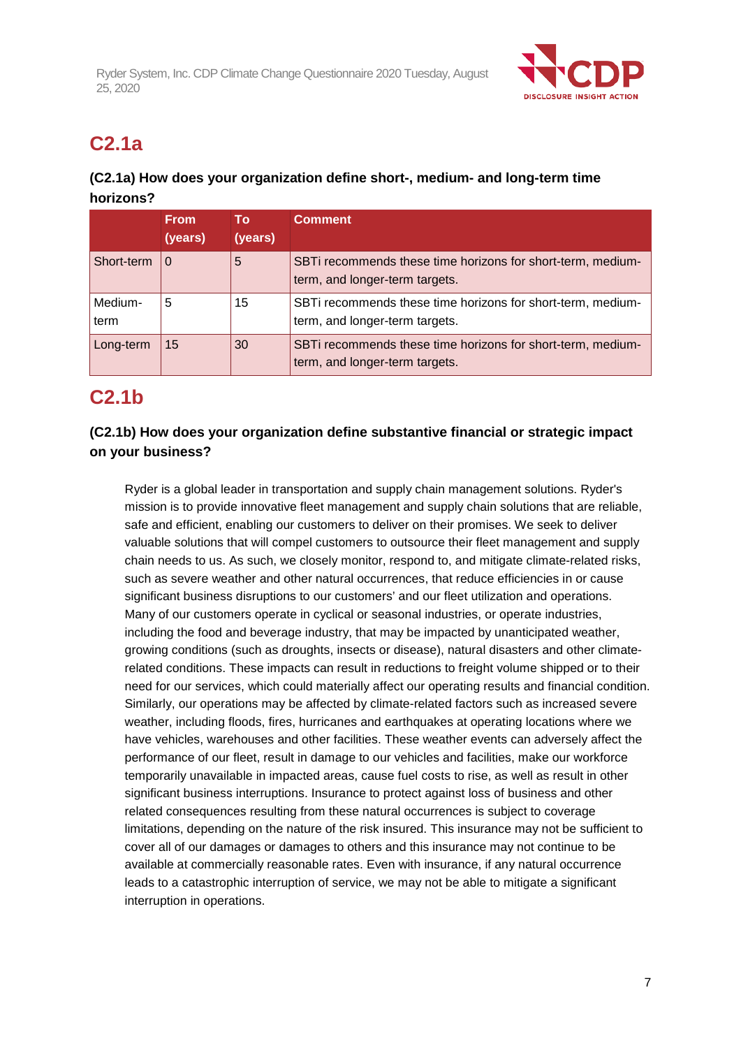

# **C2.1a**

## **(C2.1a) How does your organization define short-, medium- and long-term time horizons?**

|                 | <b>From</b><br>(years) | Τo<br>(years) | <b>Comment</b>                                                                                |
|-----------------|------------------------|---------------|-----------------------------------------------------------------------------------------------|
| Short-term      | $\Omega$               | 5             | SBTi recommends these time horizons for short-term, medium-<br>term, and longer-term targets. |
| Medium-<br>term | 5                      | 15            | SBTi recommends these time horizons for short-term, medium-<br>term, and longer-term targets. |
| Long-term       | 15                     | 30            | SBTi recommends these time horizons for short-term, medium-<br>term, and longer-term targets. |

## **C2.1b**

## **(C2.1b) How does your organization define substantive financial or strategic impact on your business?**

Ryder is a global leader in transportation and supply chain management solutions. Ryder's mission is to provide innovative fleet management and supply chain solutions that are reliable, safe and efficient, enabling our customers to deliver on their promises. We seek to deliver valuable solutions that will compel customers to outsource their fleet management and supply chain needs to us. As such, we closely monitor, respond to, and mitigate climate-related risks, such as severe weather and other natural occurrences, that reduce efficiencies in or cause significant business disruptions to our customers' and our fleet utilization and operations. Many of our customers operate in cyclical or seasonal industries, or operate industries, including the food and beverage industry, that may be impacted by unanticipated weather, growing conditions (such as droughts, insects or disease), natural disasters and other climaterelated conditions. These impacts can result in reductions to freight volume shipped or to their need for our services, which could materially affect our operating results and financial condition. Similarly, our operations may be affected by climate-related factors such as increased severe weather, including floods, fires, hurricanes and earthquakes at operating locations where we have vehicles, warehouses and other facilities. These weather events can adversely affect the performance of our fleet, result in damage to our vehicles and facilities, make our workforce temporarily unavailable in impacted areas, cause fuel costs to rise, as well as result in other significant business interruptions. Insurance to protect against loss of business and other related consequences resulting from these natural occurrences is subject to coverage limitations, depending on the nature of the risk insured. This insurance may not be sufficient to cover all of our damages or damages to others and this insurance may not continue to be available at commercially reasonable rates. Even with insurance, if any natural occurrence leads to a catastrophic interruption of service, we may not be able to mitigate a significant interruption in operations.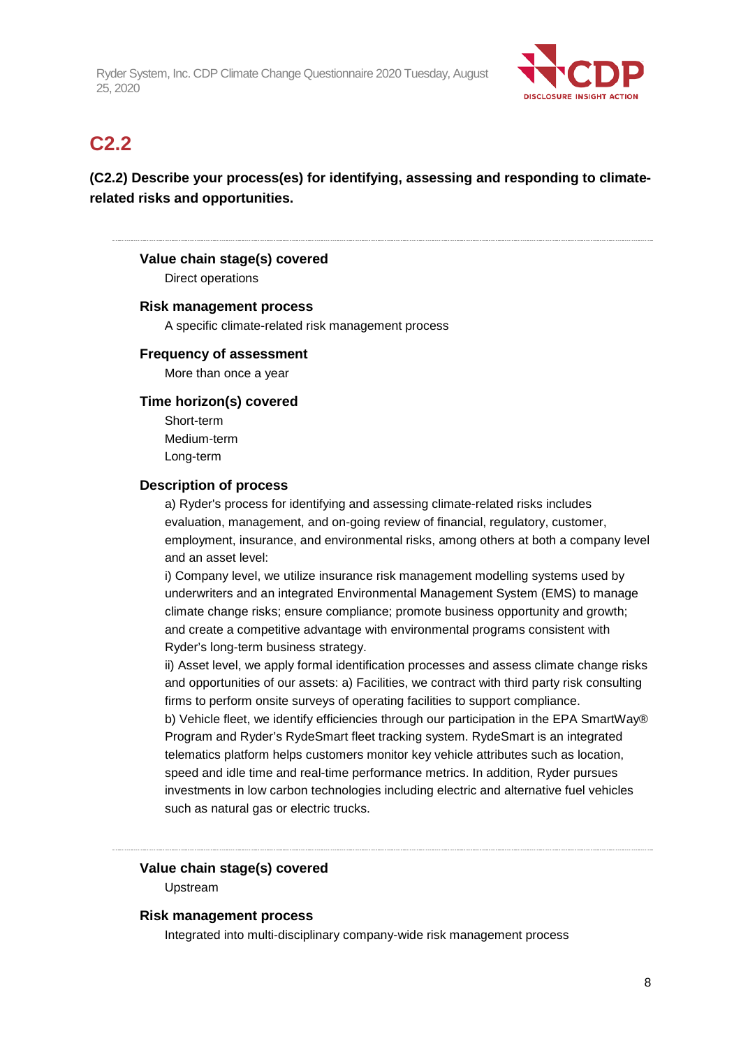

## **C2.2**

## **(C2.2) Describe your process(es) for identifying, assessing and responding to climaterelated risks and opportunities.**

## **Value chain stage(s) covered**

Direct operations

#### **Risk management process**

A specific climate-related risk management process

#### **Frequency of assessment**

More than once a year

#### **Time horizon(s) covered**

Short-term Medium-term Long-term

#### **Description of process**

a) Ryder's process for identifying and assessing climate-related risks includes evaluation, management, and on-going review of financial, regulatory, customer, employment, insurance, and environmental risks, among others at both a company level and an asset level:

i) Company level, we utilize insurance risk management modelling systems used by underwriters and an integrated Environmental Management System (EMS) to manage climate change risks; ensure compliance; promote business opportunity and growth; and create a competitive advantage with environmental programs consistent with Ryder's long-term business strategy.

ii) Asset level, we apply formal identification processes and assess climate change risks and opportunities of our assets: a) Facilities, we contract with third party risk consulting firms to perform onsite surveys of operating facilities to support compliance.

b) Vehicle fleet, we identify efficiencies through our participation in the EPA SmartWay® Program and Ryder's RydeSmart fleet tracking system. RydeSmart is an integrated telematics platform helps customers monitor key vehicle attributes such as location, speed and idle time and real-time performance metrics. In addition, Ryder pursues investments in low carbon technologies including electric and alternative fuel vehicles such as natural gas or electric trucks.

### **Value chain stage(s) covered**

Upstream

#### **Risk management process**

Integrated into multi-disciplinary company-wide risk management process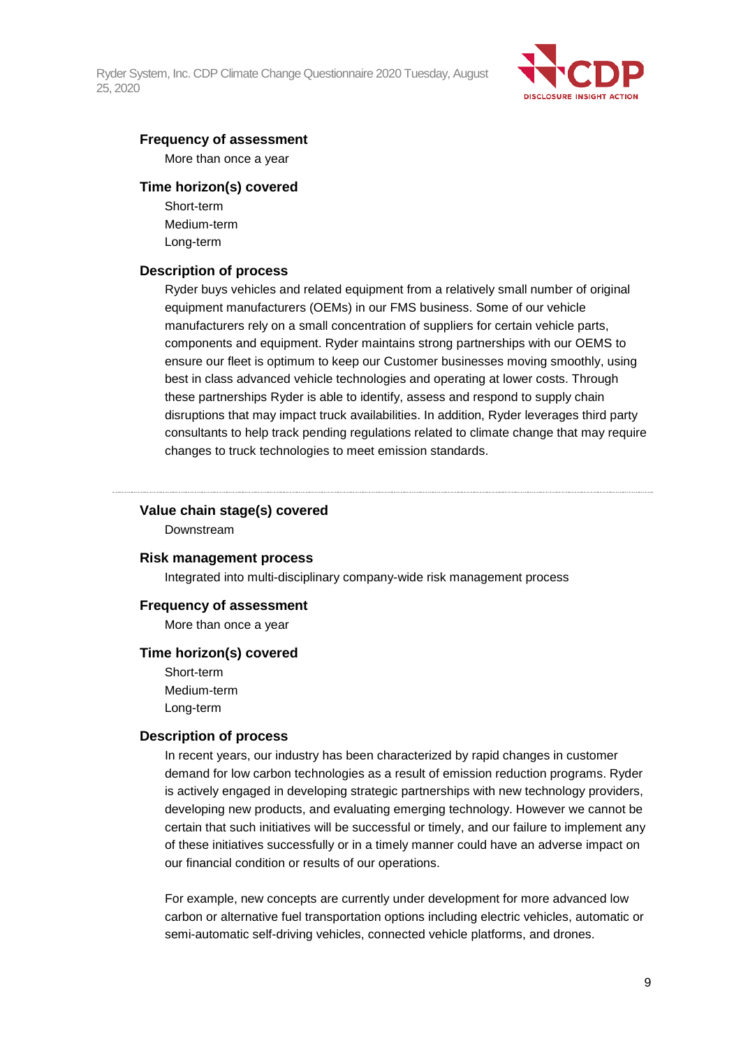

#### **Frequency of assessment**

More than once a year

#### **Time horizon(s) covered**

Short-term Medium-term Long-term

#### **Description of process**

Ryder buys vehicles and related equipment from a relatively small number of original equipment manufacturers (OEMs) in our FMS business. Some of our vehicle manufacturers rely on a small concentration of suppliers for certain vehicle parts, components and equipment. Ryder maintains strong partnerships with our OEMS to ensure our fleet is optimum to keep our Customer businesses moving smoothly, using best in class advanced vehicle technologies and operating at lower costs. Through these partnerships Ryder is able to identify, assess and respond to supply chain disruptions that may impact truck availabilities. In addition, Ryder leverages third party consultants to help track pending regulations related to climate change that may require changes to truck technologies to meet emission standards.

#### **Value chain stage(s) covered**

Downstream

#### **Risk management process**

Integrated into multi-disciplinary company-wide risk management process

#### **Frequency of assessment**

More than once a year

#### **Time horizon(s) covered**

Short-term Medium-term Long-term

#### **Description of process**

In recent years, our industry has been characterized by rapid changes in customer demand for low carbon technologies as a result of emission reduction programs. Ryder is actively engaged in developing strategic partnerships with new technology providers, developing new products, and evaluating emerging technology. However we cannot be certain that such initiatives will be successful or timely, and our failure to implement any of these initiatives successfully or in a timely manner could have an adverse impact on our financial condition or results of our operations.

For example, new concepts are currently under development for more advanced low carbon or alternative fuel transportation options including electric vehicles, automatic or semi-automatic self-driving vehicles, connected vehicle platforms, and drones.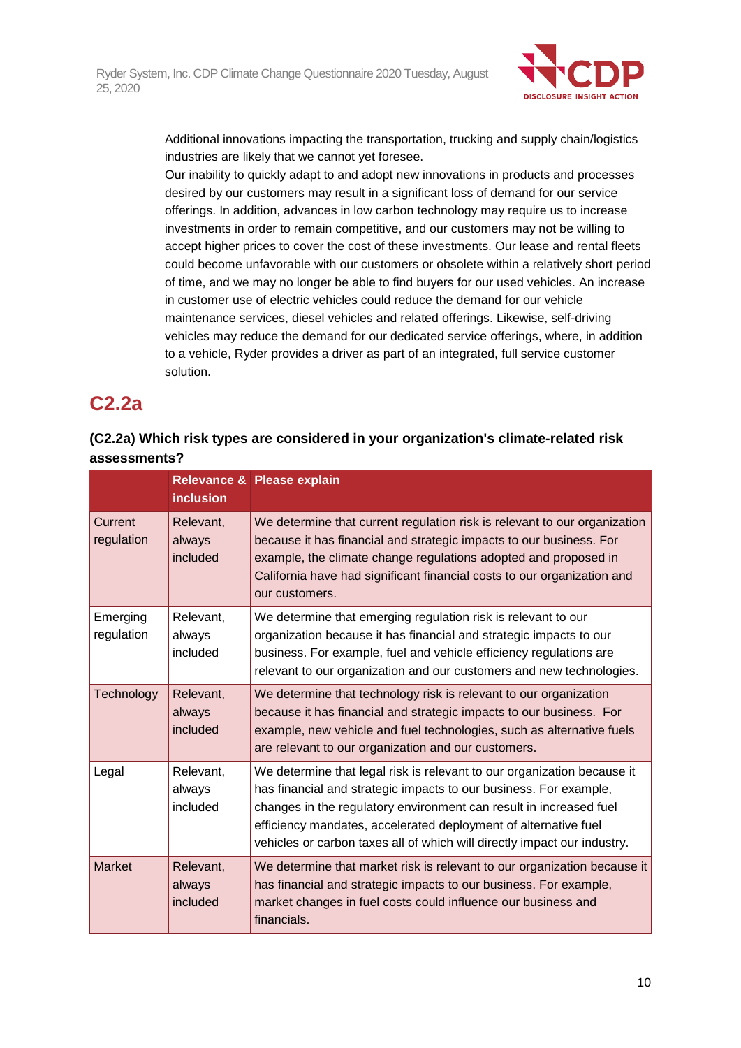

Additional innovations impacting the transportation, trucking and supply chain/logistics industries are likely that we cannot yet foresee.

Our inability to quickly adapt to and adopt new innovations in products and processes desired by our customers may result in a significant loss of demand for our service offerings. In addition, advances in low carbon technology may require us to increase investments in order to remain competitive, and our customers may not be willing to accept higher prices to cover the cost of these investments. Our lease and rental fleets could become unfavorable with our customers or obsolete within a relatively short period of time, and we may no longer be able to find buyers for our used vehicles. An increase in customer use of electric vehicles could reduce the demand for our vehicle maintenance services, diesel vehicles and related offerings. Likewise, self-driving vehicles may reduce the demand for our dedicated service offerings, where, in addition to a vehicle, Ryder provides a driver as part of an integrated, full service customer solution.

## **C2.2a**

## **(C2.2a) Which risk types are considered in your organization's climate-related risk assessments?**

|                        | <i>inclusion</i>                | Relevance & Please explain                                                                                                                                                                                                                                                                                                                                        |
|------------------------|---------------------------------|-------------------------------------------------------------------------------------------------------------------------------------------------------------------------------------------------------------------------------------------------------------------------------------------------------------------------------------------------------------------|
| Current<br>regulation  | Relevant,<br>always<br>included | We determine that current regulation risk is relevant to our organization<br>because it has financial and strategic impacts to our business. For<br>example, the climate change regulations adopted and proposed in<br>California have had significant financial costs to our organization and<br>our customers.                                                  |
| Emerging<br>regulation | Relevant.<br>always<br>included | We determine that emerging regulation risk is relevant to our<br>organization because it has financial and strategic impacts to our<br>business. For example, fuel and vehicle efficiency regulations are<br>relevant to our organization and our customers and new technologies.                                                                                 |
| Technology             | Relevant,<br>always<br>included | We determine that technology risk is relevant to our organization<br>because it has financial and strategic impacts to our business. For<br>example, new vehicle and fuel technologies, such as alternative fuels<br>are relevant to our organization and our customers.                                                                                          |
| Legal                  | Relevant,<br>always<br>included | We determine that legal risk is relevant to our organization because it<br>has financial and strategic impacts to our business. For example,<br>changes in the regulatory environment can result in increased fuel<br>efficiency mandates, accelerated deployment of alternative fuel<br>vehicles or carbon taxes all of which will directly impact our industry. |
| <b>Market</b>          | Relevant,<br>always<br>included | We determine that market risk is relevant to our organization because it<br>has financial and strategic impacts to our business. For example,<br>market changes in fuel costs could influence our business and<br>financials.                                                                                                                                     |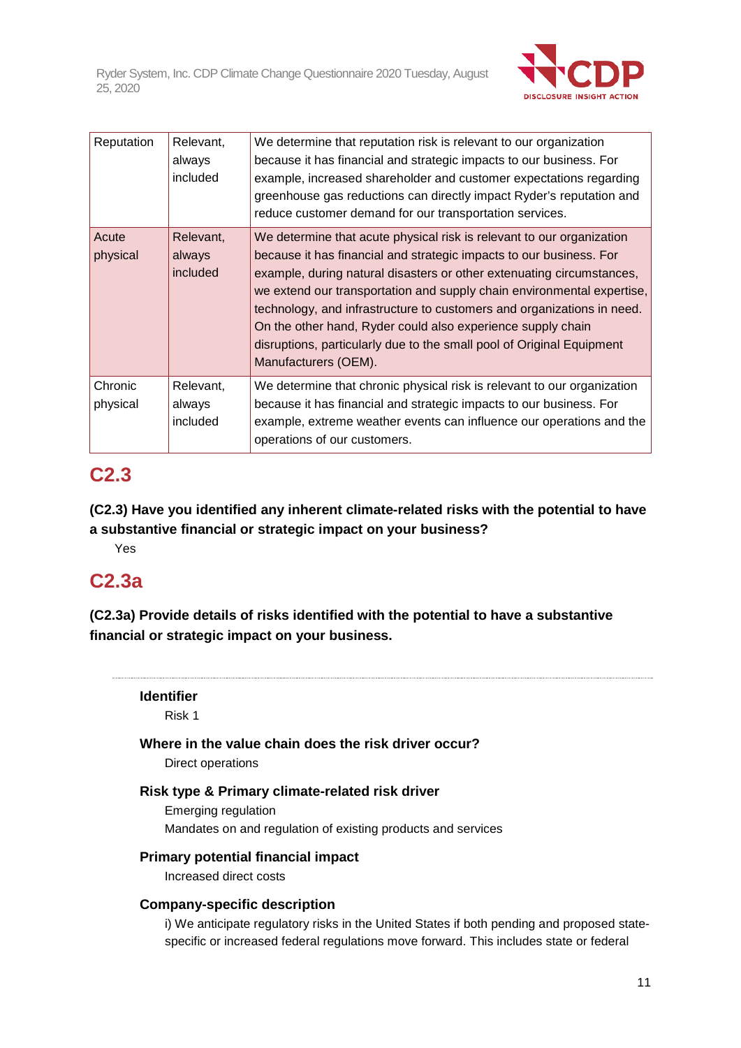

| Reputation          | Relevant,<br>always<br>included | We determine that reputation risk is relevant to our organization<br>because it has financial and strategic impacts to our business. For<br>example, increased shareholder and customer expectations regarding<br>greenhouse gas reductions can directly impact Ryder's reputation and<br>reduce customer demand for our transportation services.                                                                                                                                                                                         |
|---------------------|---------------------------------|-------------------------------------------------------------------------------------------------------------------------------------------------------------------------------------------------------------------------------------------------------------------------------------------------------------------------------------------------------------------------------------------------------------------------------------------------------------------------------------------------------------------------------------------|
| Acute<br>physical   | Relevant,<br>always<br>included | We determine that acute physical risk is relevant to our organization<br>because it has financial and strategic impacts to our business. For<br>example, during natural disasters or other extenuating circumstances,<br>we extend our transportation and supply chain environmental expertise,<br>technology, and infrastructure to customers and organizations in need.<br>On the other hand, Ryder could also experience supply chain<br>disruptions, particularly due to the small pool of Original Equipment<br>Manufacturers (OEM). |
| Chronic<br>physical | Relevant,<br>always<br>included | We determine that chronic physical risk is relevant to our organization<br>because it has financial and strategic impacts to our business. For<br>example, extreme weather events can influence our operations and the<br>operations of our customers.                                                                                                                                                                                                                                                                                    |

## **C2.3**

**(C2.3) Have you identified any inherent climate-related risks with the potential to have a substantive financial or strategic impact on your business?**

Yes

## **C2.3a**

**(C2.3a) Provide details of risks identified with the potential to have a substantive financial or strategic impact on your business.**



i) We anticipate regulatory risks in the United States if both pending and proposed statespecific or increased federal regulations move forward. This includes state or federal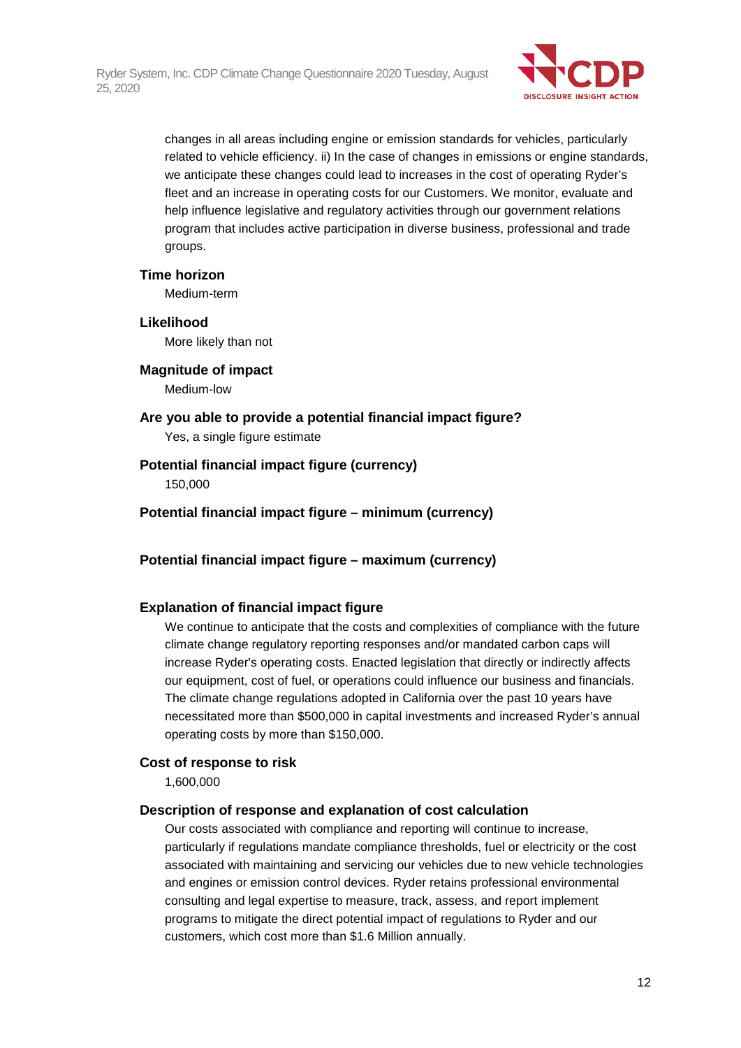

changes in all areas including engine or emission standards for vehicles, particularly related to vehicle efficiency. ii) In the case of changes in emissions or engine standards, we anticipate these changes could lead to increases in the cost of operating Ryder's fleet and an increase in operating costs for our Customers. We monitor, evaluate and help influence legislative and regulatory activities through our government relations program that includes active participation in diverse business, professional and trade groups.

#### **Time horizon**

Medium-term

#### **Likelihood**

More likely than not

#### **Magnitude of impact**

Medium-low

## **Are you able to provide a potential financial impact figure?**

Yes, a single figure estimate

### **Potential financial impact figure (currency)**

150,000

**Potential financial impact figure – minimum (currency)**

### **Potential financial impact figure – maximum (currency)**

### **Explanation of financial impact figure**

We continue to anticipate that the costs and complexities of compliance with the future climate change regulatory reporting responses and/or mandated carbon caps will increase Ryder's operating costs. Enacted legislation that directly or indirectly affects our equipment, cost of fuel, or operations could influence our business and financials. The climate change regulations adopted in California over the past 10 years have necessitated more than \$500,000 in capital investments and increased Ryder's annual operating costs by more than \$150,000.

### **Cost of response to risk**

1,600,000

#### **Description of response and explanation of cost calculation**

Our costs associated with compliance and reporting will continue to increase, particularly if regulations mandate compliance thresholds, fuel or electricity or the cost associated with maintaining and servicing our vehicles due to new vehicle technologies and engines or emission control devices. Ryder retains professional environmental consulting and legal expertise to measure, track, assess, and report implement programs to mitigate the direct potential impact of regulations to Ryder and our customers, which cost more than \$1.6 Million annually.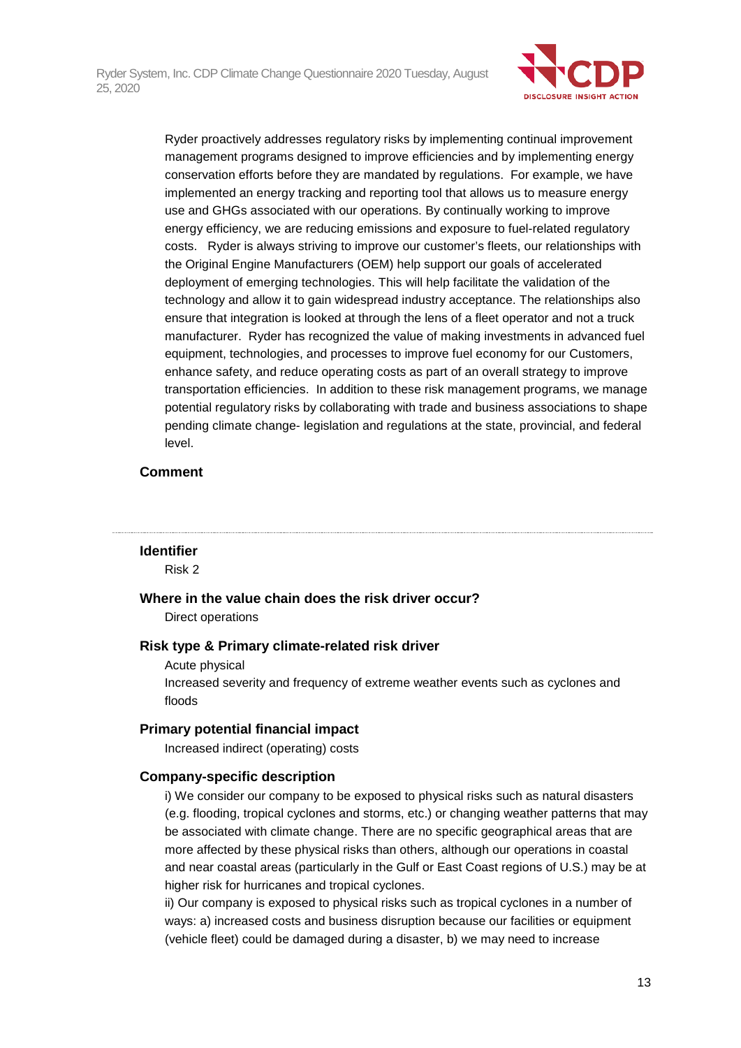

Ryder proactively addresses regulatory risks by implementing continual improvement management programs designed to improve efficiencies and by implementing energy conservation efforts before they are mandated by regulations. For example, we have implemented an energy tracking and reporting tool that allows us to measure energy use and GHGs associated with our operations. By continually working to improve energy efficiency, we are reducing emissions and exposure to fuel-related regulatory costs. Ryder is always striving to improve our customer's fleets, our relationships with the Original Engine Manufacturers (OEM) help support our goals of accelerated deployment of emerging technologies. This will help facilitate the validation of the technology and allow it to gain widespread industry acceptance. The relationships also ensure that integration is looked at through the lens of a fleet operator and not a truck manufacturer. Ryder has recognized the value of making investments in advanced fuel equipment, technologies, and processes to improve fuel economy for our Customers, enhance safety, and reduce operating costs as part of an overall strategy to improve transportation efficiencies. In addition to these risk management programs, we manage potential regulatory risks by collaborating with trade and business associations to shape pending climate change- legislation and regulations at the state, provincial, and federal level.

### **Comment**

#### **Identifier**

Risk 2

**Where in the value chain does the risk driver occur?**

Direct operations

#### **Risk type & Primary climate-related risk driver**

Acute physical

Increased severity and frequency of extreme weather events such as cyclones and floods

#### **Primary potential financial impact**

Increased indirect (operating) costs

#### **Company-specific description**

i) We consider our company to be exposed to physical risks such as natural disasters (e.g. flooding, tropical cyclones and storms, etc.) or changing weather patterns that may be associated with climate change. There are no specific geographical areas that are more affected by these physical risks than others, although our operations in coastal and near coastal areas (particularly in the Gulf or East Coast regions of U.S.) may be at higher risk for hurricanes and tropical cyclones.

ii) Our company is exposed to physical risks such as tropical cyclones in a number of ways: a) increased costs and business disruption because our facilities or equipment (vehicle fleet) could be damaged during a disaster, b) we may need to increase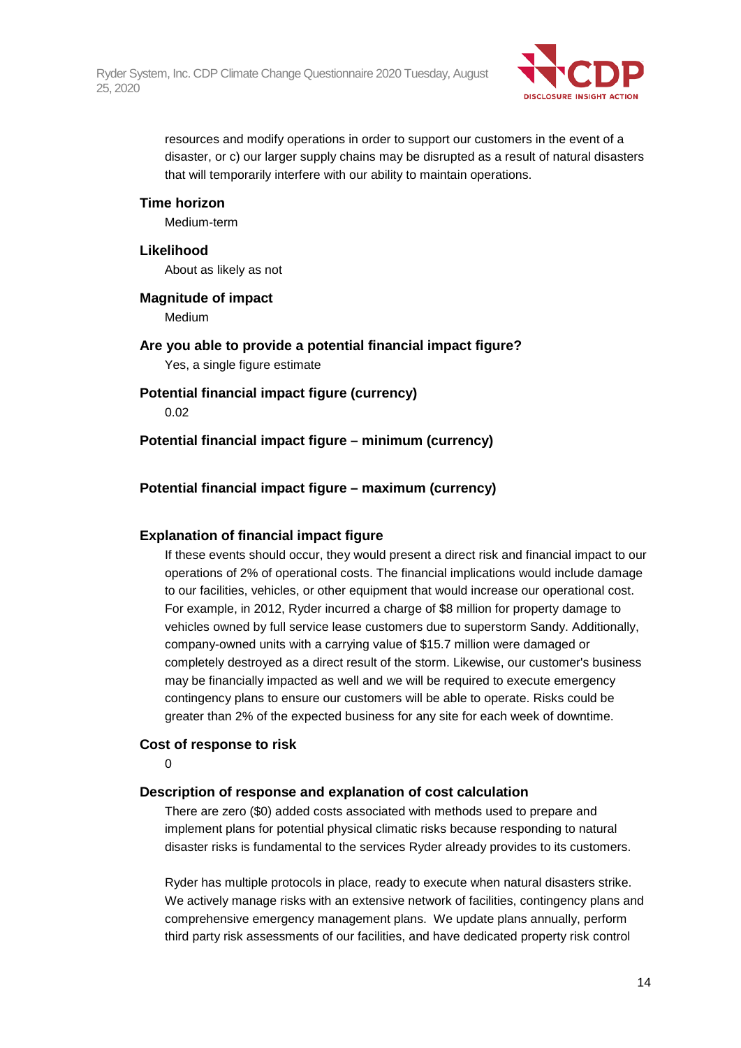

resources and modify operations in order to support our customers in the event of a disaster, or c) our larger supply chains may be disrupted as a result of natural disasters that will temporarily interfere with our ability to maintain operations.

#### **Time horizon**

Medium-term

#### **Likelihood**

About as likely as not

**Magnitude of impact** Medium **Are you able to provide a potential financial impact figure?**

Yes, a single figure estimate

**Potential financial impact figure (currency)**

0.02

**Potential financial impact figure – minimum (currency)**

### **Potential financial impact figure – maximum (currency)**

### **Explanation of financial impact figure**

If these events should occur, they would present a direct risk and financial impact to our operations of 2% of operational costs. The financial implications would include damage to our facilities, vehicles, or other equipment that would increase our operational cost. For example, in 2012, Ryder incurred a charge of \$8 million for property damage to vehicles owned by full service lease customers due to superstorm Sandy. Additionally, company-owned units with a carrying value of \$15.7 million were damaged or completely destroyed as a direct result of the storm. Likewise, our customer's business may be financially impacted as well and we will be required to execute emergency contingency plans to ensure our customers will be able to operate. Risks could be greater than 2% of the expected business for any site for each week of downtime.

#### **Cost of response to risk**

 $\Omega$ 

#### **Description of response and explanation of cost calculation**

There are zero (\$0) added costs associated with methods used to prepare and implement plans for potential physical climatic risks because responding to natural disaster risks is fundamental to the services Ryder already provides to its customers.

Ryder has multiple protocols in place, ready to execute when natural disasters strike. We actively manage risks with an extensive network of facilities, contingency plans and comprehensive emergency management plans. We update plans annually, perform third party risk assessments of our facilities, and have dedicated property risk control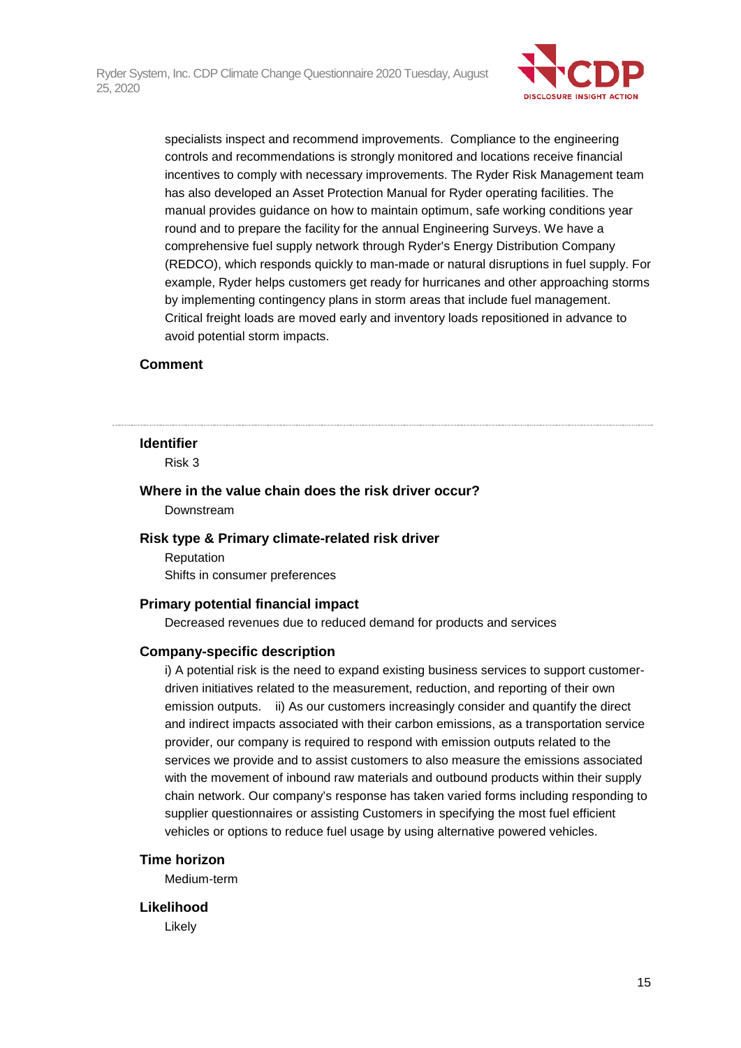

specialists inspect and recommend improvements. Compliance to the engineering controls and recommendations is strongly monitored and locations receive financial incentives to comply with necessary improvements. The Ryder Risk Management team has also developed an Asset Protection Manual for Ryder operating facilities. The manual provides guidance on how to maintain optimum, safe working conditions year round and to prepare the facility for the annual Engineering Surveys. We have a comprehensive fuel supply network through Ryder's Energy Distribution Company (REDCO), which responds quickly to man-made or natural disruptions in fuel supply. For example, Ryder helps customers get ready for hurricanes and other approaching storms by implementing contingency plans in storm areas that include fuel management. Critical freight loads are moved early and inventory loads repositioned in advance to avoid potential storm impacts.

#### **Comment**

#### **Identifier**

Risk 3

### **Where in the value chain does the risk driver occur?** Downstream

### **Risk type & Primary climate-related risk driver**

Reputation Shifts in consumer preferences

#### **Primary potential financial impact**

Decreased revenues due to reduced demand for products and services

#### **Company-specific description**

i) A potential risk is the need to expand existing business services to support customerdriven initiatives related to the measurement, reduction, and reporting of their own emission outputs. ii) As our customers increasingly consider and quantify the direct and indirect impacts associated with their carbon emissions, as a transportation service provider, our company is required to respond with emission outputs related to the services we provide and to assist customers to also measure the emissions associated with the movement of inbound raw materials and outbound products within their supply chain network. Our company's response has taken varied forms including responding to supplier questionnaires or assisting Customers in specifying the most fuel efficient vehicles or options to reduce fuel usage by using alternative powered vehicles.

#### **Time horizon**

Medium-term

#### **Likelihood**

Likely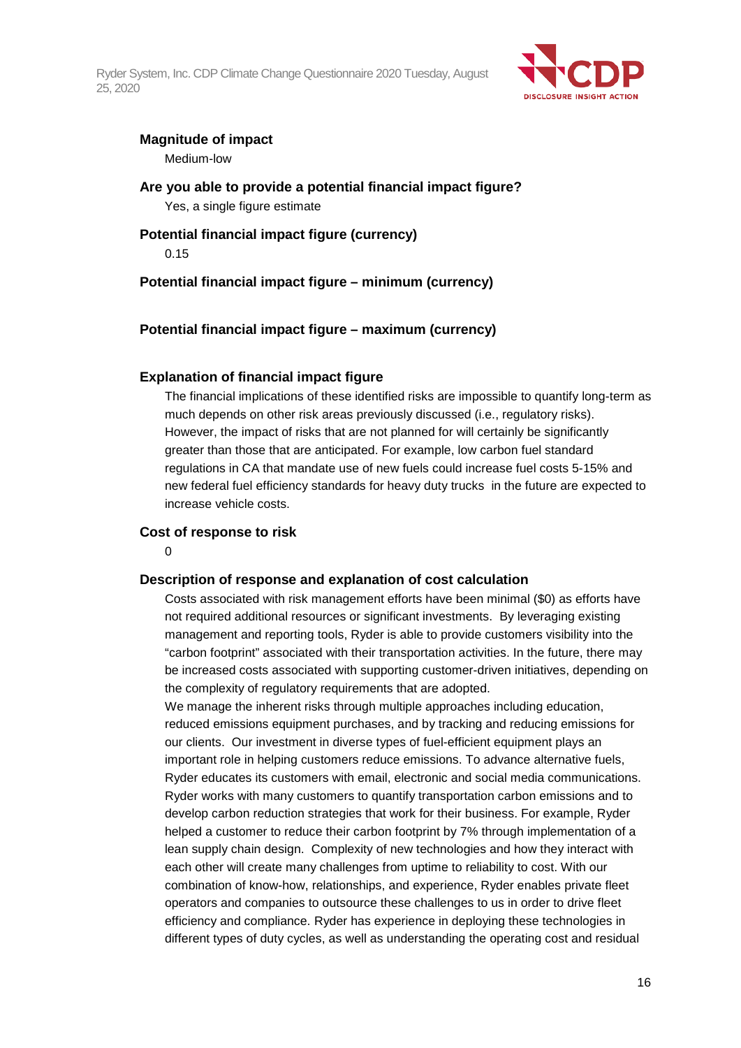

## **Magnitude of impact**

Medium-low

**Are you able to provide a potential financial impact figure?** Yes, a single figure estimate

## **Potential financial impact figure (currency)** 0.15

**Potential financial impact figure – minimum (currency)**

## **Potential financial impact figure – maximum (currency)**

## **Explanation of financial impact figure**

The financial implications of these identified risks are impossible to quantify long-term as much depends on other risk areas previously discussed (i.e., regulatory risks). However, the impact of risks that are not planned for will certainly be significantly greater than those that are anticipated. For example, low carbon fuel standard regulations in CA that mandate use of new fuels could increase fuel costs 5-15% and new federal fuel efficiency standards for heavy duty trucks in the future are expected to increase vehicle costs.

### **Cost of response to risk**

 $\Omega$ 

### **Description of response and explanation of cost calculation**

Costs associated with risk management efforts have been minimal (\$0) as efforts have not required additional resources or significant investments. By leveraging existing management and reporting tools, Ryder is able to provide customers visibility into the "carbon footprint" associated with their transportation activities. In the future, there may be increased costs associated with supporting customer-driven initiatives, depending on the complexity of regulatory requirements that are adopted.

We manage the inherent risks through multiple approaches including education, reduced emissions equipment purchases, and by tracking and reducing emissions for our clients. Our investment in diverse types of fuel-efficient equipment plays an important role in helping customers reduce emissions. To advance alternative fuels, Ryder educates its customers with email, electronic and social media communications. Ryder works with many customers to quantify transportation carbon emissions and to develop carbon reduction strategies that work for their business. For example, Ryder helped a customer to reduce their carbon footprint by 7% through implementation of a lean supply chain design. Complexity of new technologies and how they interact with each other will create many challenges from uptime to reliability to cost. With our combination of know-how, relationships, and experience, Ryder enables private fleet operators and companies to outsource these challenges to us in order to drive fleet efficiency and compliance. Ryder has experience in deploying these technologies in different types of duty cycles, as well as understanding the operating cost and residual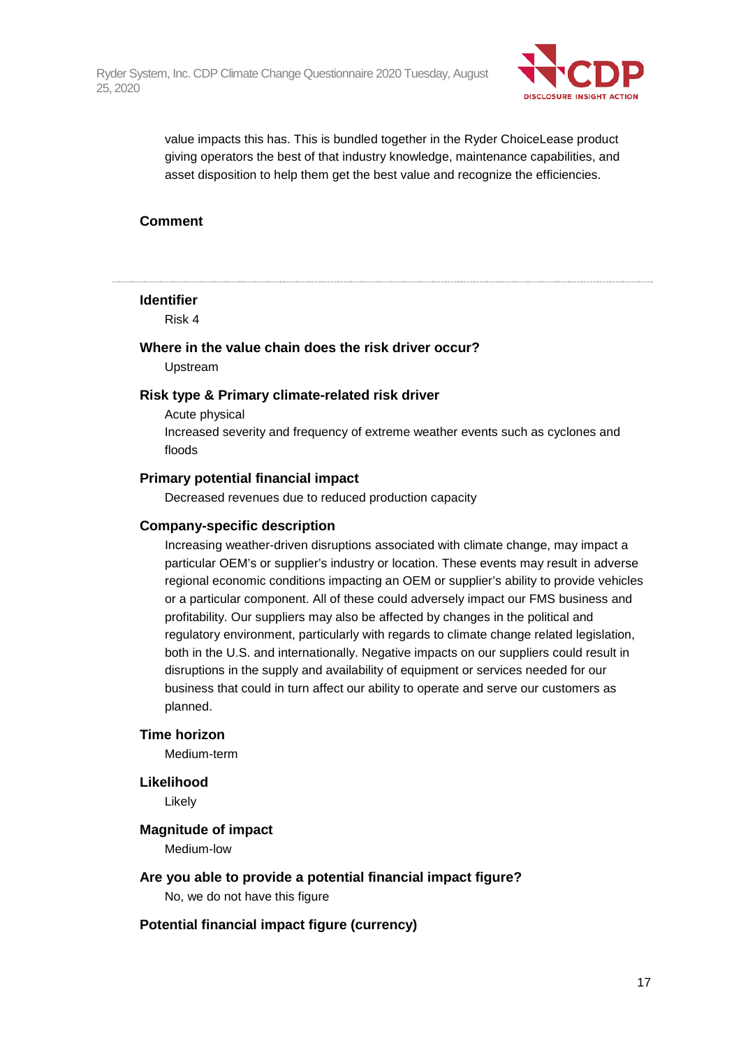

value impacts this has. This is bundled together in the Ryder ChoiceLease product giving operators the best of that industry knowledge, maintenance capabilities, and asset disposition to help them get the best value and recognize the efficiencies.

### **Comment**

#### **Identifier**

Risk 4

### **Where in the value chain does the risk driver occur?**

Upstream

#### **Risk type & Primary climate-related risk driver**

Acute physical Increased severity and frequency of extreme weather events such as cyclones and floods

#### **Primary potential financial impact**

Decreased revenues due to reduced production capacity

#### **Company-specific description**

Increasing weather-driven disruptions associated with climate change, may impact a particular OEM's or supplier's industry or location. These events may result in adverse regional economic conditions impacting an OEM or supplier's ability to provide vehicles or a particular component. All of these could adversely impact our FMS business and profitability. Our suppliers may also be affected by changes in the political and regulatory environment, particularly with regards to climate change related legislation, both in the U.S. and internationally. Negative impacts on our suppliers could result in disruptions in the supply and availability of equipment or services needed for our business that could in turn affect our ability to operate and serve our customers as planned.

#### **Time horizon**

Medium-term

#### **Likelihood**

Likely

#### **Magnitude of impact**

Medium-low

#### **Are you able to provide a potential financial impact figure?**

No, we do not have this figure

#### **Potential financial impact figure (currency)**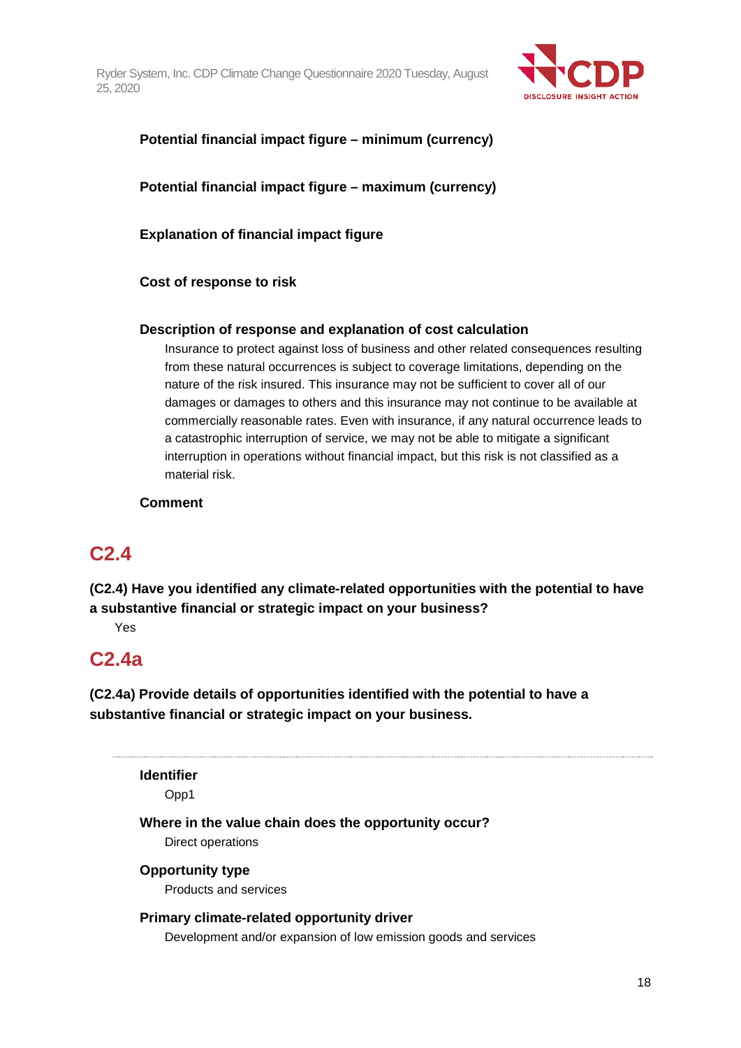

## **Potential financial impact figure – minimum (currency)**

**Potential financial impact figure – maximum (currency)**

**Explanation of financial impact figure**

**Cost of response to risk**

#### **Description of response and explanation of cost calculation**

Insurance to protect against loss of business and other related consequences resulting from these natural occurrences is subject to coverage limitations, depending on the nature of the risk insured. This insurance may not be sufficient to cover all of our damages or damages to others and this insurance may not continue to be available at commercially reasonable rates. Even with insurance, if any natural occurrence leads to a catastrophic interruption of service, we may not be able to mitigate a significant interruption in operations without financial impact, but this risk is not classified as a material risk.

#### **Comment**

## **C2.4**

**(C2.4) Have you identified any climate-related opportunities with the potential to have a substantive financial or strategic impact on your business?**

Yes

## **C2.4a**

**(C2.4a) Provide details of opportunities identified with the potential to have a substantive financial or strategic impact on your business.**

**Identifier**

Opp1

**Where in the value chain does the opportunity occur?**

Direct operations

**Opportunity type** Products and services

## **Primary climate-related opportunity driver** Development and/or expansion of low emission goods and services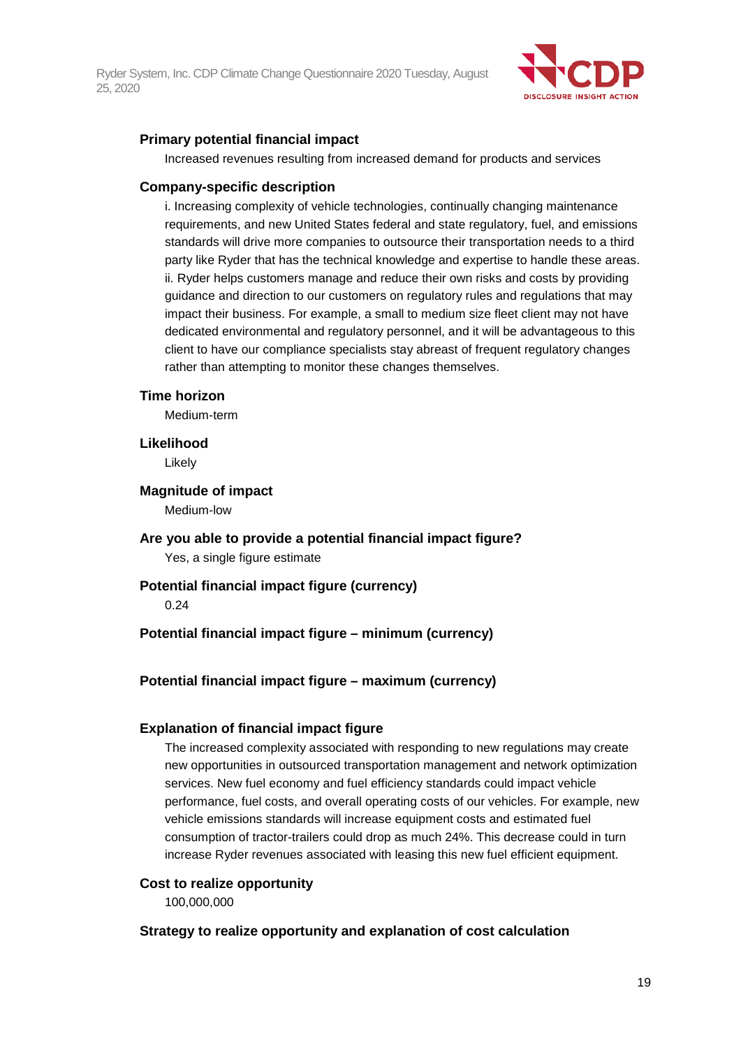

### **Primary potential financial impact**

Increased revenues resulting from increased demand for products and services

#### **Company-specific description**

i. Increasing complexity of vehicle technologies, continually changing maintenance requirements, and new United States federal and state regulatory, fuel, and emissions standards will drive more companies to outsource their transportation needs to a third party like Ryder that has the technical knowledge and expertise to handle these areas. ii. Ryder helps customers manage and reduce their own risks and costs by providing guidance and direction to our customers on regulatory rules and regulations that may impact their business. For example, a small to medium size fleet client may not have dedicated environmental and regulatory personnel, and it will be advantageous to this client to have our compliance specialists stay abreast of frequent regulatory changes rather than attempting to monitor these changes themselves.

#### **Time horizon**

Medium-term

#### **Likelihood**

Likely

#### **Magnitude of impact**

Medium-low

# **Are you able to provide a potential financial impact figure?**

Yes, a single figure estimate

### **Potential financial impact figure (currency)**

0.24

### **Potential financial impact figure – minimum (currency)**

## **Potential financial impact figure – maximum (currency)**

### **Explanation of financial impact figure**

The increased complexity associated with responding to new regulations may create new opportunities in outsourced transportation management and network optimization services. New fuel economy and fuel efficiency standards could impact vehicle performance, fuel costs, and overall operating costs of our vehicles. For example, new vehicle emissions standards will increase equipment costs and estimated fuel consumption of tractor-trailers could drop as much 24%. This decrease could in turn increase Ryder revenues associated with leasing this new fuel efficient equipment.

#### **Cost to realize opportunity**

100,000,000

### **Strategy to realize opportunity and explanation of cost calculation**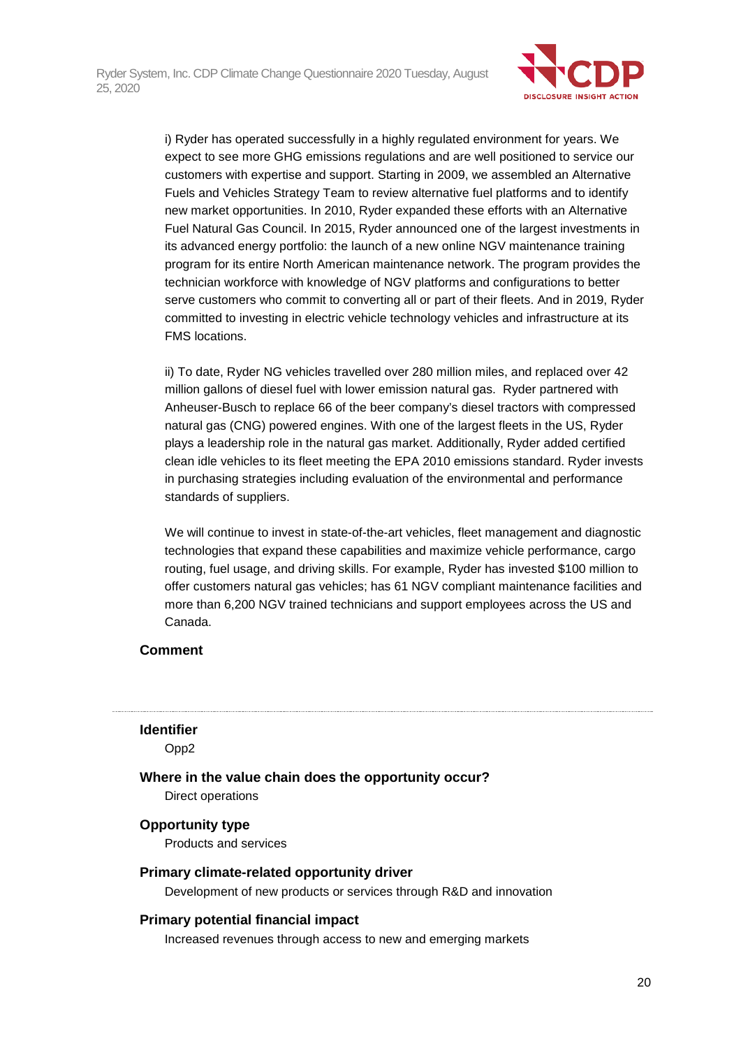

i) Ryder has operated successfully in a highly regulated environment for years. We expect to see more GHG emissions regulations and are well positioned to service our customers with expertise and support. Starting in 2009, we assembled an Alternative Fuels and Vehicles Strategy Team to review alternative fuel platforms and to identify new market opportunities. In 2010, Ryder expanded these efforts with an Alternative Fuel Natural Gas Council. In 2015, Ryder announced one of the largest investments in its advanced energy portfolio: the launch of a new online NGV maintenance training program for its entire North American maintenance network. The program provides the technician workforce with knowledge of NGV platforms and configurations to better serve customers who commit to converting all or part of their fleets. And in 2019, Ryder committed to investing in electric vehicle technology vehicles and infrastructure at its FMS locations.

ii) To date, Ryder NG vehicles travelled over 280 million miles, and replaced over 42 million gallons of diesel fuel with lower emission natural gas. Ryder partnered with Anheuser-Busch to replace 66 of the beer company's diesel tractors with compressed natural gas (CNG) powered engines. With one of the largest fleets in the US, Ryder plays a leadership role in the natural gas market. Additionally, Ryder added certified clean idle vehicles to its fleet meeting the EPA 2010 emissions standard. Ryder invests in purchasing strategies including evaluation of the environmental and performance standards of suppliers.

We will continue to invest in state-of-the-art vehicles, fleet management and diagnostic technologies that expand these capabilities and maximize vehicle performance, cargo routing, fuel usage, and driving skills. For example, Ryder has invested \$100 million to offer customers natural gas vehicles; has 61 NGV compliant maintenance facilities and more than 6,200 NGV trained technicians and support employees across the US and Canada.

### **Comment**

#### **Identifier**

Opp2

**Where in the value chain does the opportunity occur?**

Direct operations

### **Opportunity type**

Products and services

### **Primary climate-related opportunity driver**

Development of new products or services through R&D and innovation

### **Primary potential financial impact**

Increased revenues through access to new and emerging markets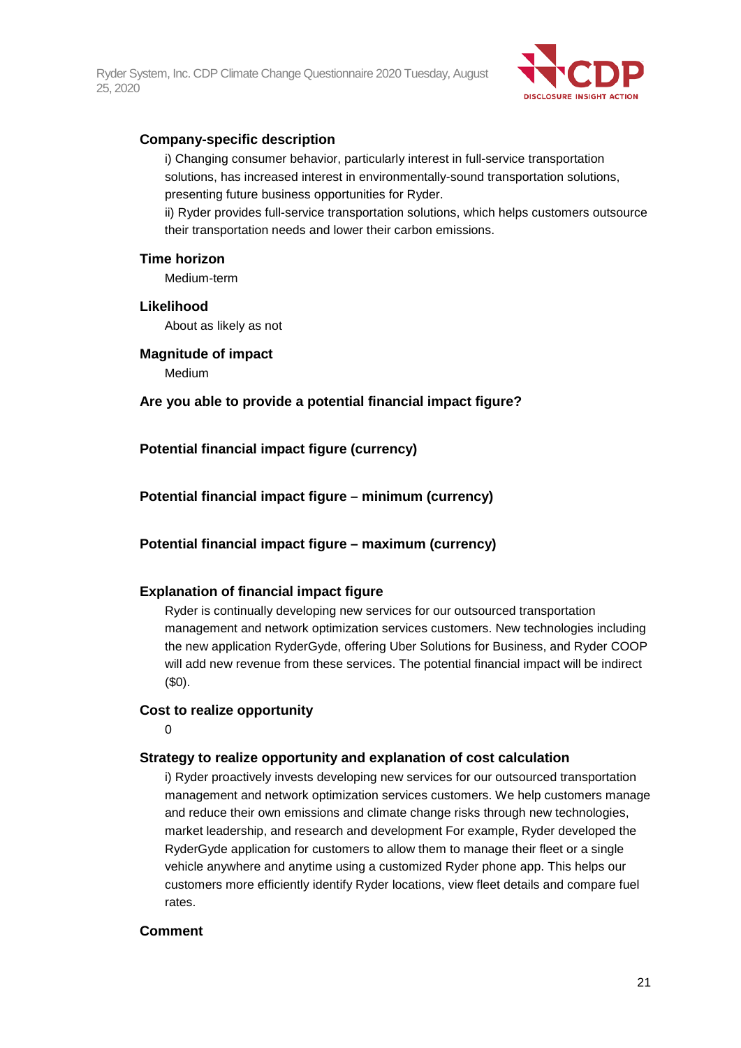

### **Company-specific description**

i) Changing consumer behavior, particularly interest in full-service transportation solutions, has increased interest in environmentally-sound transportation solutions, presenting future business opportunities for Ryder.

ii) Ryder provides full-service transportation solutions, which helps customers outsource their transportation needs and lower their carbon emissions.

#### **Time horizon**

Medium-term

#### **Likelihood**

About as likely as not

#### **Magnitude of impact**

Medium

#### **Are you able to provide a potential financial impact figure?**

**Potential financial impact figure (currency)**

#### **Potential financial impact figure – minimum (currency)**

**Potential financial impact figure – maximum (currency)**

#### **Explanation of financial impact figure**

Ryder is continually developing new services for our outsourced transportation management and network optimization services customers. New technologies including the new application RyderGyde, offering Uber Solutions for Business, and Ryder COOP will add new revenue from these services. The potential financial impact will be indirect (\$0).

#### **Cost to realize opportunity**

0

#### **Strategy to realize opportunity and explanation of cost calculation**

i) Ryder proactively invests developing new services for our outsourced transportation management and network optimization services customers. We help customers manage and reduce their own emissions and climate change risks through new technologies, market leadership, and research and development For example, Ryder developed the RyderGyde application for customers to allow them to manage their fleet or a single vehicle anywhere and anytime using a customized Ryder phone app. This helps our customers more efficiently identify Ryder locations, view fleet details and compare fuel rates.

#### **Comment**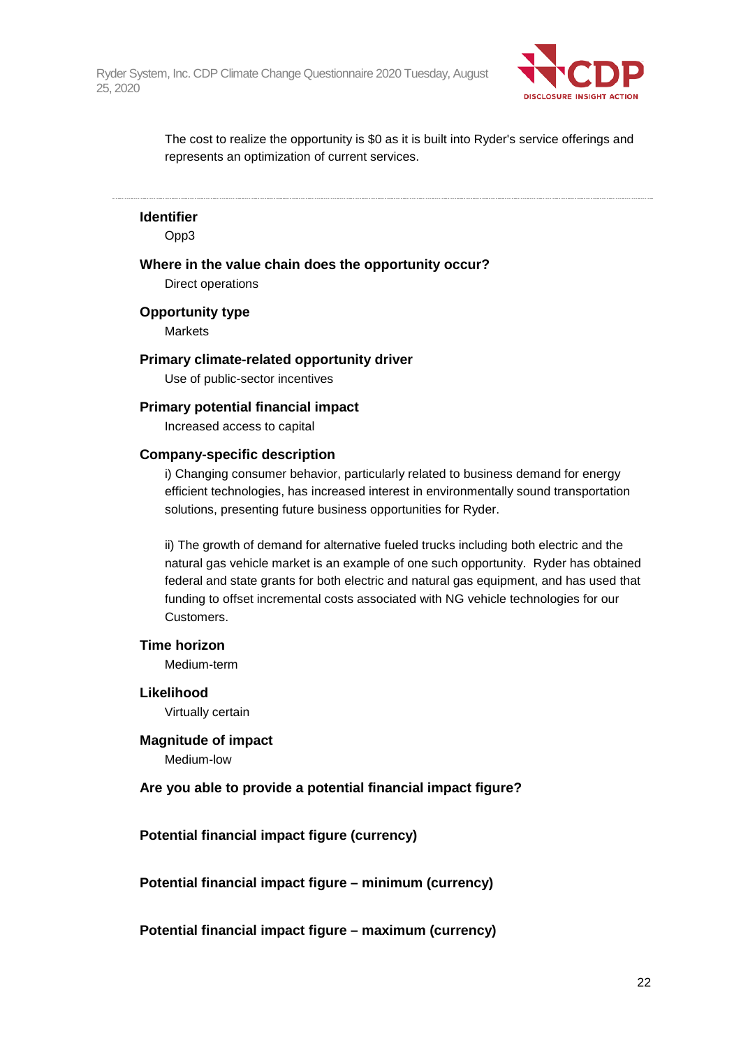

The cost to realize the opportunity is \$0 as it is built into Ryder's service offerings and represents an optimization of current services.

#### **Identifier**

Opp3

#### **Where in the value chain does the opportunity occur?**

Direct operations

#### **Opportunity type**

Markets

#### **Primary climate-related opportunity driver**

Use of public-sector incentives

#### **Primary potential financial impact**

Increased access to capital

#### **Company-specific description**

i) Changing consumer behavior, particularly related to business demand for energy efficient technologies, has increased interest in environmentally sound transportation solutions, presenting future business opportunities for Ryder.

ii) The growth of demand for alternative fueled trucks including both electric and the natural gas vehicle market is an example of one such opportunity. Ryder has obtained federal and state grants for both electric and natural gas equipment, and has used that funding to offset incremental costs associated with NG vehicle technologies for our Customers.

#### **Time horizon**

Medium-term

**Likelihood** Virtually certain

#### **Magnitude of impact**

Medium-low

#### **Are you able to provide a potential financial impact figure?**

#### **Potential financial impact figure (currency)**

**Potential financial impact figure – minimum (currency)**

**Potential financial impact figure – maximum (currency)**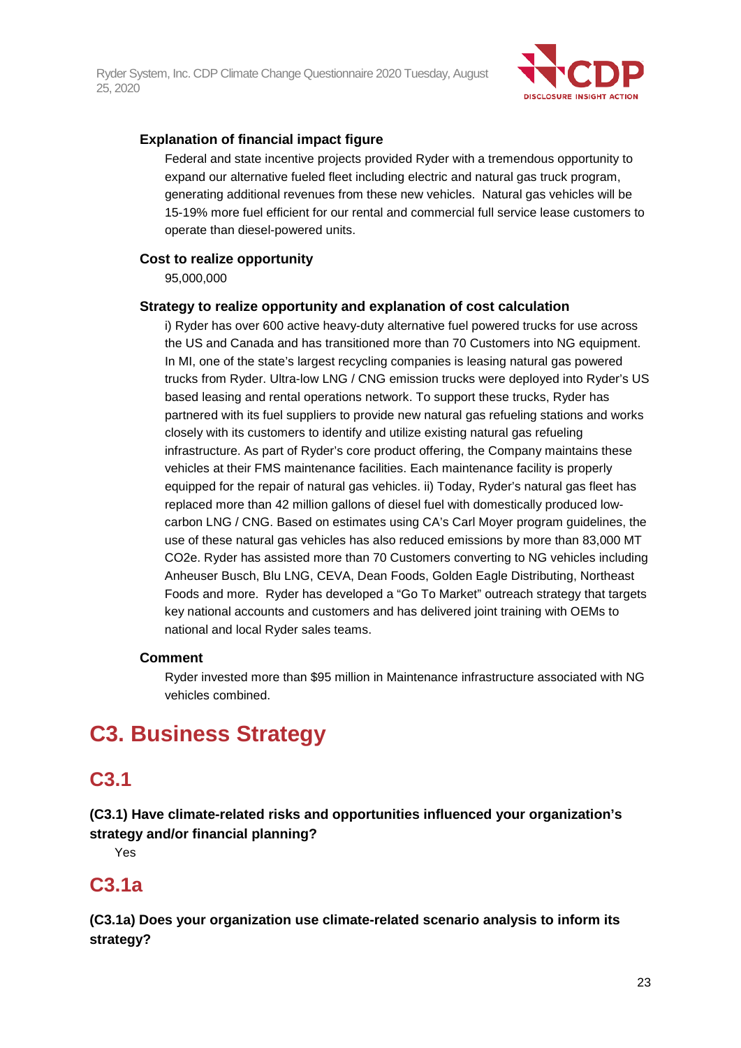

### **Explanation of financial impact figure**

Federal and state incentive projects provided Ryder with a tremendous opportunity to expand our alternative fueled fleet including electric and natural gas truck program, generating additional revenues from these new vehicles. Natural gas vehicles will be 15-19% more fuel efficient for our rental and commercial full service lease customers to operate than diesel-powered units.

#### **Cost to realize opportunity**

95,000,000

#### **Strategy to realize opportunity and explanation of cost calculation**

i) Ryder has over 600 active heavy-duty alternative fuel powered trucks for use across the US and Canada and has transitioned more than 70 Customers into NG equipment. In MI, one of the state's largest recycling companies is leasing natural gas powered trucks from Ryder. Ultra-low LNG / CNG emission trucks were deployed into Ryder's US based leasing and rental operations network. To support these trucks, Ryder has partnered with its fuel suppliers to provide new natural gas refueling stations and works closely with its customers to identify and utilize existing natural gas refueling infrastructure. As part of Ryder's core product offering, the Company maintains these vehicles at their FMS maintenance facilities. Each maintenance facility is properly equipped for the repair of natural gas vehicles. ii) Today, Ryder's natural gas fleet has replaced more than 42 million gallons of diesel fuel with domestically produced lowcarbon LNG / CNG. Based on estimates using CA's Carl Moyer program guidelines, the use of these natural gas vehicles has also reduced emissions by more than 83,000 MT CO2e. Ryder has assisted more than 70 Customers converting to NG vehicles including Anheuser Busch, Blu LNG, CEVA, Dean Foods, Golden Eagle Distributing, Northeast Foods and more. Ryder has developed a "Go To Market" outreach strategy that targets key national accounts and customers and has delivered joint training with OEMs to national and local Ryder sales teams.

### **Comment**

Ryder invested more than \$95 million in Maintenance infrastructure associated with NG vehicles combined.

## **C3. Business Strategy**

## **C3.1**

## **(C3.1) Have climate-related risks and opportunities influenced your organization's strategy and/or financial planning?**

Yes

## **C3.1a**

**(C3.1a) Does your organization use climate-related scenario analysis to inform its strategy?**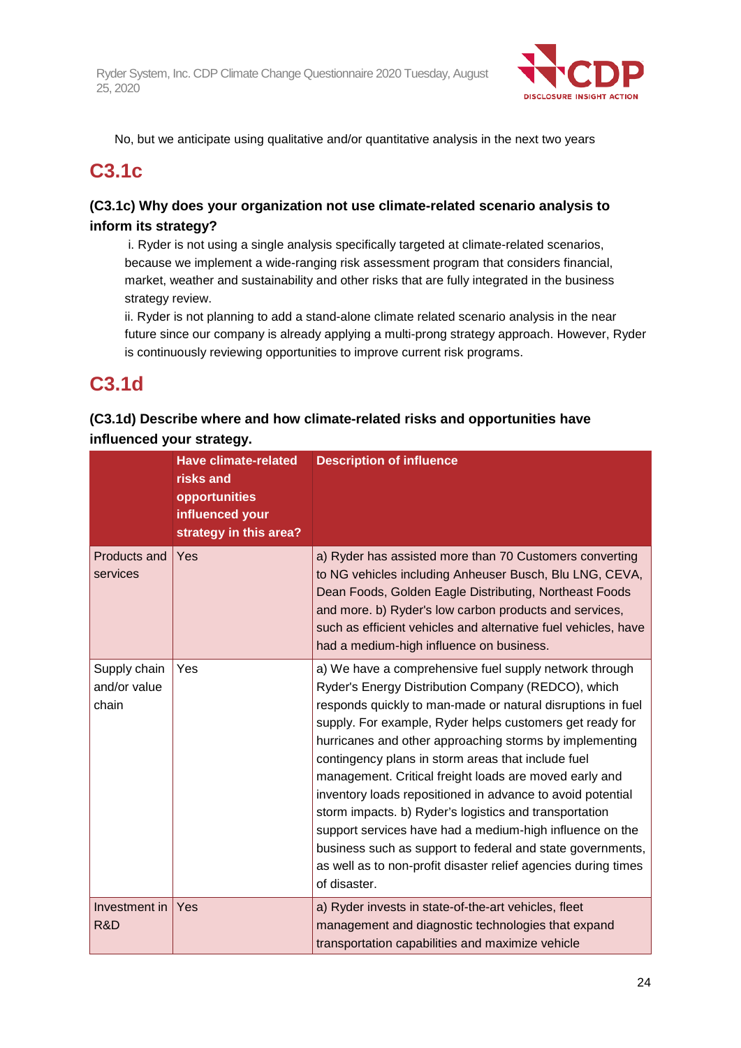

No, but we anticipate using qualitative and/or quantitative analysis in the next two years

## **C3.1c**

## **(C3.1c) Why does your organization not use climate-related scenario analysis to inform its strategy?**

i. Ryder is not using a single analysis specifically targeted at climate-related scenarios, because we implement a wide-ranging risk assessment program that considers financial, market, weather and sustainability and other risks that are fully integrated in the business strategy review.

ii. Ryder is not planning to add a stand-alone climate related scenario analysis in the near future since our company is already applying a multi-prong strategy approach. However, Ryder is continuously reviewing opportunities to improve current risk programs.

## **C3.1d**

## **(C3.1d) Describe where and how climate-related risks and opportunities have influenced your strategy.**

|                                       | <b>Have climate-related</b><br>risks and<br>opportunities<br>influenced your<br>strategy in this area? | <b>Description of influence</b>                                                                                                                                                                                                                                                                                                                                                                                                                                                                                                                                                                                                                                                                                                                        |
|---------------------------------------|--------------------------------------------------------------------------------------------------------|--------------------------------------------------------------------------------------------------------------------------------------------------------------------------------------------------------------------------------------------------------------------------------------------------------------------------------------------------------------------------------------------------------------------------------------------------------------------------------------------------------------------------------------------------------------------------------------------------------------------------------------------------------------------------------------------------------------------------------------------------------|
| Products and<br>services              | Yes                                                                                                    | a) Ryder has assisted more than 70 Customers converting<br>to NG vehicles including Anheuser Busch, Blu LNG, CEVA,<br>Dean Foods, Golden Eagle Distributing, Northeast Foods<br>and more. b) Ryder's low carbon products and services,<br>such as efficient vehicles and alternative fuel vehicles, have<br>had a medium-high influence on business.                                                                                                                                                                                                                                                                                                                                                                                                   |
| Supply chain<br>and/or value<br>chain | Yes                                                                                                    | a) We have a comprehensive fuel supply network through<br>Ryder's Energy Distribution Company (REDCO), which<br>responds quickly to man-made or natural disruptions in fuel<br>supply. For example, Ryder helps customers get ready for<br>hurricanes and other approaching storms by implementing<br>contingency plans in storm areas that include fuel<br>management. Critical freight loads are moved early and<br>inventory loads repositioned in advance to avoid potential<br>storm impacts. b) Ryder's logistics and transportation<br>support services have had a medium-high influence on the<br>business such as support to federal and state governments,<br>as well as to non-profit disaster relief agencies during times<br>of disaster. |
| Investment in<br>R&D                  | Yes                                                                                                    | a) Ryder invests in state-of-the-art vehicles, fleet<br>management and diagnostic technologies that expand<br>transportation capabilities and maximize vehicle                                                                                                                                                                                                                                                                                                                                                                                                                                                                                                                                                                                         |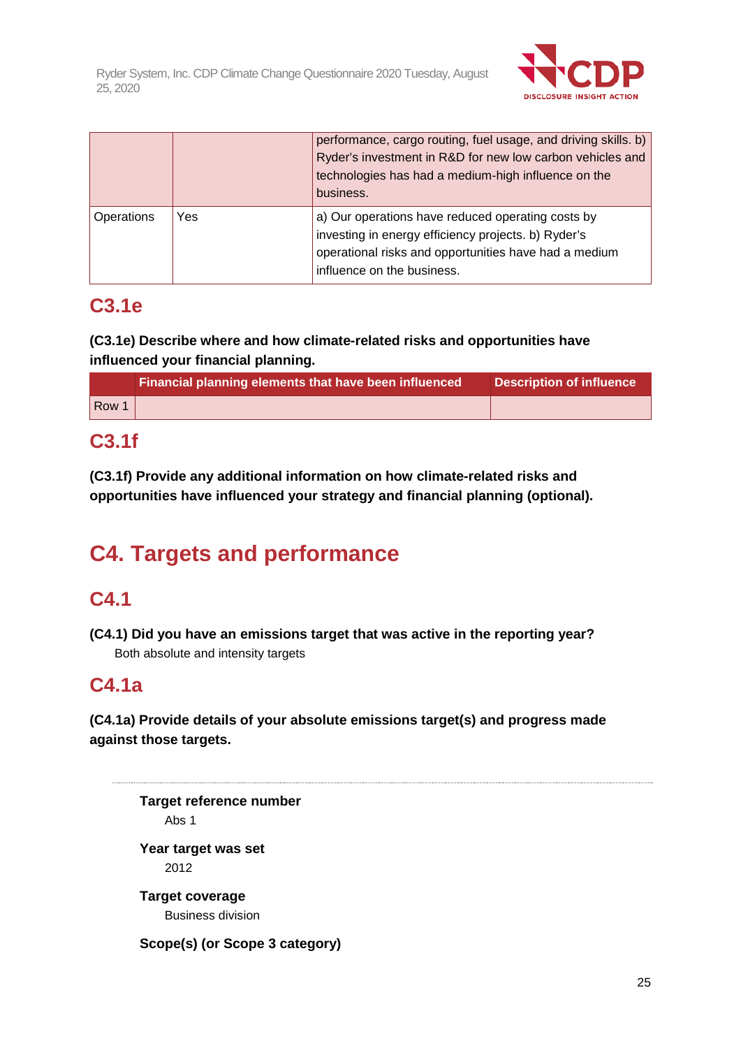

|            |     | performance, cargo routing, fuel usage, and driving skills. b)<br>Ryder's investment in R&D for new low carbon vehicles and<br>technologies has had a medium-high influence on the<br>business. |
|------------|-----|-------------------------------------------------------------------------------------------------------------------------------------------------------------------------------------------------|
| Operations | Yes | a) Our operations have reduced operating costs by<br>investing in energy efficiency projects. b) Ryder's<br>operational risks and opportunities have had a medium<br>influence on the business. |

## **C3.1e**

**(C3.1e) Describe where and how climate-related risks and opportunities have influenced your financial planning.**

|       | Financial planning elements that have been influenced | Description of influence |
|-------|-------------------------------------------------------|--------------------------|
| Row 1 |                                                       |                          |

## **C3.1f**

**(C3.1f) Provide any additional information on how climate-related risks and opportunities have influenced your strategy and financial planning (optional).**

# **C4. Targets and performance**

## **C4.1**

**(C4.1) Did you have an emissions target that was active in the reporting year?** Both absolute and intensity targets

## **C4.1a**

**(C4.1a) Provide details of your absolute emissions target(s) and progress made against those targets.**

**Target reference number** Abs 1 **Year target was set** 2012 **Target coverage** Business division **Scope(s) (or Scope 3 category)**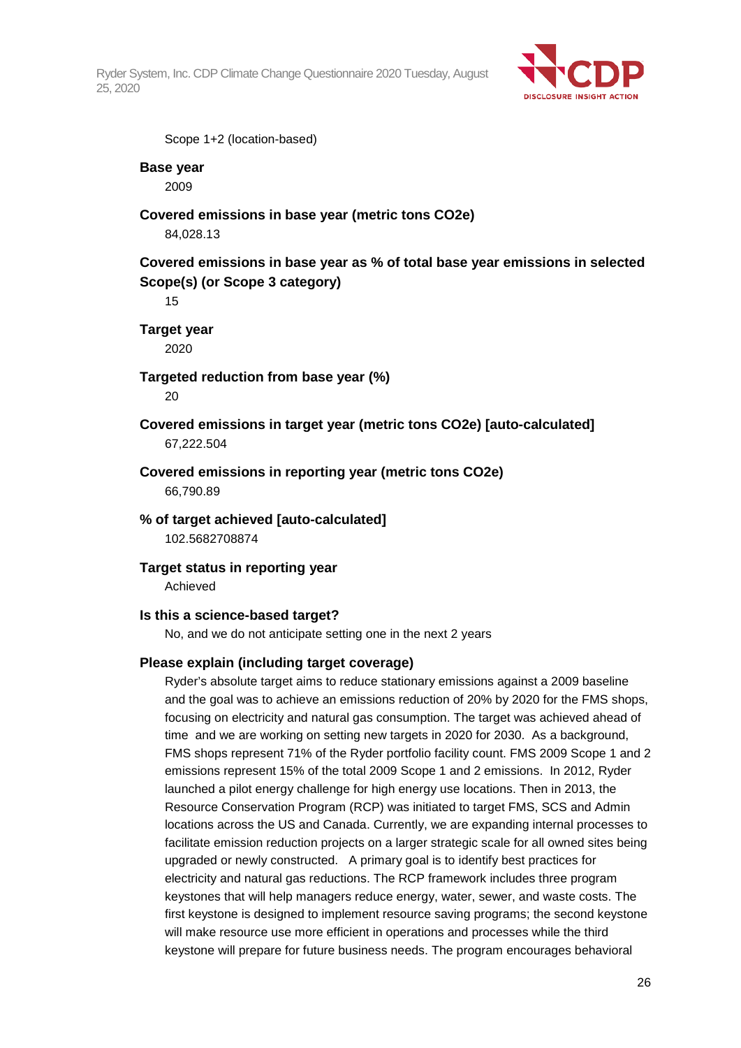

Scope 1+2 (location-based)

#### **Base year**

2009

#### **Covered emissions in base year (metric tons CO2e)**

84,028.13

## **Covered emissions in base year as % of total base year emissions in selected Scope(s) (or Scope 3 category)**

15

**Target year** 2020

## **Targeted reduction from base year (%)**

 $20$ 

### **Covered emissions in target year (metric tons CO2e) [auto-calculated]** 67,222.504

### **Covered emissions in reporting year (metric tons CO2e)** 66,790.89

**% of target achieved [auto-calculated]** 102.5682708874

### **Target status in reporting year**

Achieved

#### **Is this a science-based target?**

No, and we do not anticipate setting one in the next 2 years

#### **Please explain (including target coverage)**

Ryder's absolute target aims to reduce stationary emissions against a 2009 baseline and the goal was to achieve an emissions reduction of 20% by 2020 for the FMS shops, focusing on electricity and natural gas consumption. The target was achieved ahead of time and we are working on setting new targets in 2020 for 2030. As a background, FMS shops represent 71% of the Ryder portfolio facility count. FMS 2009 Scope 1 and 2 emissions represent 15% of the total 2009 Scope 1 and 2 emissions. In 2012, Ryder launched a pilot energy challenge for high energy use locations. Then in 2013, the Resource Conservation Program (RCP) was initiated to target FMS, SCS and Admin locations across the US and Canada. Currently, we are expanding internal processes to facilitate emission reduction projects on a larger strategic scale for all owned sites being upgraded or newly constructed. A primary goal is to identify best practices for electricity and natural gas reductions. The RCP framework includes three program keystones that will help managers reduce energy, water, sewer, and waste costs. The first keystone is designed to implement resource saving programs; the second keystone will make resource use more efficient in operations and processes while the third keystone will prepare for future business needs. The program encourages behavioral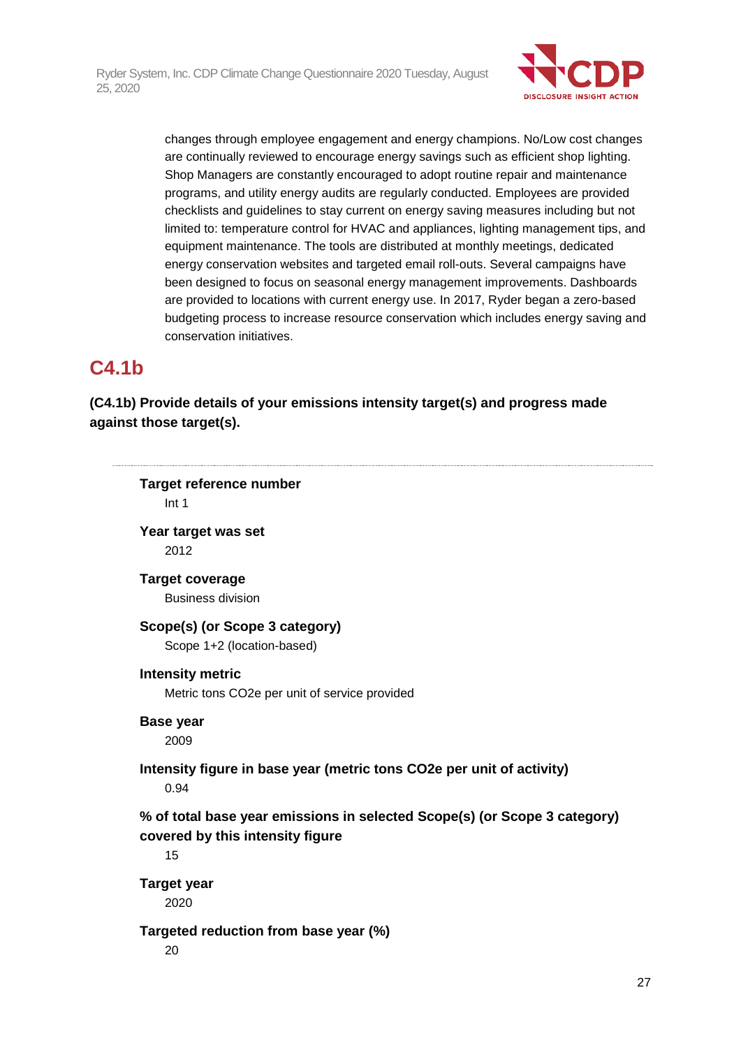

changes through employee engagement and energy champions. No/Low cost changes are continually reviewed to encourage energy savings such as efficient shop lighting. Shop Managers are constantly encouraged to adopt routine repair and maintenance programs, and utility energy audits are regularly conducted. Employees are provided checklists and guidelines to stay current on energy saving measures including but not limited to: temperature control for HVAC and appliances, lighting management tips, and equipment maintenance. The tools are distributed at monthly meetings, dedicated energy conservation websites and targeted email roll-outs. Several campaigns have been designed to focus on seasonal energy management improvements. Dashboards are provided to locations with current energy use. In 2017, Ryder began a zero-based budgeting process to increase resource conservation which includes energy saving and conservation initiatives.

## **C4.1b**

## **(C4.1b) Provide details of your emissions intensity target(s) and progress made against those target(s).**

**Target reference number** Int 1 **Year target was set** 2012 **Target coverage** Business division **Scope(s) (or Scope 3 category)** Scope 1+2 (location-based) **Intensity metric** Metric tons CO2e per unit of service provided **Base year** 2009 **Intensity figure in base year (metric tons CO2e per unit of activity)** 0.94 **% of total base year emissions in selected Scope(s) (or Scope 3 category) covered by this intensity figure** 15 **Target year** 2020 **Targeted reduction from base year (%)** 20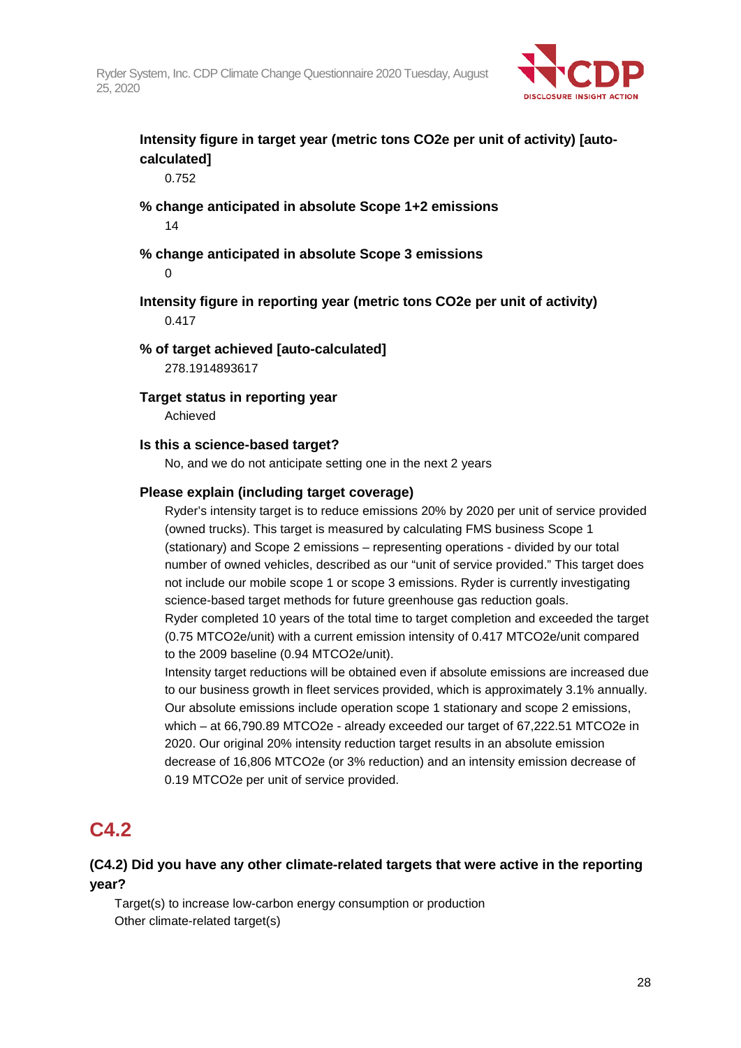

## **Intensity figure in target year (metric tons CO2e per unit of activity) [autocalculated]**

0.752

## **% change anticipated in absolute Scope 1+2 emissions**

14

**% change anticipated in absolute Scope 3 emissions**

 $\Omega$ 

#### **Intensity figure in reporting year (metric tons CO2e per unit of activity)** 0.417

#### **% of target achieved [auto-calculated]**

278.1914893617

#### **Target status in reporting year**

Achieved

#### **Is this a science-based target?**

No, and we do not anticipate setting one in the next 2 years

#### **Please explain (including target coverage)**

Ryder's intensity target is to reduce emissions 20% by 2020 per unit of service provided (owned trucks). This target is measured by calculating FMS business Scope 1 (stationary) and Scope 2 emissions – representing operations - divided by our total number of owned vehicles, described as our "unit of service provided." This target does not include our mobile scope 1 or scope 3 emissions. Ryder is currently investigating science-based target methods for future greenhouse gas reduction goals. Ryder completed 10 years of the total time to target completion and exceeded the target (0.75 MTCO2e/unit) with a current emission intensity of 0.417 MTCO2e/unit compared to the 2009 baseline (0.94 MTCO2e/unit).

Intensity target reductions will be obtained even if absolute emissions are increased due to our business growth in fleet services provided, which is approximately 3.1% annually. Our absolute emissions include operation scope 1 stationary and scope 2 emissions, which – at 66,790.89 MTCO2e - already exceeded our target of 67,222.51 MTCO2e in 2020. Our original 20% intensity reduction target results in an absolute emission decrease of 16,806 MTCO2e (or 3% reduction) and an intensity emission decrease of 0.19 MTCO2e per unit of service provided.

## **C4.2**

## **(C4.2) Did you have any other climate-related targets that were active in the reporting year?**

Target(s) to increase low-carbon energy consumption or production Other climate-related target(s)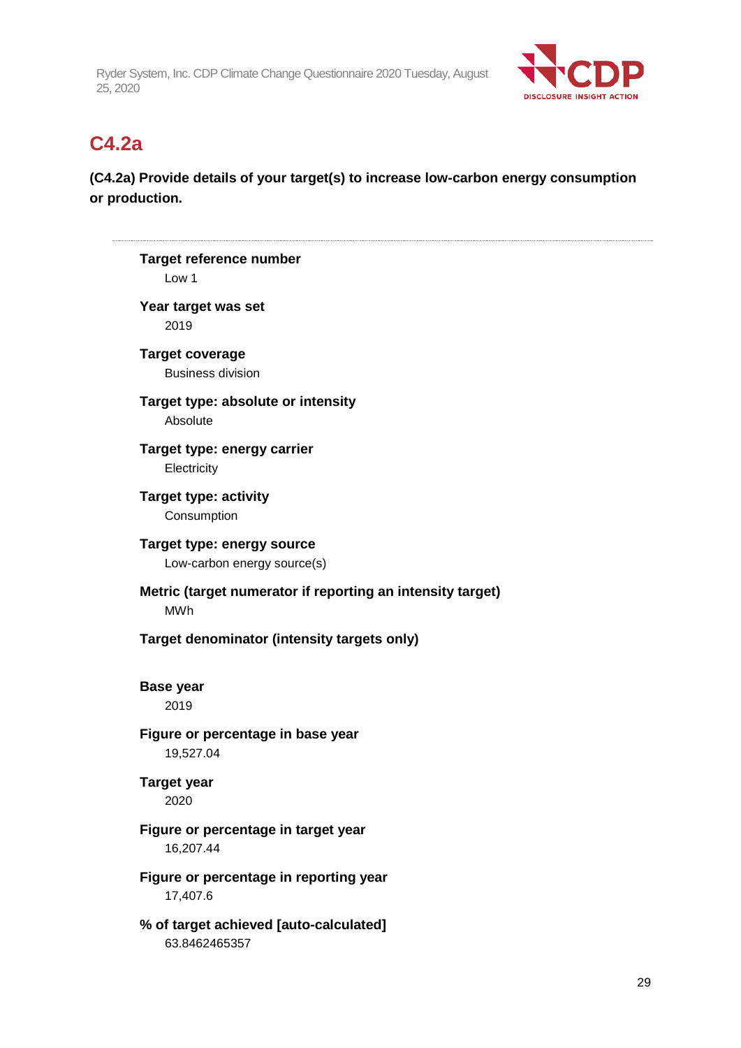

## **C4.2a**

## **(C4.2a) Provide details of your target(s) to increase low-carbon energy consumption or production.**

| Target reference number<br>Low 1                                         |
|--------------------------------------------------------------------------|
| Year target was set<br>2019                                              |
| <b>Target coverage</b><br><b>Business division</b>                       |
| Target type: absolute or intensity<br>Absolute                           |
| Target type: energy carrier<br>Electricity                               |
| <b>Target type: activity</b><br>Consumption                              |
| Target type: energy source<br>Low-carbon energy source(s)                |
| Metric (target numerator if reporting an intensity target)<br><b>MWh</b> |
| Target denominator (intensity targets only)                              |
| <b>Base year</b><br>2019                                                 |
| Figure or percentage in base year<br>19,527.04                           |
| <b>Target year</b><br>2020                                               |
| Figure or percentage in target year<br>16,207.44                         |
| Figure or percentage in reporting year<br>17,407.6                       |
| % of target achieved [auto-calculated]<br>63.8462465357                  |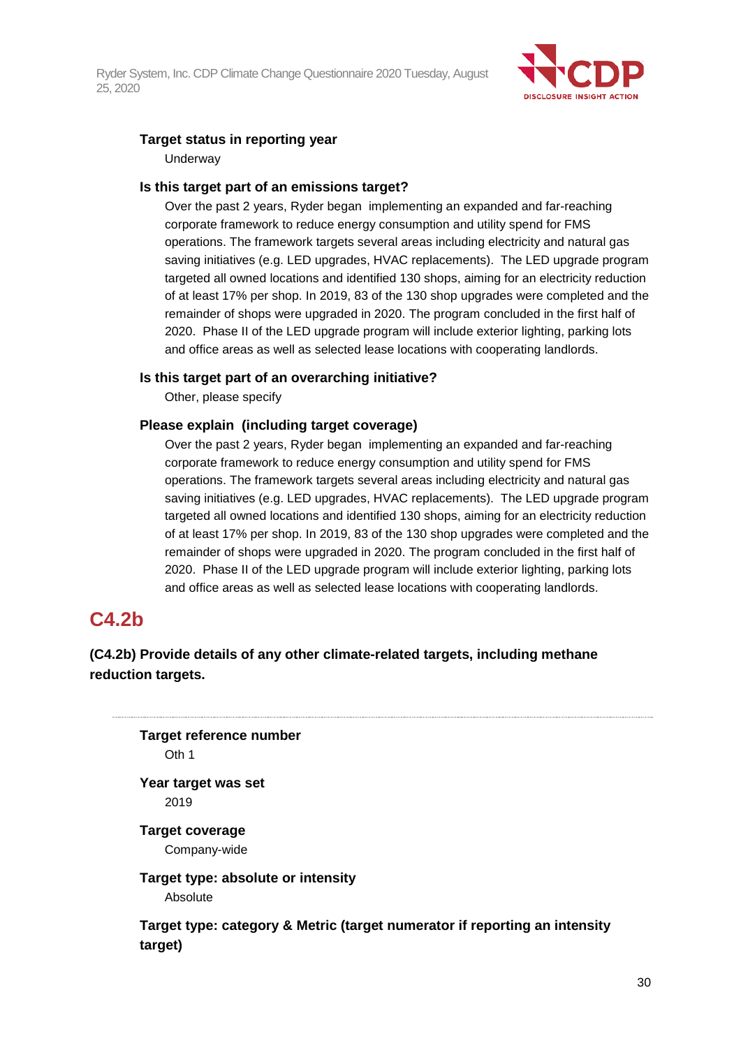

### **Target status in reporting year**

**Underway** 

#### **Is this target part of an emissions target?**

Over the past 2 years, Ryder began implementing an expanded and far-reaching corporate framework to reduce energy consumption and utility spend for FMS operations. The framework targets several areas including electricity and natural gas saving initiatives (e.g. LED upgrades, HVAC replacements). The LED upgrade program targeted all owned locations and identified 130 shops, aiming for an electricity reduction of at least 17% per shop. In 2019, 83 of the 130 shop upgrades were completed and the remainder of shops were upgraded in 2020. The program concluded in the first half of 2020. Phase II of the LED upgrade program will include exterior lighting, parking lots and office areas as well as selected lease locations with cooperating landlords.

#### **Is this target part of an overarching initiative?**

Other, please specify

#### **Please explain (including target coverage)**

Over the past 2 years, Ryder began implementing an expanded and far-reaching corporate framework to reduce energy consumption and utility spend for FMS operations. The framework targets several areas including electricity and natural gas saving initiatives (e.g. LED upgrades, HVAC replacements). The LED upgrade program targeted all owned locations and identified 130 shops, aiming for an electricity reduction of at least 17% per shop. In 2019, 83 of the 130 shop upgrades were completed and the remainder of shops were upgraded in 2020. The program concluded in the first half of 2020. Phase II of the LED upgrade program will include exterior lighting, parking lots and office areas as well as selected lease locations with cooperating landlords.

## **C4.2b**

## **(C4.2b) Provide details of any other climate-related targets, including methane reduction targets.**

**Target reference number** Oth 1 **Year target was set** 2019

**Target coverage** Company-wide

**Target type: absolute or intensity** Absolute

**Target type: category & Metric (target numerator if reporting an intensity target)**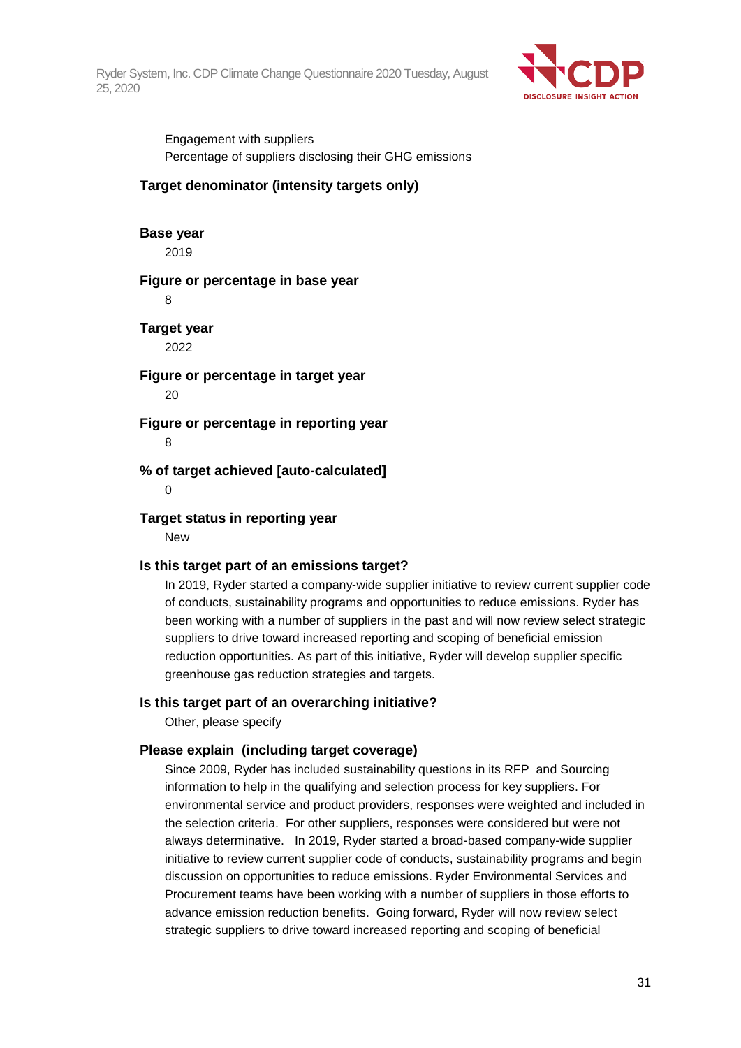

Engagement with suppliers Percentage of suppliers disclosing their GHG emissions

#### **Target denominator (intensity targets only)**

## **Base year**

2019

#### **Figure or percentage in base year**

8

## **Target year**

2022

## **Figure or percentage in target year**

20

#### **Figure or percentage in reporting year**

8

#### **% of target achieved [auto-calculated]**

0

#### **Target status in reporting year**

New

#### **Is this target part of an emissions target?**

In 2019, Ryder started a company-wide supplier initiative to review current supplier code of conducts, sustainability programs and opportunities to reduce emissions. Ryder has been working with a number of suppliers in the past and will now review select strategic suppliers to drive toward increased reporting and scoping of beneficial emission reduction opportunities. As part of this initiative, Ryder will develop supplier specific greenhouse gas reduction strategies and targets.

#### **Is this target part of an overarching initiative?**

Other, please specify

### **Please explain (including target coverage)**

Since 2009, Ryder has included sustainability questions in its RFP and Sourcing information to help in the qualifying and selection process for key suppliers. For environmental service and product providers, responses were weighted and included in the selection criteria. For other suppliers, responses were considered but were not always determinative. In 2019, Ryder started a broad-based company-wide supplier initiative to review current supplier code of conducts, sustainability programs and begin discussion on opportunities to reduce emissions. Ryder Environmental Services and Procurement teams have been working with a number of suppliers in those efforts to advance emission reduction benefits. Going forward, Ryder will now review select strategic suppliers to drive toward increased reporting and scoping of beneficial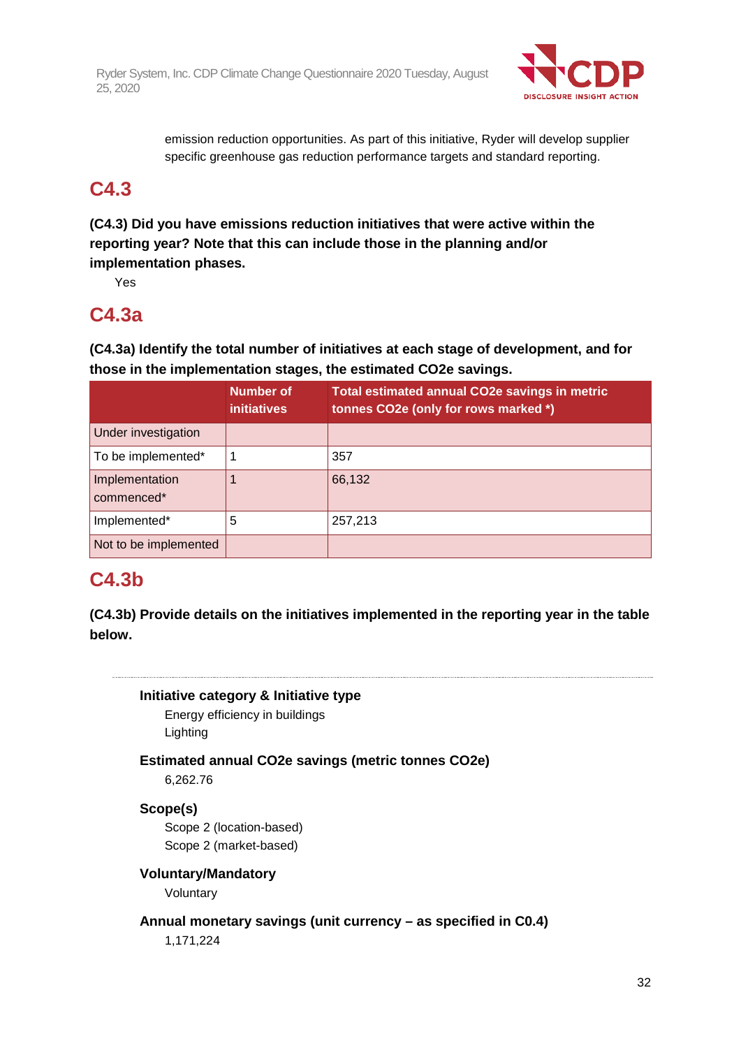

emission reduction opportunities. As part of this initiative, Ryder will develop supplier specific greenhouse gas reduction performance targets and standard reporting.

## **C4.3**

**(C4.3) Did you have emissions reduction initiatives that were active within the reporting year? Note that this can include those in the planning and/or implementation phases.**

Yes

## **C4.3a**

**(C4.3a) Identify the total number of initiatives at each stage of development, and for those in the implementation stages, the estimated CO2e savings.**

|                              | Number of<br><b>initiatives</b> | Total estimated annual CO2e savings in metric<br>tonnes CO2e (only for rows marked *) |
|------------------------------|---------------------------------|---------------------------------------------------------------------------------------|
| Under investigation          |                                 |                                                                                       |
| To be implemented*           |                                 | 357                                                                                   |
| Implementation<br>commenced* |                                 | 66,132                                                                                |
| Implemented*                 | 5                               | 257,213                                                                               |
| Not to be implemented        |                                 |                                                                                       |

## **C4.3b**

**(C4.3b) Provide details on the initiatives implemented in the reporting year in the table below.**

## **Initiative category & Initiative type**

Energy efficiency in buildings Lighting

**Estimated annual CO2e savings (metric tonnes CO2e)**

6,262.76

## **Scope(s)**

Scope 2 (location-based) Scope 2 (market-based)

## **Voluntary/Mandatory**

Voluntary

**Annual monetary savings (unit currency – as specified in C0.4)**

1,171,224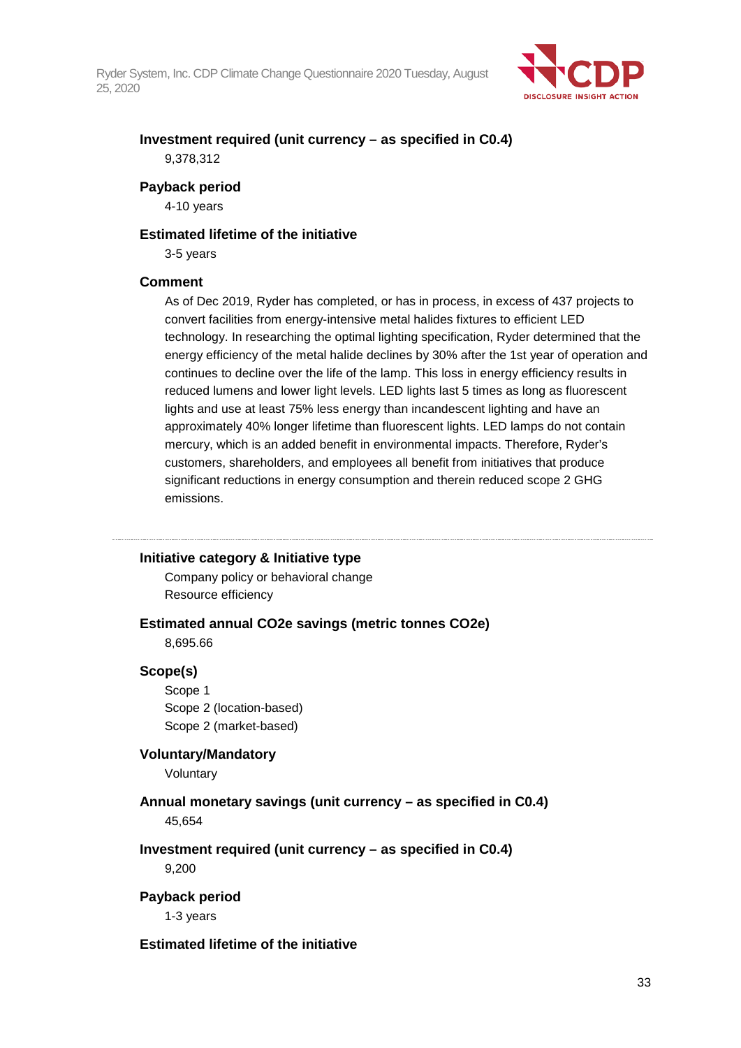

## **Investment required (unit currency – as specified in C0.4)** 9,378,312

#### **Payback period**

4-10 years

#### **Estimated lifetime of the initiative**

3-5 years

#### **Comment**

As of Dec 2019, Ryder has completed, or has in process, in excess of 437 projects to convert facilities from energy-intensive metal halides fixtures to efficient LED technology. In researching the optimal lighting specification, Ryder determined that the energy efficiency of the metal halide declines by 30% after the 1st year of operation and continues to decline over the life of the lamp. This loss in energy efficiency results in reduced lumens and lower light levels. LED lights last 5 times as long as fluorescent lights and use at least 75% less energy than incandescent lighting and have an approximately 40% longer lifetime than fluorescent lights. LED lamps do not contain mercury, which is an added benefit in environmental impacts. Therefore, Ryder's customers, shareholders, and employees all benefit from initiatives that produce significant reductions in energy consumption and therein reduced scope 2 GHG emissions.

### **Initiative category & Initiative type**

Company policy or behavioral change Resource efficiency

# **Estimated annual CO2e savings (metric tonnes CO2e)**

8,695.66

#### **Scope(s)**

Scope 1 Scope 2 (location-based) Scope 2 (market-based)

### **Voluntary/Mandatory**

Voluntary

### **Annual monetary savings (unit currency – as specified in C0.4)** 45,654

## **Investment required (unit currency – as specified in C0.4)**

9,200

#### **Payback period**

1-3 years

#### **Estimated lifetime of the initiative**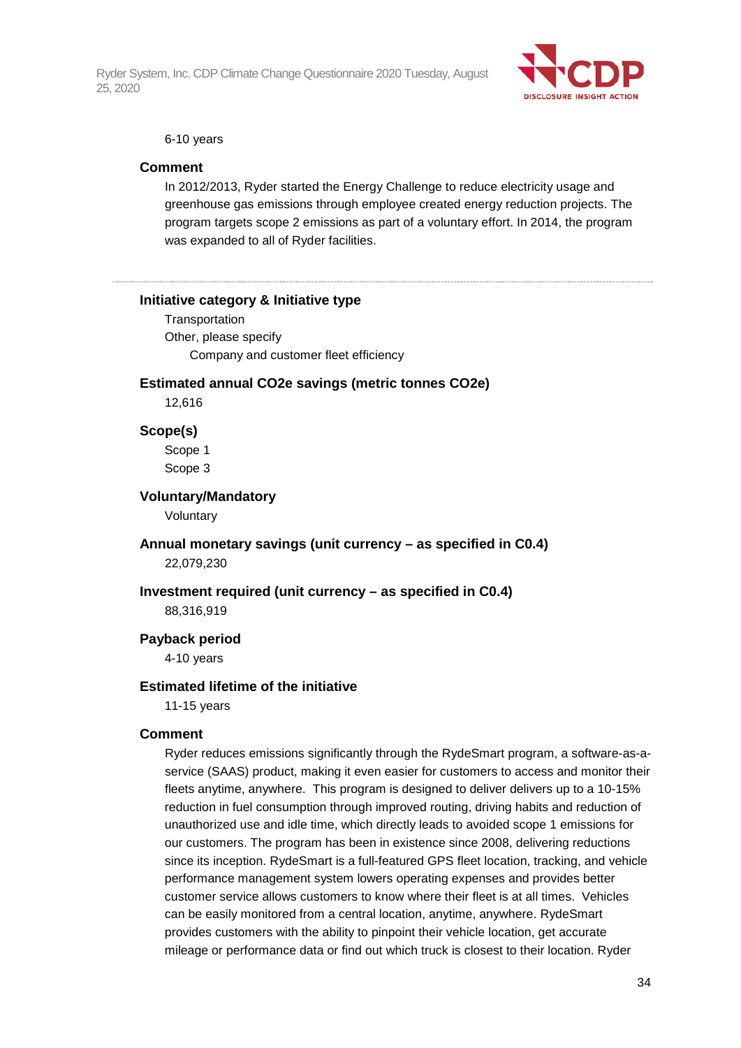

#### 6-10 years

#### **Comment**

In 2012/2013, Ryder started the Energy Challenge to reduce electricity usage and greenhouse gas emissions through employee created energy reduction projects. The program targets scope 2 emissions as part of a voluntary effort. In 2014, the program was expanded to all of Ryder facilities.

#### **Initiative category & Initiative type**

**Transportation** Other, please specify Company and customer fleet efficiency

#### **Estimated annual CO2e savings (metric tonnes CO2e)**

12,616

#### **Scope(s)**

Scope 1 Scope 3

#### **Voluntary/Mandatory**

Voluntary

#### **Annual monetary savings (unit currency – as specified in C0.4)** 22,079,230

#### **Investment required (unit currency – as specified in C0.4)**

88,316,919

#### **Payback period**

4-10 years

#### **Estimated lifetime of the initiative**

11-15 years

#### **Comment**

Ryder reduces emissions significantly through the RydeSmart program, a software-as-aservice (SAAS) product, making it even easier for customers to access and monitor their fleets anytime, anywhere. This program is designed to deliver delivers up to a 10-15% reduction in fuel consumption through improved routing, driving habits and reduction of unauthorized use and idle time, which directly leads to avoided scope 1 emissions for our customers. The program has been in existence since 2008, delivering reductions since its inception. RydeSmart is a full-featured GPS fleet location, tracking, and vehicle performance management system lowers operating expenses and provides better customer service allows customers to know where their fleet is at all times. Vehicles can be easily monitored from a central location, anytime, anywhere. RydeSmart provides customers with the ability to pinpoint their vehicle location, get accurate mileage or performance data or find out which truck is closest to their location. Ryder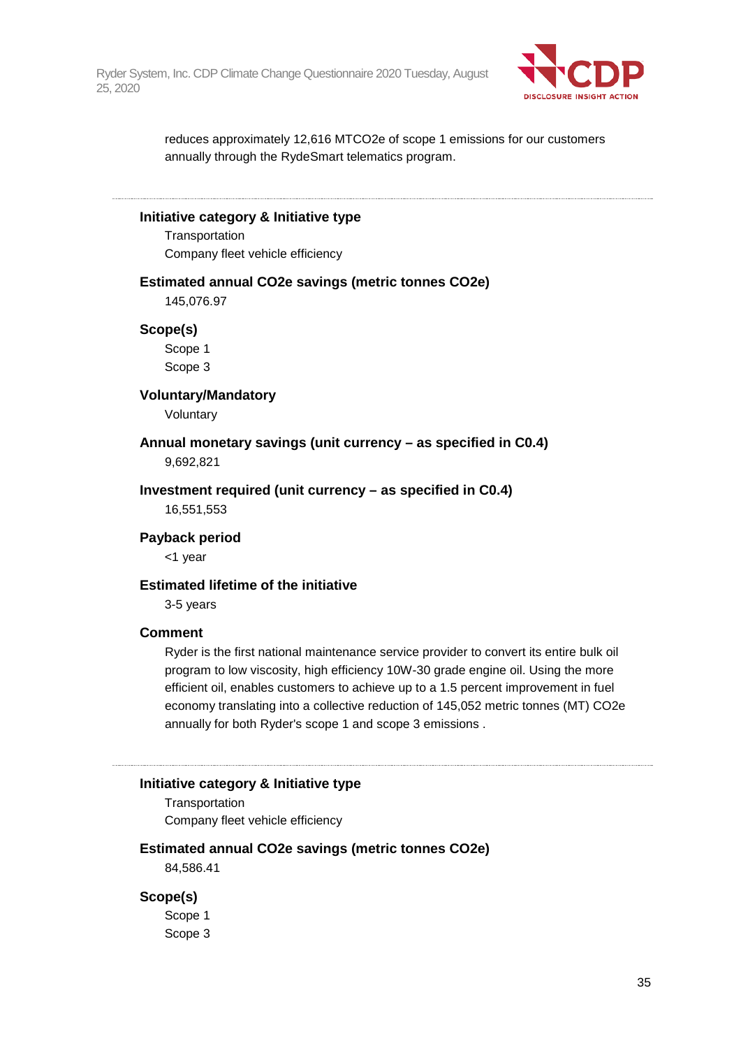

reduces approximately 12,616 MTCO2e of scope 1 emissions for our customers annually through the RydeSmart telematics program.

#### **Initiative category & Initiative type**

**Transportation** Company fleet vehicle efficiency

#### **Estimated annual CO2e savings (metric tonnes CO2e)**

145,076.97

#### **Scope(s)**

Scope 1 Scope 3

#### **Voluntary/Mandatory**

Voluntary

**Annual monetary savings (unit currency – as specified in C0.4)** 9,692,821

**Investment required (unit currency – as specified in C0.4)**

16,551,553

#### **Payback period**

<1 year

#### **Estimated lifetime of the initiative**

3-5 years

#### **Comment**

Ryder is the first national maintenance service provider to convert its entire bulk oil program to low viscosity, high efficiency 10W-30 grade engine oil. Using the more efficient oil, enables customers to achieve up to a 1.5 percent improvement in fuel economy translating into a collective reduction of 145,052 metric tonnes (MT) CO2e annually for both Ryder's scope 1 and scope 3 emissions .

#### **Initiative category & Initiative type**

**Transportation** Company fleet vehicle efficiency

#### **Estimated annual CO2e savings (metric tonnes CO2e)**

84,586.41

#### **Scope(s)**

Scope 1 Scope 3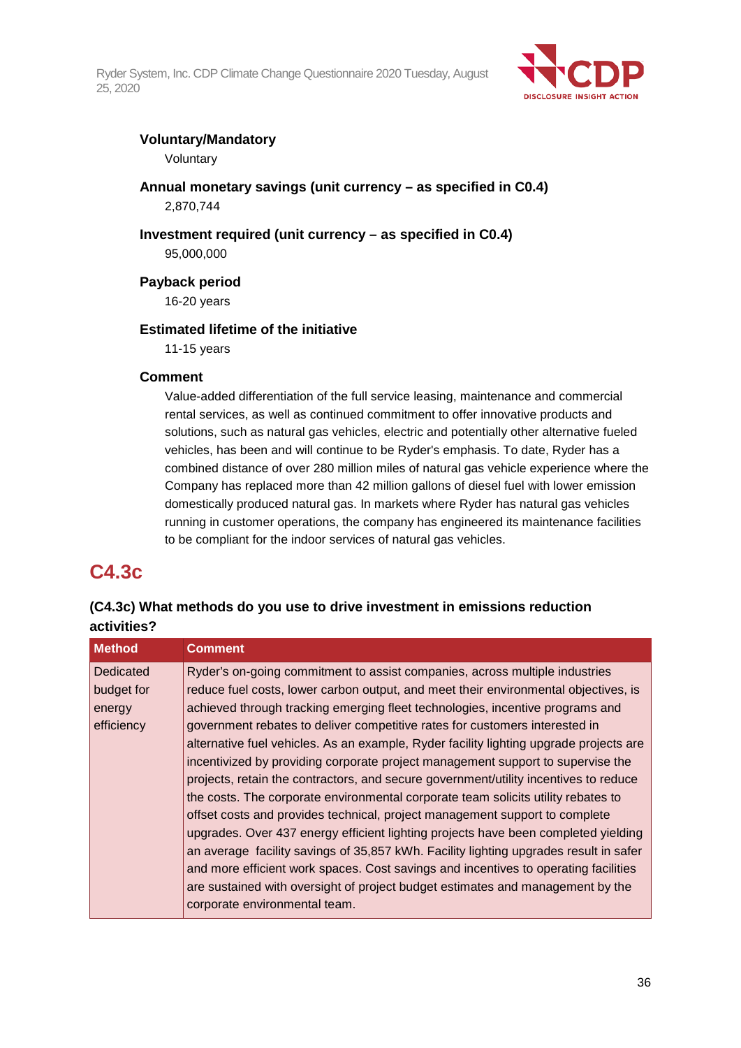

## **Voluntary/Mandatory**

Voluntary

**Annual monetary savings (unit currency – as specified in C0.4)** 2,870,744

**Investment required (unit currency – as specified in C0.4)**

95,000,000

**Payback period**

16-20 years

## **Estimated lifetime of the initiative**

11-15 years

### **Comment**

Value-added differentiation of the full service leasing, maintenance and commercial rental services, as well as continued commitment to offer innovative products and solutions, such as natural gas vehicles, electric and potentially other alternative fueled vehicles, has been and will continue to be Ryder's emphasis. To date, Ryder has a combined distance of over 280 million miles of natural gas vehicle experience where the Company has replaced more than 42 million gallons of diesel fuel with lower emission domestically produced natural gas. In markets where Ryder has natural gas vehicles running in customer operations, the company has engineered its maintenance facilities to be compliant for the indoor services of natural gas vehicles.

## **C4.3c**

## **(C4.3c) What methods do you use to drive investment in emissions reduction activities?**

| <b>Method</b> | <b>Comment</b>                                                                         |
|---------------|----------------------------------------------------------------------------------------|
| Dedicated     | Ryder's on-going commitment to assist companies, across multiple industries            |
| budget for    | reduce fuel costs, lower carbon output, and meet their environmental objectives, is    |
| energy        | achieved through tracking emerging fleet technologies, incentive programs and          |
| efficiency    | government rebates to deliver competitive rates for customers interested in            |
|               | alternative fuel vehicles. As an example, Ryder facility lighting upgrade projects are |
|               | incentivized by providing corporate project management support to supervise the        |
|               | projects, retain the contractors, and secure government/utility incentives to reduce   |
|               | the costs. The corporate environmental corporate team solicits utility rebates to      |
|               | offset costs and provides technical, project management support to complete            |
|               | upgrades. Over 437 energy efficient lighting projects have been completed yielding     |
|               | an average facility savings of 35,857 kWh. Facility lighting upgrades result in safer  |
|               | and more efficient work spaces. Cost savings and incentives to operating facilities    |
|               | are sustained with oversight of project budget estimates and management by the         |
|               | corporate environmental team.                                                          |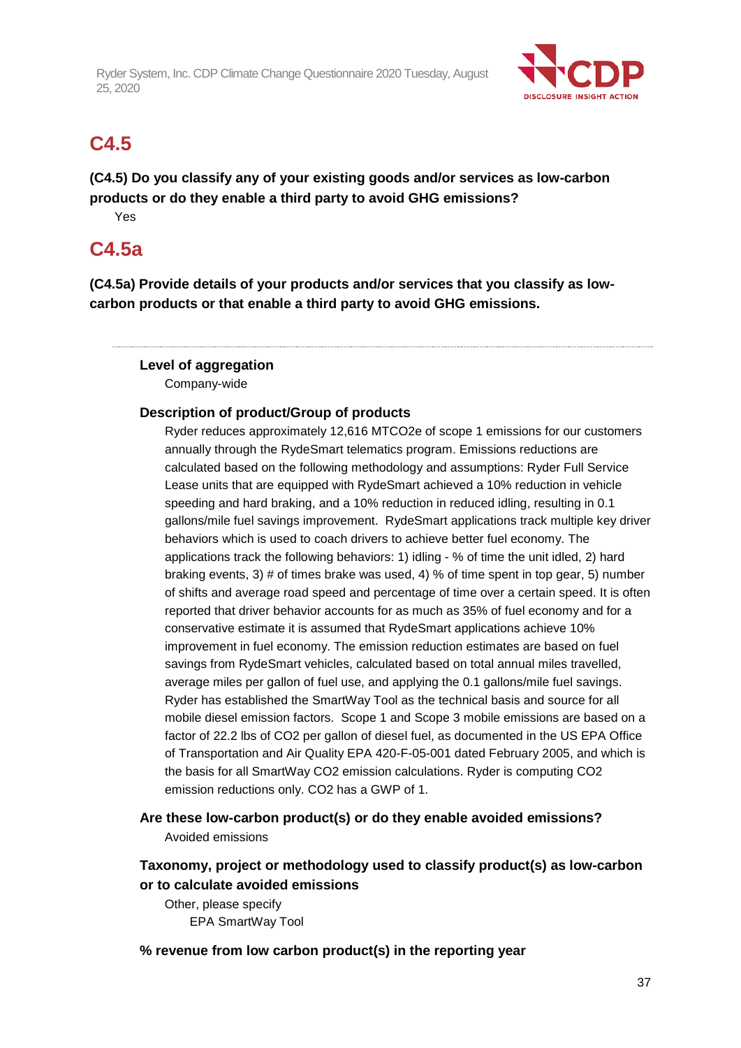

# **C4.5**

**(C4.5) Do you classify any of your existing goods and/or services as low-carbon products or do they enable a third party to avoid GHG emissions?**

Yes

## **C4.5a**

**(C4.5a) Provide details of your products and/or services that you classify as lowcarbon products or that enable a third party to avoid GHG emissions.**

## **Level of aggregation**

Company-wide

## **Description of product/Group of products**

Ryder reduces approximately 12,616 MTCO2e of scope 1 emissions for our customers annually through the RydeSmart telematics program. Emissions reductions are calculated based on the following methodology and assumptions: Ryder Full Service Lease units that are equipped with RydeSmart achieved a 10% reduction in vehicle speeding and hard braking, and a 10% reduction in reduced idling, resulting in 0.1 gallons/mile fuel savings improvement. RydeSmart applications track multiple key driver behaviors which is used to coach drivers to achieve better fuel economy. The applications track the following behaviors: 1) idling - % of time the unit idled, 2) hard braking events, 3) # of times brake was used, 4) % of time spent in top gear, 5) number of shifts and average road speed and percentage of time over a certain speed. It is often reported that driver behavior accounts for as much as 35% of fuel economy and for a conservative estimate it is assumed that RydeSmart applications achieve 10% improvement in fuel economy. The emission reduction estimates are based on fuel savings from RydeSmart vehicles, calculated based on total annual miles travelled, average miles per gallon of fuel use, and applying the 0.1 gallons/mile fuel savings. Ryder has established the SmartWay Tool as the technical basis and source for all mobile diesel emission factors. Scope 1 and Scope 3 mobile emissions are based on a factor of 22.2 lbs of CO2 per gallon of diesel fuel, as documented in the US EPA Office of Transportation and Air Quality EPA 420-F-05-001 dated February 2005, and which is the basis for all SmartWay CO2 emission calculations. Ryder is computing CO2 emission reductions only. CO2 has a GWP of 1.

**Are these low-carbon product(s) or do they enable avoided emissions?** Avoided emissions

## **Taxonomy, project or methodology used to classify product(s) as low-carbon or to calculate avoided emissions**

Other, please specify EPA SmartWay Tool

**% revenue from low carbon product(s) in the reporting year**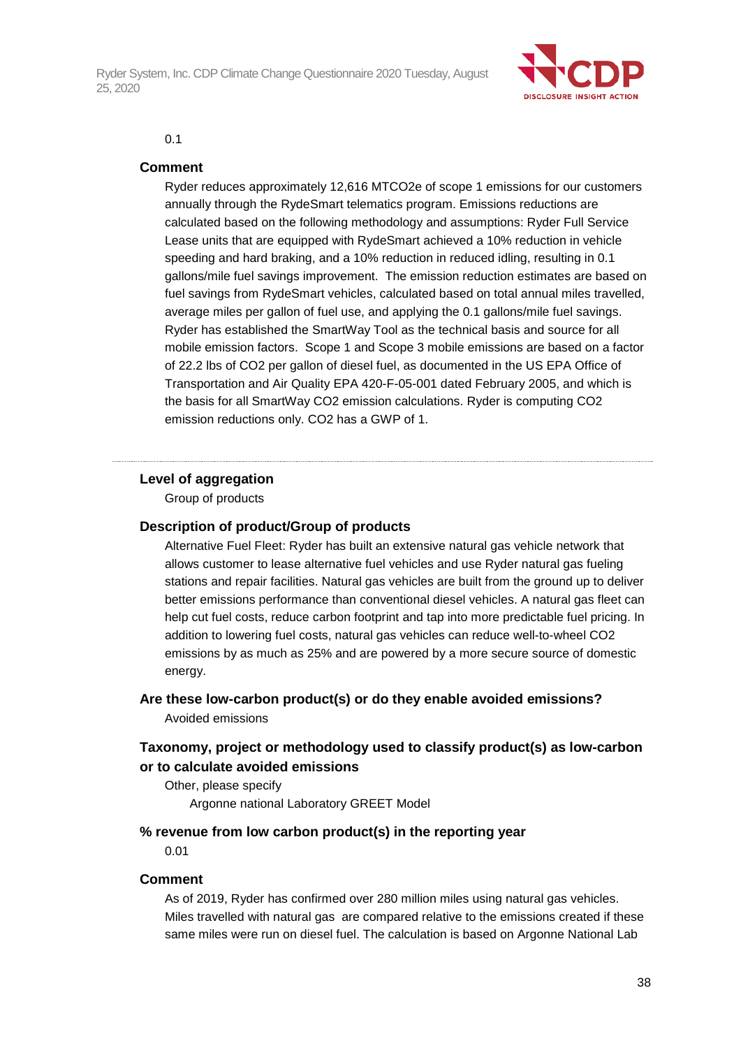

#### 0.1

#### **Comment**

Ryder reduces approximately 12,616 MTCO2e of scope 1 emissions for our customers annually through the RydeSmart telematics program. Emissions reductions are calculated based on the following methodology and assumptions: Ryder Full Service Lease units that are equipped with RydeSmart achieved a 10% reduction in vehicle speeding and hard braking, and a 10% reduction in reduced idling, resulting in 0.1 gallons/mile fuel savings improvement. The emission reduction estimates are based on fuel savings from RydeSmart vehicles, calculated based on total annual miles travelled, average miles per gallon of fuel use, and applying the 0.1 gallons/mile fuel savings. Ryder has established the SmartWay Tool as the technical basis and source for all mobile emission factors. Scope 1 and Scope 3 mobile emissions are based on a factor of 22.2 lbs of CO2 per gallon of diesel fuel, as documented in the US EPA Office of Transportation and Air Quality EPA 420-F-05-001 dated February 2005, and which is the basis for all SmartWay CO2 emission calculations. Ryder is computing CO2 emission reductions only. CO2 has a GWP of 1.

#### **Level of aggregation**

Group of products

#### **Description of product/Group of products**

Alternative Fuel Fleet: Ryder has built an extensive natural gas vehicle network that allows customer to lease alternative fuel vehicles and use Ryder natural gas fueling stations and repair facilities. Natural gas vehicles are built from the ground up to deliver better emissions performance than conventional diesel vehicles. A natural gas fleet can help cut fuel costs, reduce carbon footprint and tap into more predictable fuel pricing. In addition to lowering fuel costs, natural gas vehicles can reduce well-to-wheel CO2 emissions by as much as 25% and are powered by a more secure source of domestic energy.

## **Are these low-carbon product(s) or do they enable avoided emissions?**

Avoided emissions

## **Taxonomy, project or methodology used to classify product(s) as low-carbon or to calculate avoided emissions**

Other, please specify Argonne national Laboratory GREET Model

#### **% revenue from low carbon product(s) in the reporting year**

0.01

#### **Comment**

As of 2019, Ryder has confirmed over 280 million miles using natural gas vehicles. Miles travelled with natural gas are compared relative to the emissions created if these same miles were run on diesel fuel. The calculation is based on Argonne National Lab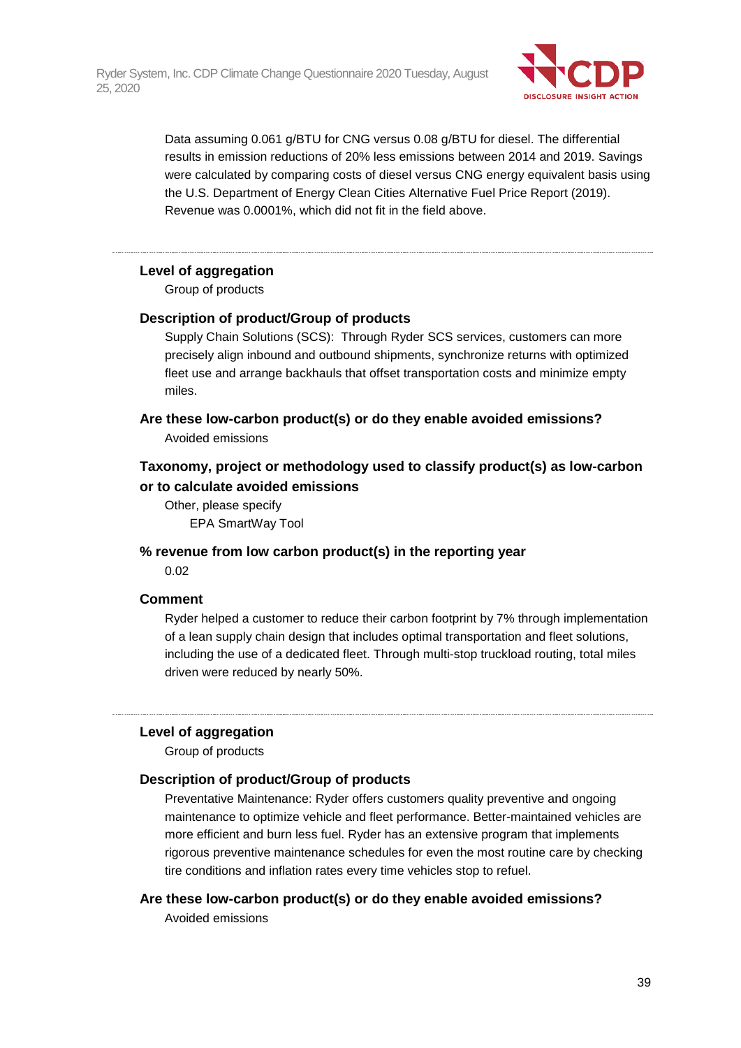

Data assuming 0.061 g/BTU for CNG versus 0.08 g/BTU for diesel. The differential results in emission reductions of 20% less emissions between 2014 and 2019. Savings were calculated by comparing costs of diesel versus CNG energy equivalent basis using the U.S. Department of Energy Clean Cities Alternative Fuel Price Report (2019). Revenue was 0.0001%, which did not fit in the field above.

### **Level of aggregation**

Group of products

#### **Description of product/Group of products**

Supply Chain Solutions (SCS): Through Ryder SCS services, customers can more precisely align inbound and outbound shipments, synchronize returns with optimized fleet use and arrange backhauls that offset transportation costs and minimize empty miles.

**Are these low-carbon product(s) or do they enable avoided emissions?** Avoided emissions

## **Taxonomy, project or methodology used to classify product(s) as low-carbon or to calculate avoided emissions**

Other, please specify EPA SmartWay Tool

**% revenue from low carbon product(s) in the reporting year** 0.02

#### **Comment**

Ryder helped a customer to reduce their carbon footprint by 7% through implementation of a lean supply chain design that includes optimal transportation and fleet solutions, including the use of a dedicated fleet. Through multi-stop truckload routing, total miles driven were reduced by nearly 50%.

#### **Level of aggregation**

Group of products

#### **Description of product/Group of products**

Preventative Maintenance: Ryder offers customers quality preventive and ongoing maintenance to optimize vehicle and fleet performance. Better-maintained vehicles are more efficient and burn less fuel. Ryder has an extensive program that implements rigorous preventive maintenance schedules for even the most routine care by checking tire conditions and inflation rates every time vehicles stop to refuel.

**Are these low-carbon product(s) or do they enable avoided emissions?**

Avoided emissions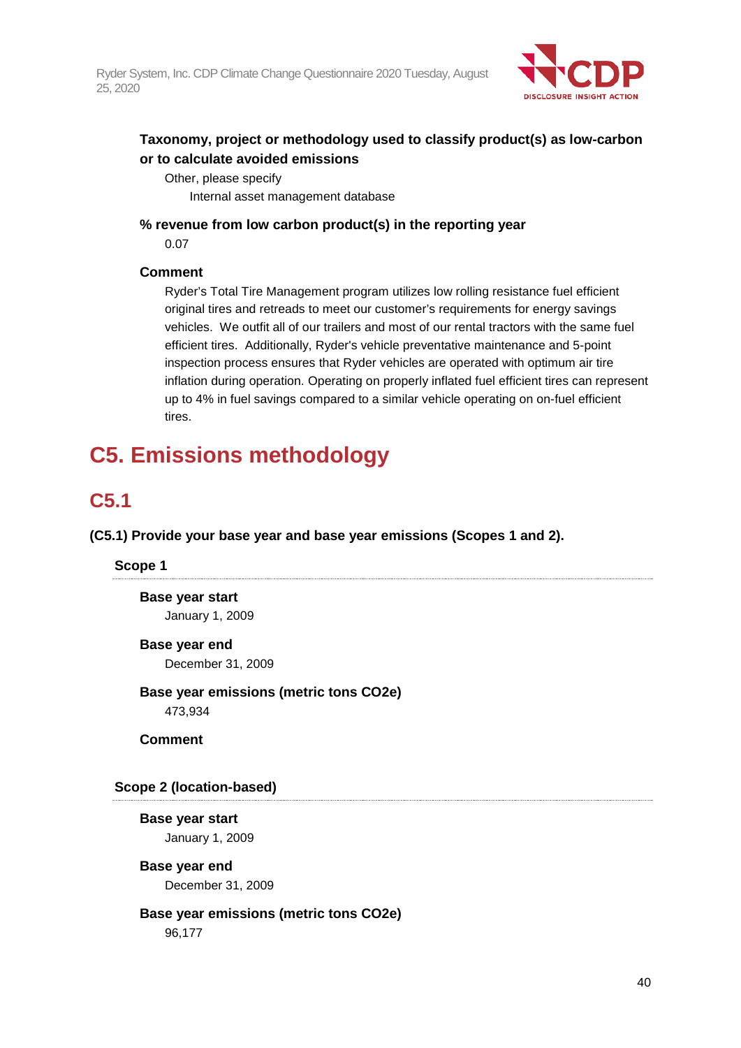

## **Taxonomy, project or methodology used to classify product(s) as low-carbon or to calculate avoided emissions**

Other, please specify Internal asset management database

**% revenue from low carbon product(s) in the reporting year**

0.07

## **Comment**

Ryder's Total Tire Management program utilizes low rolling resistance fuel efficient original tires and retreads to meet our customer's requirements for energy savings vehicles. We outfit all of our trailers and most of our rental tractors with the same fuel efficient tires. Additionally, Ryder's vehicle preventative maintenance and 5-point inspection process ensures that Ryder vehicles are operated with optimum air tire inflation during operation. Operating on properly inflated fuel efficient tires can represent up to 4% in fuel savings compared to a similar vehicle operating on on-fuel efficient tires.

# **C5. Emissions methodology**

# **C5.1**

**(C5.1) Provide your base year and base year emissions (Scopes 1 and 2).**

## **Scope 1**

**Base year start** January 1, 2009

## **Base year end**

December 31, 2009

**Base year emissions (metric tons CO2e)** 473,934

**Comment**

## **Scope 2 (location-based)**

**Base year start** January 1, 2009

## **Base year end** December 31, 2009

## **Base year emissions (metric tons CO2e)**

96,177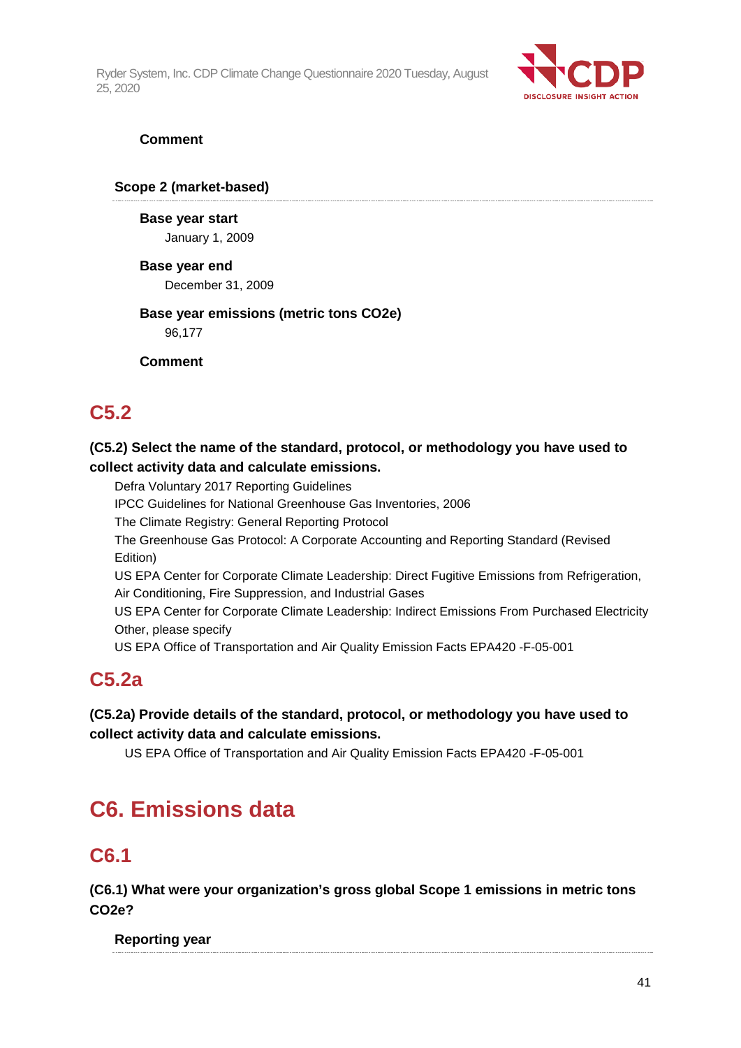

## **Comment**

## **Scope 2 (market-based)**

**Base year start** January 1, 2009

### **Base year end**

December 31, 2009

### **Base year emissions (metric tons CO2e)** 96,177

**Comment**

# **C5.2**

## **(C5.2) Select the name of the standard, protocol, or methodology you have used to collect activity data and calculate emissions.**

Defra Voluntary 2017 Reporting Guidelines

IPCC Guidelines for National Greenhouse Gas Inventories, 2006

The Climate Registry: General Reporting Protocol

The Greenhouse Gas Protocol: A Corporate Accounting and Reporting Standard (Revised Edition)

US EPA Center for Corporate Climate Leadership: Direct Fugitive Emissions from Refrigeration, Air Conditioning, Fire Suppression, and Industrial Gases

US EPA Center for Corporate Climate Leadership: Indirect Emissions From Purchased Electricity Other, please specify

US EPA Office of Transportation and Air Quality Emission Facts EPA420 -F-05-001

# **C5.2a**

## **(C5.2a) Provide details of the standard, protocol, or methodology you have used to collect activity data and calculate emissions.**

US EPA Office of Transportation and Air Quality Emission Facts EPA420 -F-05-001

# **C6. Emissions data**

# **C6.1**

**(C6.1) What were your organization's gross global Scope 1 emissions in metric tons CO2e?**

## **Reporting year**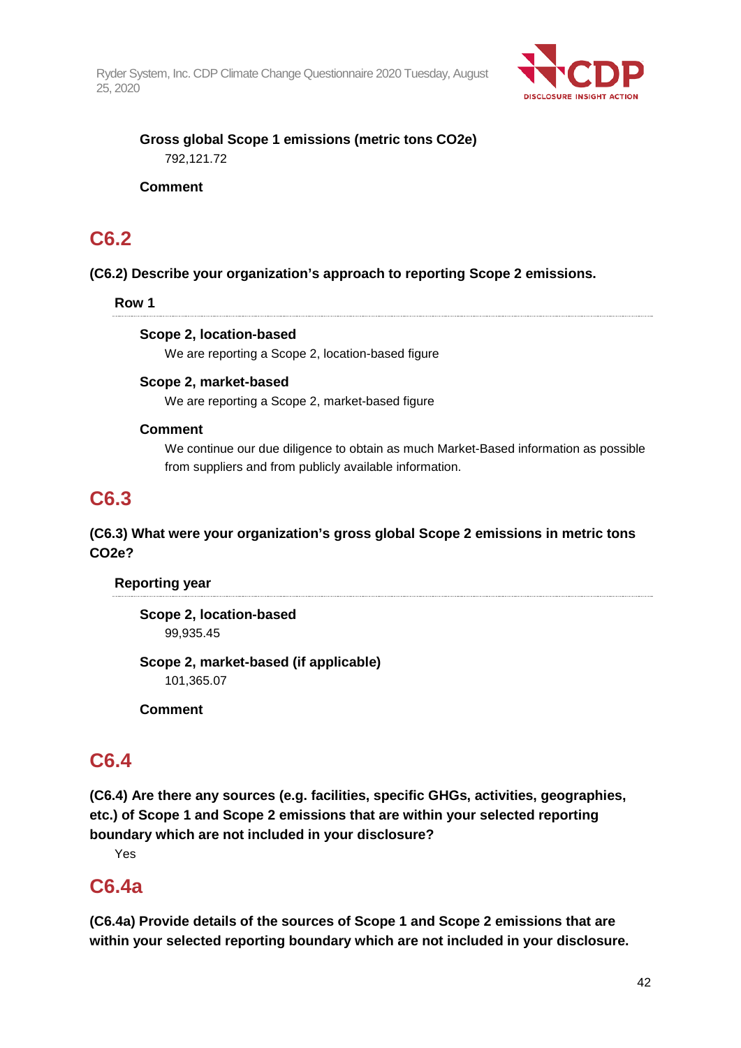

## **Gross global Scope 1 emissions (metric tons CO2e)** 792,121.72

## **Comment**

## **C6.2**

## **(C6.2) Describe your organization's approach to reporting Scope 2 emissions.**

## **Row 1**

## **Scope 2, location-based**

We are reporting a Scope 2, location-based figure

## **Scope 2, market-based**

We are reporting a Scope 2, market-based figure

## **Comment**

We continue our due diligence to obtain as much Market-Based information as possible from suppliers and from publicly available information.

## **C6.3**

## **(C6.3) What were your organization's gross global Scope 2 emissions in metric tons CO2e?**

## **Reporting year**

**Scope 2, location-based** 99,935.45

**Scope 2, market-based (if applicable)** 101,365.07

**Comment**

# **C6.4**

**(C6.4) Are there any sources (e.g. facilities, specific GHGs, activities, geographies, etc.) of Scope 1 and Scope 2 emissions that are within your selected reporting boundary which are not included in your disclosure?**

Yes

## **C6.4a**

**(C6.4a) Provide details of the sources of Scope 1 and Scope 2 emissions that are within your selected reporting boundary which are not included in your disclosure.**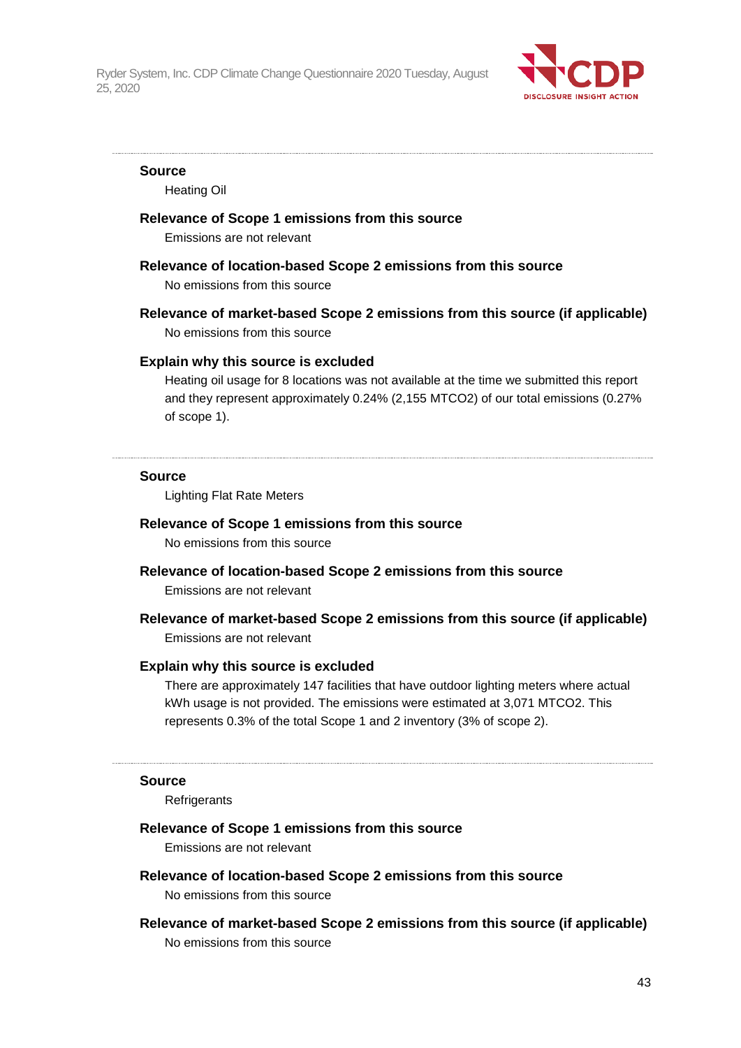

#### **Source**

Heating Oil

### **Relevance of Scope 1 emissions from this source**

Emissions are not relevant

#### **Relevance of location-based Scope 2 emissions from this source**

No emissions from this source

**Relevance of market-based Scope 2 emissions from this source (if applicable)** No emissions from this source

#### **Explain why this source is excluded**

Heating oil usage for 8 locations was not available at the time we submitted this report and they represent approximately 0.24% (2,155 MTCO2) of our total emissions (0.27% of scope 1).

#### **Source**

Lighting Flat Rate Meters

#### **Relevance of Scope 1 emissions from this source**

No emissions from this source

## **Relevance of location-based Scope 2 emissions from this source**

Emissions are not relevant

## **Relevance of market-based Scope 2 emissions from this source (if applicable)** Emissions are not relevant

#### **Explain why this source is excluded**

There are approximately 147 facilities that have outdoor lighting meters where actual kWh usage is not provided. The emissions were estimated at 3,071 MTCO2. This represents 0.3% of the total Scope 1 and 2 inventory (3% of scope 2).

#### **Source**

**Refrigerants** 

#### **Relevance of Scope 1 emissions from this source**

Emissions are not relevant

# **Relevance of location-based Scope 2 emissions from this source**

No emissions from this source

**Relevance of market-based Scope 2 emissions from this source (if applicable)** No emissions from this source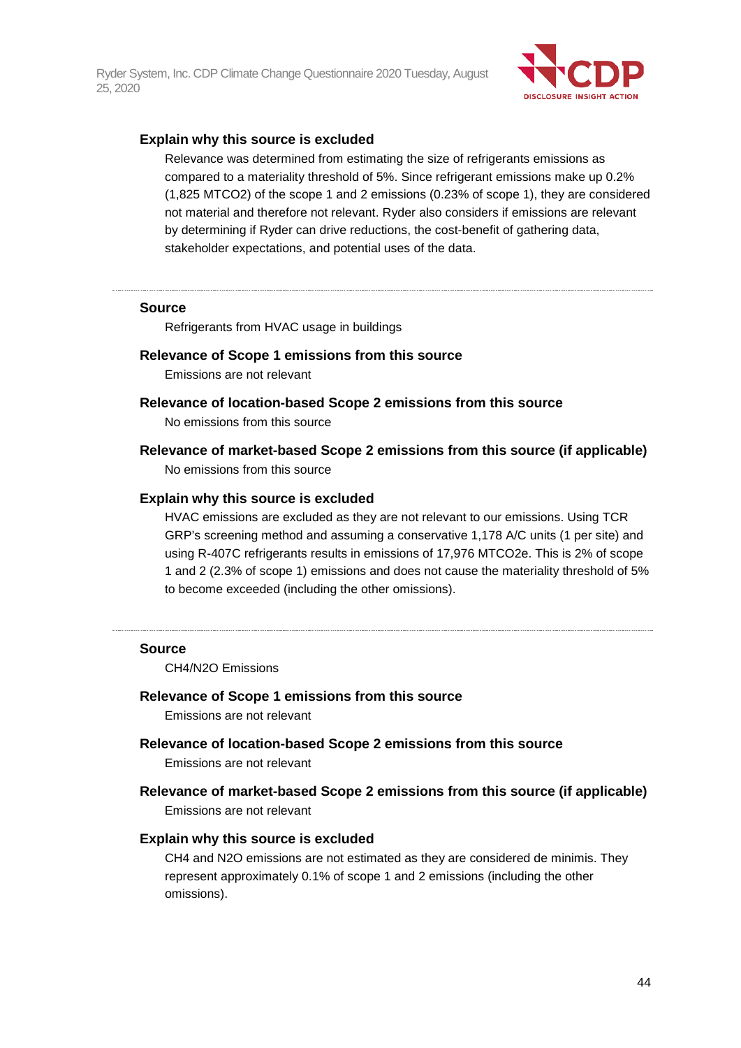

#### **Explain why this source is excluded**

Relevance was determined from estimating the size of refrigerants emissions as compared to a materiality threshold of 5%. Since refrigerant emissions make up 0.2% (1,825 MTCO2) of the scope 1 and 2 emissions (0.23% of scope 1), they are considered not material and therefore not relevant. Ryder also considers if emissions are relevant by determining if Ryder can drive reductions, the cost-benefit of gathering data, stakeholder expectations, and potential uses of the data.

#### **Source**

Refrigerants from HVAC usage in buildings

#### **Relevance of Scope 1 emissions from this source**

Emissions are not relevant

#### **Relevance of location-based Scope 2 emissions from this source**

No emissions from this source

**Relevance of market-based Scope 2 emissions from this source (if applicable)** No emissions from this source

#### **Explain why this source is excluded**

HVAC emissions are excluded as they are not relevant to our emissions. Using TCR GRP's screening method and assuming a conservative 1,178 A/C units (1 per site) and using R-407C refrigerants results in emissions of 17,976 MTCO2e. This is 2% of scope 1 and 2 (2.3% of scope 1) emissions and does not cause the materiality threshold of 5% to become exceeded (including the other omissions).

#### **Source**

CH4/N2O Emissions

#### **Relevance of Scope 1 emissions from this source**

Emissions are not relevant

- **Relevance of location-based Scope 2 emissions from this source** Emissions are not relevant
- **Relevance of market-based Scope 2 emissions from this source (if applicable)** Emissions are not relevant

#### **Explain why this source is excluded**

CH4 and N2O emissions are not estimated as they are considered de minimis. They represent approximately 0.1% of scope 1 and 2 emissions (including the other omissions).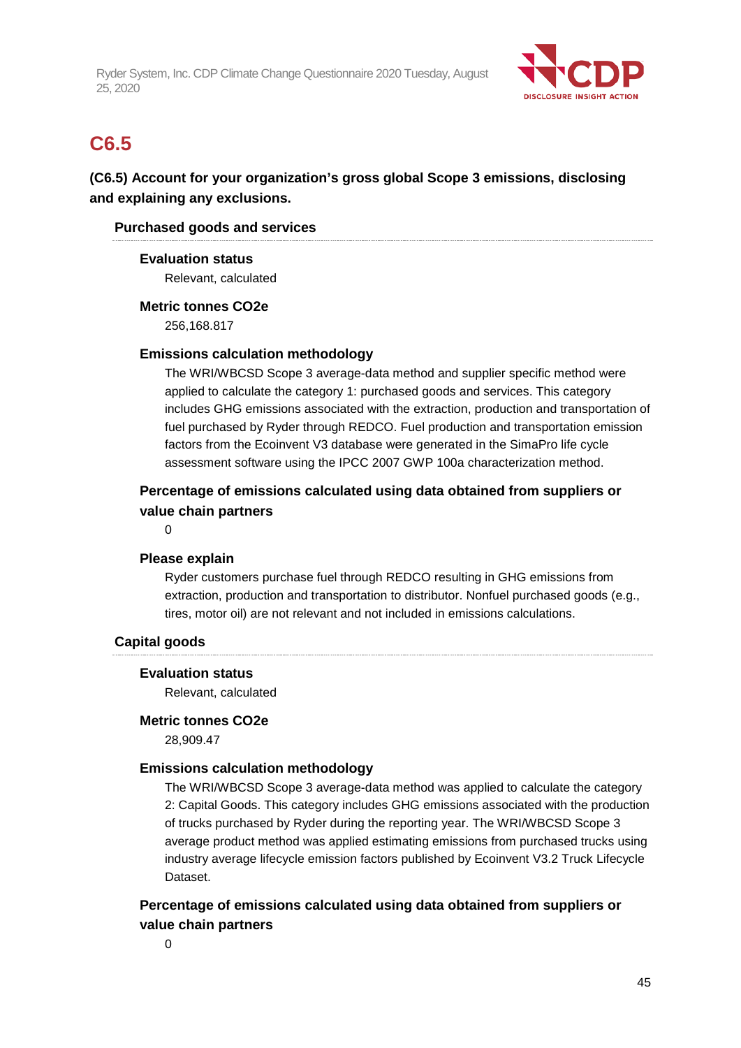

# **C6.5**

## **(C6.5) Account for your organization's gross global Scope 3 emissions, disclosing and explaining any exclusions.**

## **Purchased goods and services**

## **Evaluation status**

Relevant, calculated

## **Metric tonnes CO2e**

256,168.817

## **Emissions calculation methodology**

The WRI/WBCSD Scope 3 average-data method and supplier specific method were applied to calculate the category 1: purchased goods and services. This category includes GHG emissions associated with the extraction, production and transportation of fuel purchased by Ryder through REDCO. Fuel production and transportation emission factors from the Ecoinvent V3 database were generated in the SimaPro life cycle assessment software using the IPCC 2007 GWP 100a characterization method.

## **Percentage of emissions calculated using data obtained from suppliers or value chain partners**

0

## **Please explain**

Ryder customers purchase fuel through REDCO resulting in GHG emissions from extraction, production and transportation to distributor. Nonfuel purchased goods (e.g., tires, motor oil) are not relevant and not included in emissions calculations.

## **Capital goods**

#### **Evaluation status**

Relevant, calculated

#### **Metric tonnes CO2e**

28,909.47

## **Emissions calculation methodology**

The WRI/WBCSD Scope 3 average-data method was applied to calculate the category 2: Capital Goods. This category includes GHG emissions associated with the production of trucks purchased by Ryder during the reporting year. The WRI/WBCSD Scope 3 average product method was applied estimating emissions from purchased trucks using industry average lifecycle emission factors published by Ecoinvent V3.2 Truck Lifecycle Dataset.

## **Percentage of emissions calculated using data obtained from suppliers or value chain partners**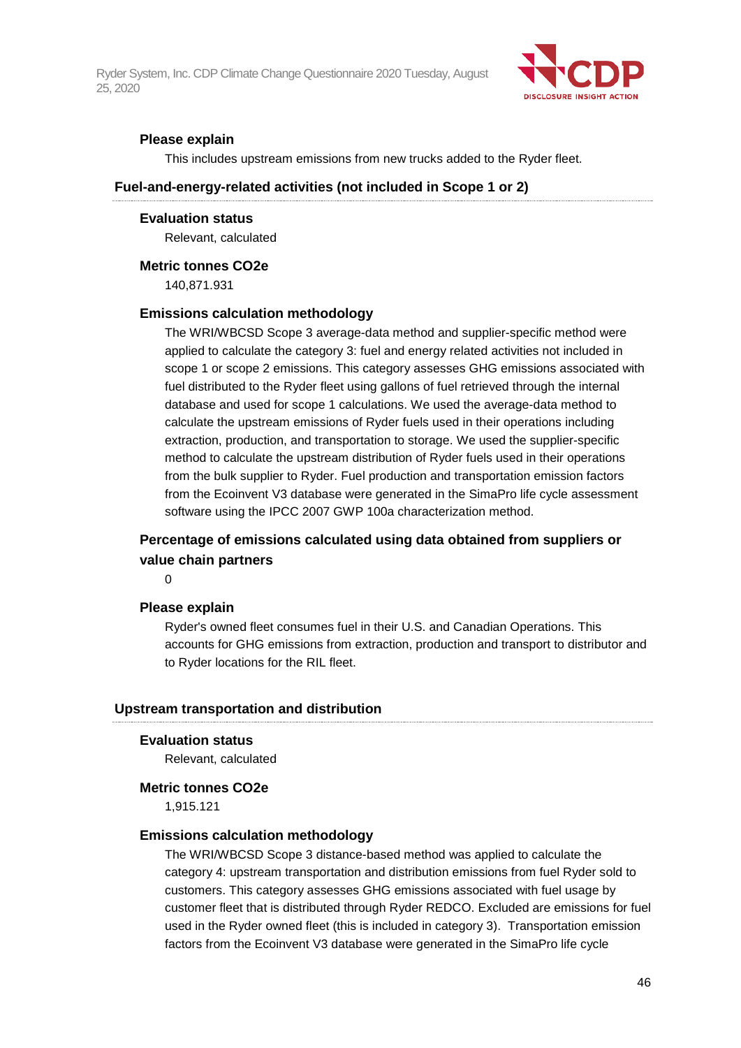

### **Please explain**

This includes upstream emissions from new trucks added to the Ryder fleet.

#### **Fuel-and-energy-related activities (not included in Scope 1 or 2)**

#### **Evaluation status**

Relevant, calculated

#### **Metric tonnes CO2e**

140,871.931

#### **Emissions calculation methodology**

The WRI/WBCSD Scope 3 average-data method and supplier-specific method were applied to calculate the category 3: fuel and energy related activities not included in scope 1 or scope 2 emissions. This category assesses GHG emissions associated with fuel distributed to the Ryder fleet using gallons of fuel retrieved through the internal database and used for scope 1 calculations. We used the average-data method to calculate the upstream emissions of Ryder fuels used in their operations including extraction, production, and transportation to storage. We used the supplier-specific method to calculate the upstream distribution of Ryder fuels used in their operations from the bulk supplier to Ryder. Fuel production and transportation emission factors from the Ecoinvent V3 database were generated in the SimaPro life cycle assessment software using the IPCC 2007 GWP 100a characterization method.

## **Percentage of emissions calculated using data obtained from suppliers or value chain partners**

 $\Omega$ 

#### **Please explain**

Ryder's owned fleet consumes fuel in their U.S. and Canadian Operations. This accounts for GHG emissions from extraction, production and transport to distributor and to Ryder locations for the RIL fleet.

#### **Upstream transportation and distribution**

#### **Evaluation status**

Relevant, calculated

#### **Metric tonnes CO2e**

1,915.121

#### **Emissions calculation methodology**

The WRI/WBCSD Scope 3 distance-based method was applied to calculate the category 4: upstream transportation and distribution emissions from fuel Ryder sold to customers. This category assesses GHG emissions associated with fuel usage by customer fleet that is distributed through Ryder REDCO. Excluded are emissions for fuel used in the Ryder owned fleet (this is included in category 3). Transportation emission factors from the Ecoinvent V3 database were generated in the SimaPro life cycle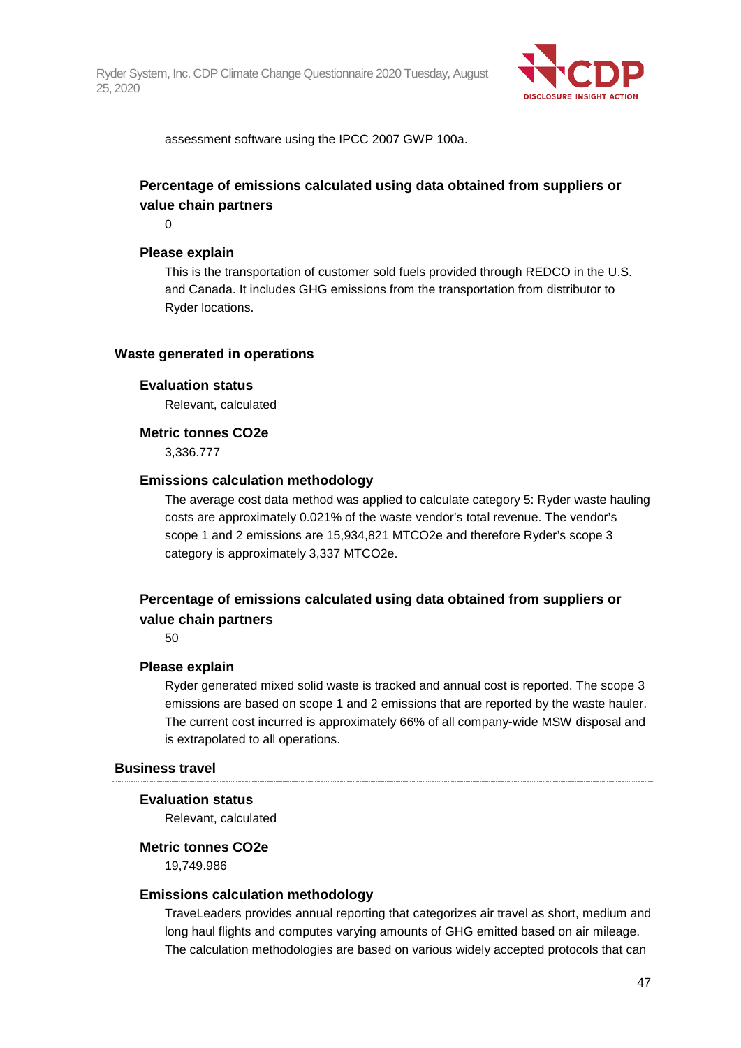

assessment software using the IPCC 2007 GWP 100a.

## **Percentage of emissions calculated using data obtained from suppliers or value chain partners**

0

#### **Please explain**

This is the transportation of customer sold fuels provided through REDCO in the U.S. and Canada. It includes GHG emissions from the transportation from distributor to Ryder locations.

#### **Waste generated in operations**

#### **Evaluation status**

Relevant, calculated

#### **Metric tonnes CO2e**

3,336.777

#### **Emissions calculation methodology**

The average cost data method was applied to calculate category 5: Ryder waste hauling costs are approximately 0.021% of the waste vendor's total revenue. The vendor's scope 1 and 2 emissions are 15,934,821 MTCO2e and therefore Ryder's scope 3 category is approximately 3,337 MTCO2e.

## **Percentage of emissions calculated using data obtained from suppliers or value chain partners**

50

#### **Please explain**

Ryder generated mixed solid waste is tracked and annual cost is reported. The scope 3 emissions are based on scope 1 and 2 emissions that are reported by the waste hauler. The current cost incurred is approximately 66% of all company-wide MSW disposal and is extrapolated to all operations.

#### **Business travel**

#### **Evaluation status**

Relevant, calculated

#### **Metric tonnes CO2e**

19,749.986

#### **Emissions calculation methodology**

TraveLeaders provides annual reporting that categorizes air travel as short, medium and long haul flights and computes varying amounts of GHG emitted based on air mileage. The calculation methodologies are based on various widely accepted protocols that can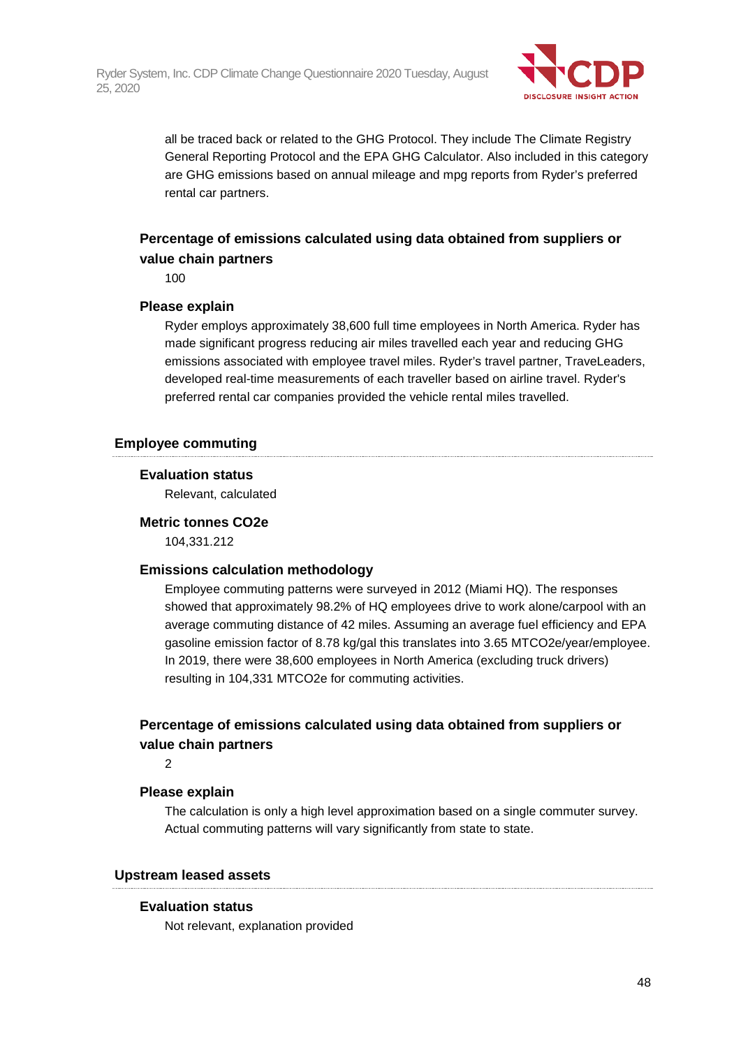

all be traced back or related to the GHG Protocol. They include The Climate Registry General Reporting Protocol and the EPA GHG Calculator. Also included in this category are GHG emissions based on annual mileage and mpg reports from Ryder's preferred rental car partners.

## **Percentage of emissions calculated using data obtained from suppliers or value chain partners**

100

### **Please explain**

Ryder employs approximately 38,600 full time employees in North America. Ryder has made significant progress reducing air miles travelled each year and reducing GHG emissions associated with employee travel miles. Ryder's travel partner, TraveLeaders, developed real-time measurements of each traveller based on airline travel. Ryder's preferred rental car companies provided the vehicle rental miles travelled.

### **Employee commuting**

### **Evaluation status**

Relevant, calculated

#### **Metric tonnes CO2e**

104,331.212

#### **Emissions calculation methodology**

Employee commuting patterns were surveyed in 2012 (Miami HQ). The responses showed that approximately 98.2% of HQ employees drive to work alone/carpool with an average commuting distance of 42 miles. Assuming an average fuel efficiency and EPA gasoline emission factor of 8.78 kg/gal this translates into 3.65 MTCO2e/year/employee. In 2019, there were 38,600 employees in North America (excluding truck drivers) resulting in 104,331 MTCO2e for commuting activities.

## **Percentage of emissions calculated using data obtained from suppliers or value chain partners**

2

## **Please explain**

The calculation is only a high level approximation based on a single commuter survey. Actual commuting patterns will vary significantly from state to state.

#### **Upstream leased assets**

## **Evaluation status**

Not relevant, explanation provided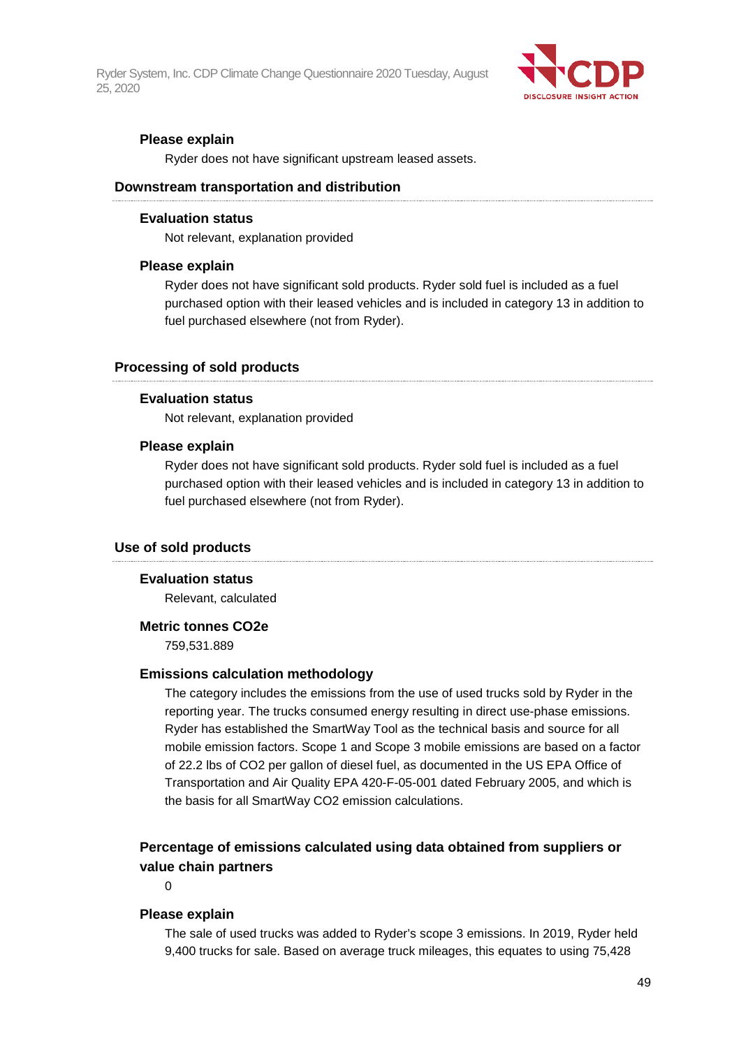

### **Please explain**

Ryder does not have significant upstream leased assets.

#### **Downstream transportation and distribution**

#### **Evaluation status**

Not relevant, explanation provided

#### **Please explain**

Ryder does not have significant sold products. Ryder sold fuel is included as a fuel purchased option with their leased vehicles and is included in category 13 in addition to fuel purchased elsewhere (not from Ryder).

#### **Processing of sold products**

#### **Evaluation status**

Not relevant, explanation provided

#### **Please explain**

Ryder does not have significant sold products. Ryder sold fuel is included as a fuel purchased option with their leased vehicles and is included in category 13 in addition to fuel purchased elsewhere (not from Ryder).

#### **Use of sold products**

#### **Evaluation status**

Relevant, calculated

#### **Metric tonnes CO2e**

759,531.889

#### **Emissions calculation methodology**

The category includes the emissions from the use of used trucks sold by Ryder in the reporting year. The trucks consumed energy resulting in direct use-phase emissions. Ryder has established the SmartWay Tool as the technical basis and source for all mobile emission factors. Scope 1 and Scope 3 mobile emissions are based on a factor of 22.2 lbs of CO2 per gallon of diesel fuel, as documented in the US EPA Office of Transportation and Air Quality EPA 420-F-05-001 dated February 2005, and which is the basis for all SmartWay CO2 emission calculations.

## **Percentage of emissions calculated using data obtained from suppliers or value chain partners**

 $\Omega$ 

#### **Please explain**

The sale of used trucks was added to Ryder's scope 3 emissions. In 2019, Ryder held 9,400 trucks for sale. Based on average truck mileages, this equates to using 75,428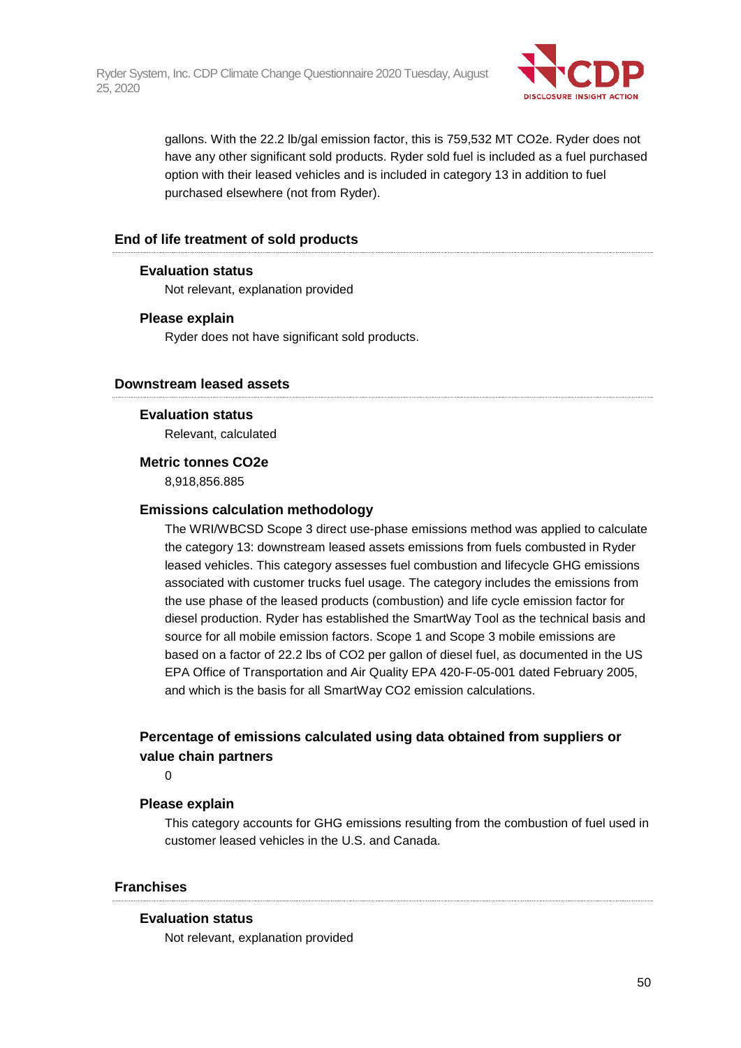

gallons. With the 22.2 lb/gal emission factor, this is 759,532 MT CO2e. Ryder does not have any other significant sold products. Ryder sold fuel is included as a fuel purchased option with their leased vehicles and is included in category 13 in addition to fuel purchased elsewhere (not from Ryder).

## **End of life treatment of sold products**

## **Evaluation status**

Not relevant, explanation provided

### **Please explain**

Ryder does not have significant sold products.

### **Downstream leased assets**

#### **Evaluation status**

Relevant, calculated

### **Metric tonnes CO2e**

8,918,856.885

### **Emissions calculation methodology**

The WRI/WBCSD Scope 3 direct use-phase emissions method was applied to calculate the category 13: downstream leased assets emissions from fuels combusted in Ryder leased vehicles. This category assesses fuel combustion and lifecycle GHG emissions associated with customer trucks fuel usage. The category includes the emissions from the use phase of the leased products (combustion) and life cycle emission factor for diesel production. Ryder has established the SmartWay Tool as the technical basis and source for all mobile emission factors. Scope 1 and Scope 3 mobile emissions are based on a factor of 22.2 lbs of CO2 per gallon of diesel fuel, as documented in the US EPA Office of Transportation and Air Quality EPA 420-F-05-001 dated February 2005, and which is the basis for all SmartWay CO2 emission calculations.

## **Percentage of emissions calculated using data obtained from suppliers or value chain partners**

 $\Omega$ 

#### **Please explain**

This category accounts for GHG emissions resulting from the combustion of fuel used in customer leased vehicles in the U.S. and Canada.

### **Franchises**

#### **Evaluation status**

Not relevant, explanation provided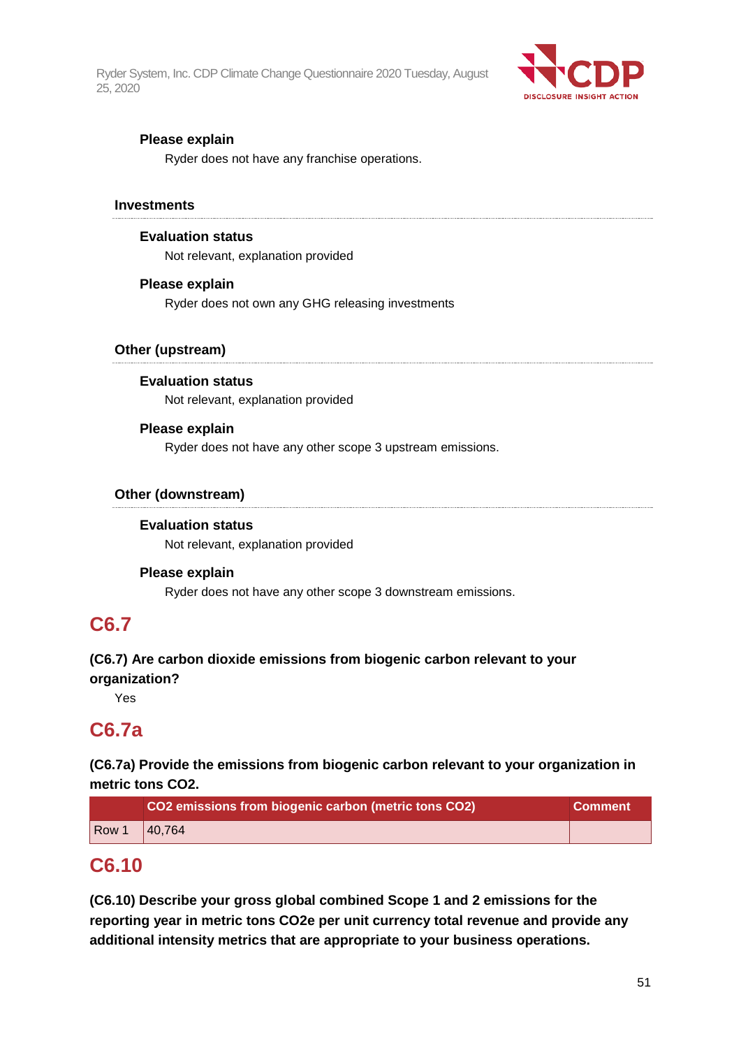

## **Please explain**

Ryder does not have any franchise operations.

#### **Investments**

### **Evaluation status**

Not relevant, explanation provided

### **Please explain**

Ryder does not own any GHG releasing investments

## **Other (upstream)**

### **Evaluation status**

Not relevant, explanation provided

### **Please explain**

Ryder does not have any other scope 3 upstream emissions.

## **Other (downstream)**

## **Evaluation status**

Not relevant, explanation provided

#### **Please explain**

Ryder does not have any other scope 3 downstream emissions.

## **C6.7**

# **(C6.7) Are carbon dioxide emissions from biogenic carbon relevant to your**

**organization?**

Yes

## **C6.7a**

## **(C6.7a) Provide the emissions from biogenic carbon relevant to your organization in metric tons CO2.**

|                  | CO2 emissions from biogenic carbon (metric tons CO2) | <b>Comment</b> |
|------------------|------------------------------------------------------|----------------|
| Row <sup>1</sup> | 40.764                                               |                |

## **C6.10**

**(C6.10) Describe your gross global combined Scope 1 and 2 emissions for the reporting year in metric tons CO2e per unit currency total revenue and provide any additional intensity metrics that are appropriate to your business operations.**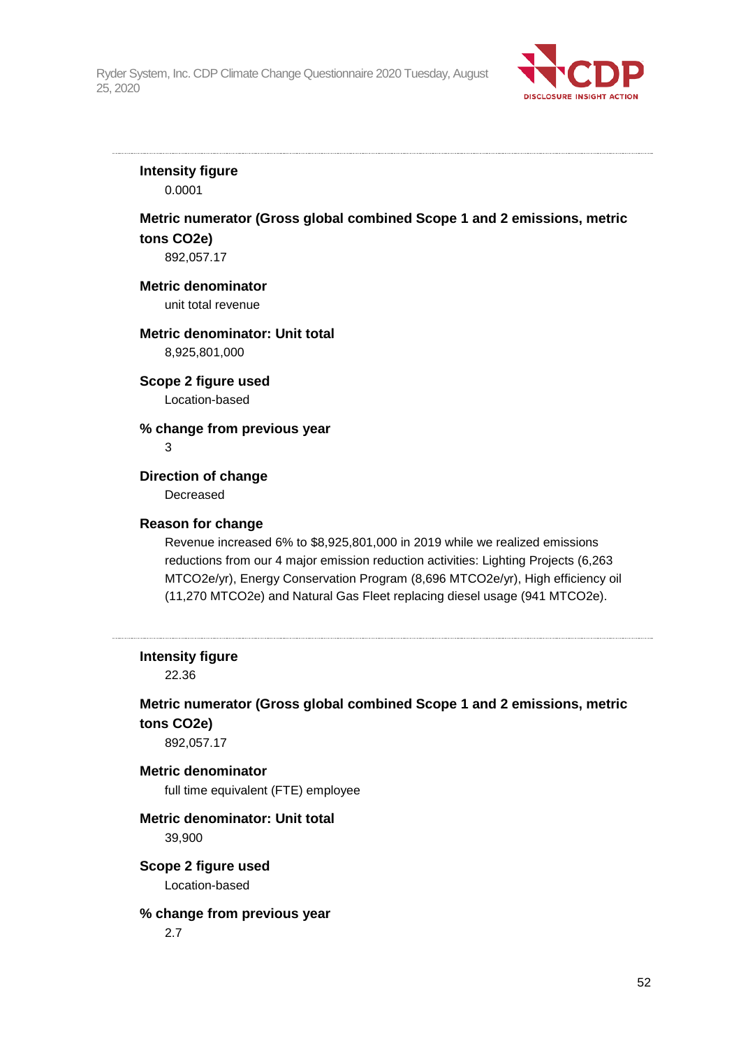

## **Intensity figure**

0.0001

## **Metric numerator (Gross global combined Scope 1 and 2 emissions, metric tons CO2e)**

892,057.17

#### **Metric denominator**

unit total revenue

### **Metric denominator: Unit total**

8,925,801,000

### **Scope 2 figure used**

Location-based

### **% change from previous year**

3

## **Direction of change**

Decreased

#### **Reason for change**

Revenue increased 6% to \$8,925,801,000 in 2019 while we realized emissions reductions from our 4 major emission reduction activities: Lighting Projects (6,263 MTCO2e/yr), Energy Conservation Program (8,696 MTCO2e/yr), High efficiency oil (11,270 MTCO2e) and Natural Gas Fleet replacing diesel usage (941 MTCO2e).

#### **Intensity figure**

22.36

## **Metric numerator (Gross global combined Scope 1 and 2 emissions, metric tons CO2e)**

892,057.17

#### **Metric denominator**

full time equivalent (FTE) employee

## **Metric denominator: Unit total**

39,900

## **Scope 2 figure used**

Location-based

#### **% change from previous year**

2.7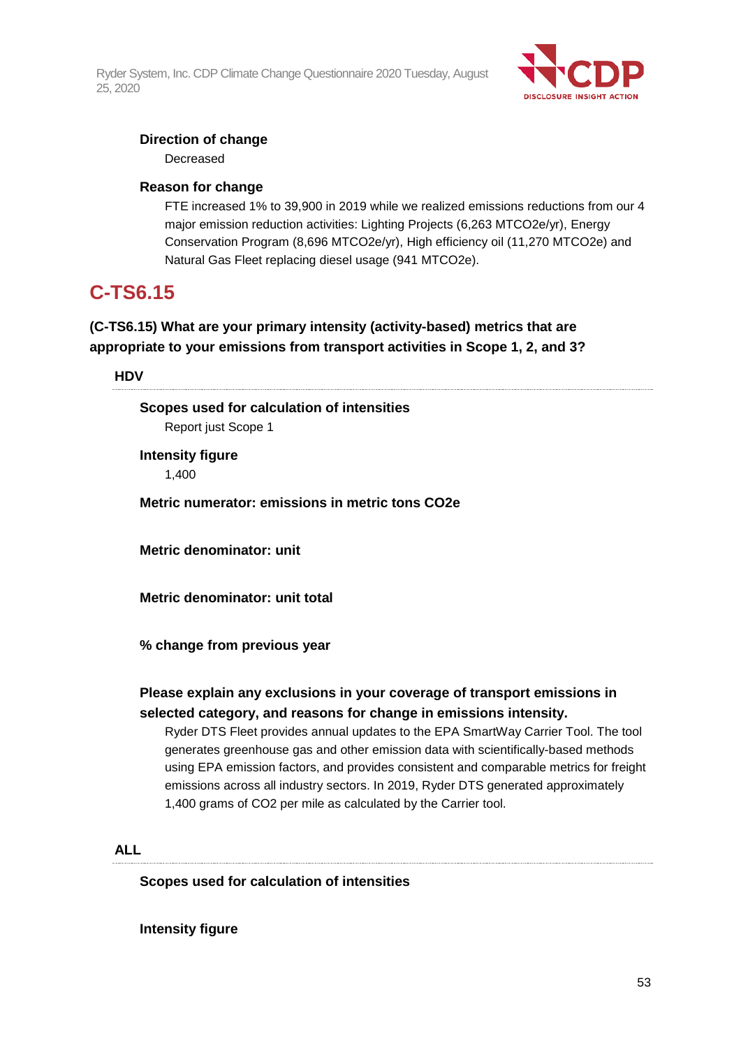

## **Direction of change**

Decreased

## **Reason for change**

FTE increased 1% to 39,900 in 2019 while we realized emissions reductions from our 4 major emission reduction activities: Lighting Projects (6,263 MTCO2e/yr), Energy Conservation Program (8,696 MTCO2e/yr), High efficiency oil (11,270 MTCO2e) and Natural Gas Fleet replacing diesel usage (941 MTCO2e).

## **C-TS6.15**

## **(C-TS6.15) What are your primary intensity (activity-based) metrics that are appropriate to your emissions from transport activities in Scope 1, 2, and 3?**

## **HDV**

**Scopes used for calculation of intensities** Report just Scope 1

**Intensity figure** 1,400

**Metric numerator: emissions in metric tons CO2e**

**Metric denominator: unit**

**Metric denominator: unit total**

**% change from previous year**

## **Please explain any exclusions in your coverage of transport emissions in selected category, and reasons for change in emissions intensity.**

Ryder DTS Fleet provides annual updates to the EPA SmartWay Carrier Tool. The tool generates greenhouse gas and other emission data with scientifically-based methods using EPA emission factors, and provides consistent and comparable metrics for freight emissions across all industry sectors. In 2019, Ryder DTS generated approximately 1,400 grams of CO2 per mile as calculated by the Carrier tool.

## **ALL**

**Scopes used for calculation of intensities**

**Intensity figure**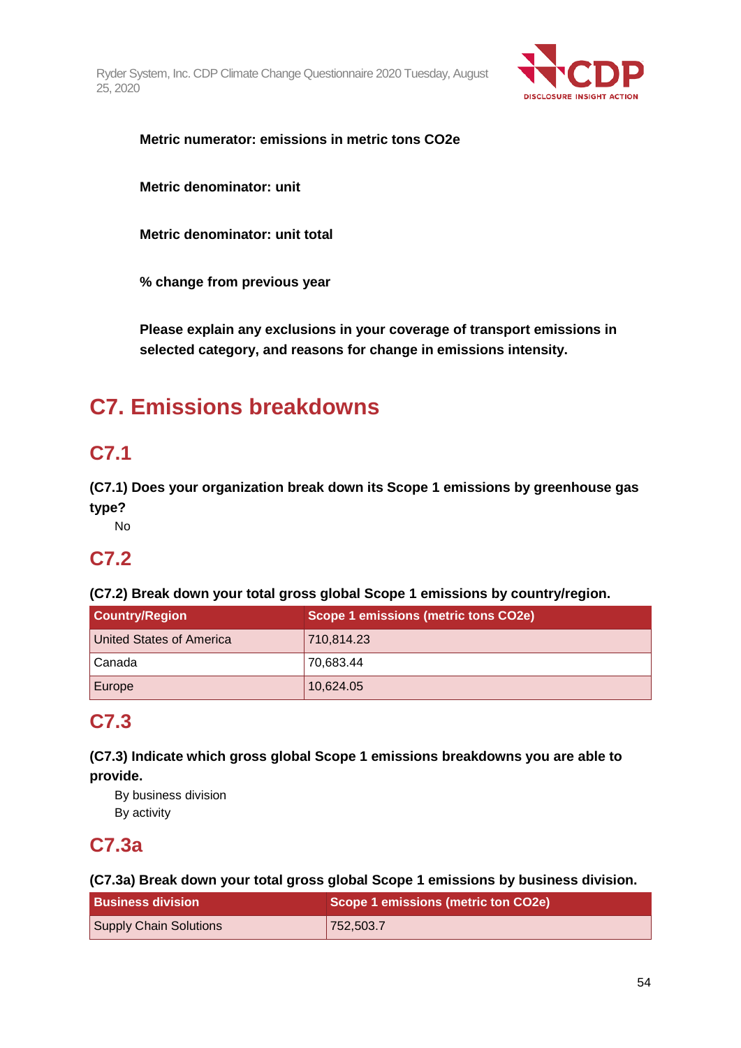

**Metric numerator: emissions in metric tons CO2e**

**Metric denominator: unit**

**Metric denominator: unit total**

**% change from previous year**

**Please explain any exclusions in your coverage of transport emissions in selected category, and reasons for change in emissions intensity.**

# **C7. Emissions breakdowns**

# **C7.1**

**(C7.1) Does your organization break down its Scope 1 emissions by greenhouse gas type?**

No

# **C7.2**

**(C7.2) Break down your total gross global Scope 1 emissions by country/region.**

| <b>Country/Region</b>    | Scope 1 emissions (metric tons CO2e) |
|--------------------------|--------------------------------------|
| United States of America | 710,814.23                           |
| Canada                   | 70,683.44                            |
| Europe                   | 10,624.05                            |

# **C7.3**

**(C7.3) Indicate which gross global Scope 1 emissions breakdowns you are able to provide.**

By business division By activity

# **C7.3a**

**(C7.3a) Break down your total gross global Scope 1 emissions by business division.**

| <b>Business division</b>      | Scope 1 emissions (metric ton CO2e) |
|-------------------------------|-------------------------------------|
| <b>Supply Chain Solutions</b> | 752,503.7                           |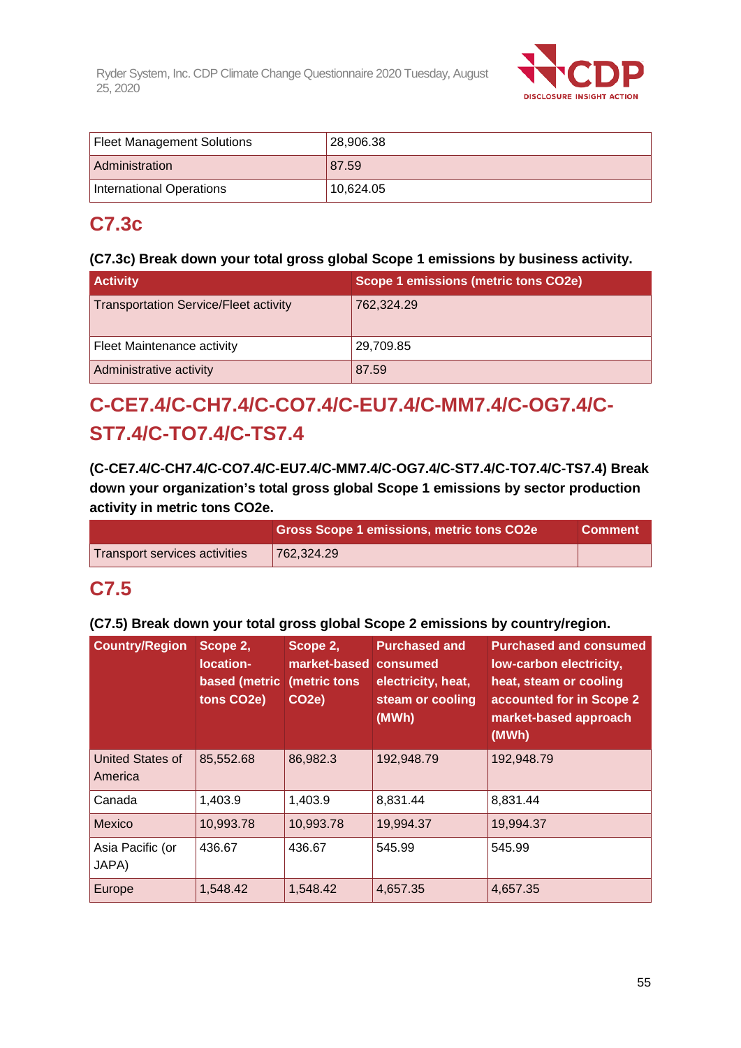

| <b>Fleet Management Solutions</b> | 28,906.38 |
|-----------------------------------|-----------|
| Administration                    | 87.59     |
| International Operations          | 10.624.05 |

# **C7.3c**

## **(C7.3c) Break down your total gross global Scope 1 emissions by business activity.**

| <b>Activity</b>                              | Scope 1 emissions (metric tons CO2e) |  |  |
|----------------------------------------------|--------------------------------------|--|--|
| <b>Transportation Service/Fleet activity</b> | 762,324.29                           |  |  |
| Fleet Maintenance activity                   | 29,709.85                            |  |  |
| Administrative activity                      | 87.59                                |  |  |

# **C-CE7.4/C-CH7.4/C-CO7.4/C-EU7.4/C-MM7.4/C-OG7.4/C-ST7.4/C-TO7.4/C-TS7.4**

**(C-CE7.4/C-CH7.4/C-CO7.4/C-EU7.4/C-MM7.4/C-OG7.4/C-ST7.4/C-TO7.4/C-TS7.4) Break down your organization's total gross global Scope 1 emissions by sector production activity in metric tons CO2e.**

|                               | <b>Gross Scope 1 emissions, metric tons CO2e</b> | <b>Comment</b> |
|-------------------------------|--------------------------------------------------|----------------|
| Transport services activities | 762,324.29                                       |                |

# **C7.5**

## **(C7.5) Break down your total gross global Scope 2 emissions by country/region.**

| <b>Country/Region</b>       | Scope 2,<br>location-<br>based (metric<br>tons CO2e) | Scope 2,<br>market-based<br>(metric tons<br>CO <sub>2e</sub> ) | <b>Purchased and</b><br>consumed<br>electricity, heat,<br>steam or cooling<br>(MWh) | <b>Purchased and consumed</b><br>low-carbon electricity,<br>heat, steam or cooling<br>accounted for in Scope 2<br>market-based approach<br>(MWh) |
|-----------------------------|------------------------------------------------------|----------------------------------------------------------------|-------------------------------------------------------------------------------------|--------------------------------------------------------------------------------------------------------------------------------------------------|
| United States of<br>America | 85,552.68                                            | 86,982.3                                                       | 192,948.79                                                                          | 192,948.79                                                                                                                                       |
| Canada                      | 1,403.9                                              | 1,403.9                                                        | 8,831.44                                                                            | 8,831.44                                                                                                                                         |
| Mexico                      | 10,993.78                                            | 10,993.78                                                      | 19,994.37                                                                           | 19,994.37                                                                                                                                        |
| Asia Pacific (or<br>JAPA)   | 436.67                                               | 436.67                                                         | 545.99                                                                              | 545.99                                                                                                                                           |
| Europe                      | 1,548.42                                             | 1,548.42                                                       | 4,657.35                                                                            | 4,657.35                                                                                                                                         |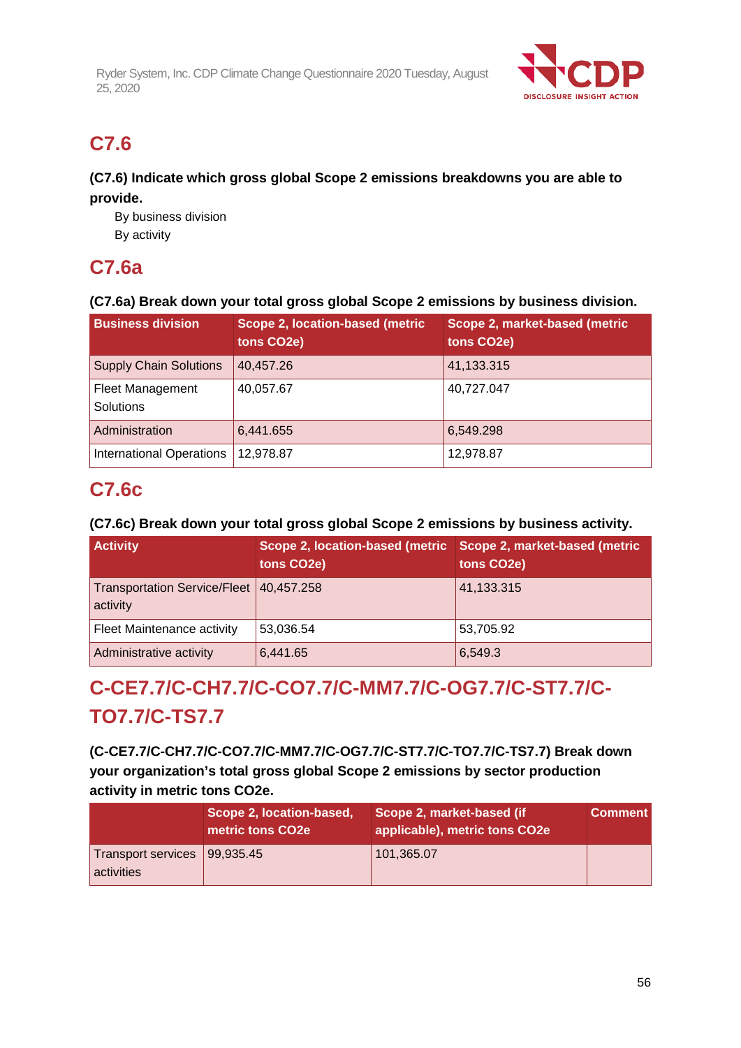

# **C7.6**

## **(C7.6) Indicate which gross global Scope 2 emissions breakdowns you are able to provide.**

By business division By activity

# **C7.6a**

## **(C7.6a) Break down your total gross global Scope 2 emissions by business division.**

| <b>Business division</b>                    | Scope 2, location-based (metric<br>tons CO2e) | Scope 2, market-based (metric<br>tons CO2e) |
|---------------------------------------------|-----------------------------------------------|---------------------------------------------|
| <b>Supply Chain Solutions</b>               | 40,457.26                                     | 41,133.315                                  |
| <b>Fleet Management</b><br><b>Solutions</b> | 40,057.67                                     | 40,727.047                                  |
| Administration                              | 6,441.655                                     | 6,549.298                                   |
| <b>International Operations</b>             | 12,978.87                                     | 12,978.87                                   |

# **C7.6c**

## **(C7.6c) Break down your total gross global Scope 2 emissions by business activity.**

| <b>Activity</b>                                     | Scope 2, location-based (metric<br>tons CO2e) | Scope 2, market-based (metric<br>tons CO2e) |
|-----------------------------------------------------|-----------------------------------------------|---------------------------------------------|
| Transportation Service/Fleet 40,457.258<br>activity |                                               | 41,133.315                                  |
| Fleet Maintenance activity                          | 53,036.54                                     | 53,705.92                                   |
| Administrative activity                             | 6,441.65                                      | 6,549.3                                     |

# **C-CE7.7/C-CH7.7/C-CO7.7/C-MM7.7/C-OG7.7/C-ST7.7/C-TO7.7/C-TS7.7**

**(C-CE7.7/C-CH7.7/C-CO7.7/C-MM7.7/C-OG7.7/C-ST7.7/C-TO7.7/C-TS7.7) Break down your organization's total gross global Scope 2 emissions by sector production activity in metric tons CO2e.**

|                                              | Scope 2, location-based,<br>metric tons CO2e | Scope 2, market-based (if<br>applicable), metric tons CO2e | <b>Comment</b> |
|----------------------------------------------|----------------------------------------------|------------------------------------------------------------|----------------|
| Transport services   99,935.45<br>activities |                                              | 101,365.07                                                 |                |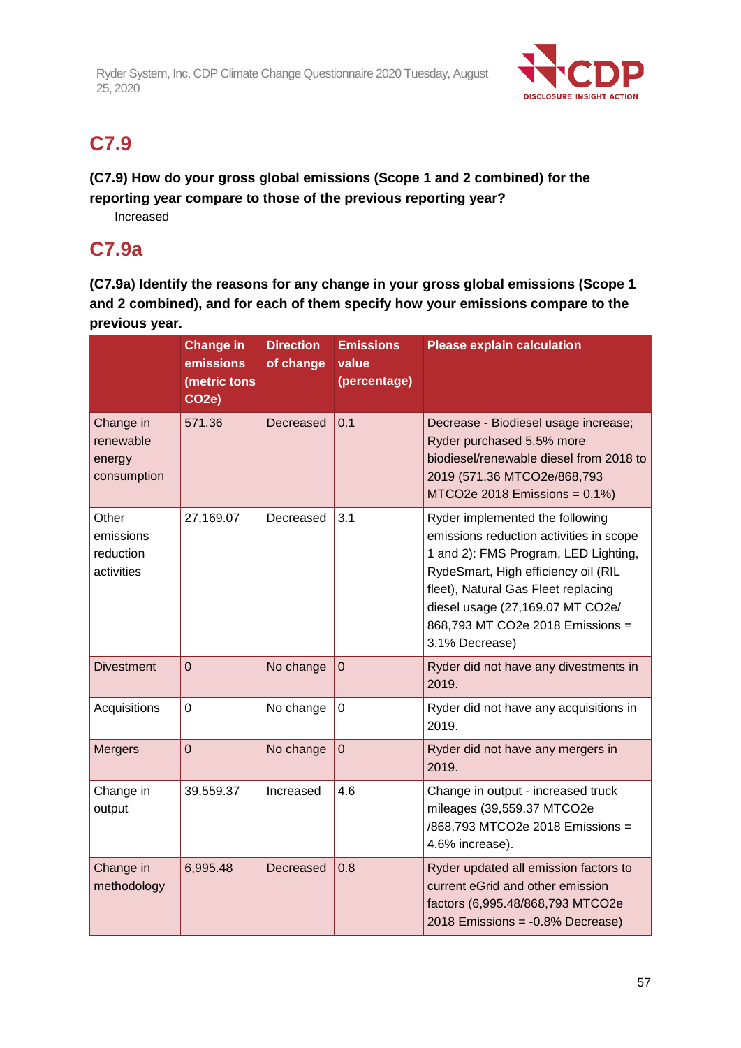

# **C7.9**

## **(C7.9) How do your gross global emissions (Scope 1 and 2 combined) for the reporting year compare to those of the previous reporting year?**

Increased

# **C7.9a**

**(C7.9a) Identify the reasons for any change in your gross global emissions (Scope 1 and 2 combined), and for each of them specify how your emissions compare to the previous year.**

|                                                 | <b>Change in</b><br>emissions<br>(metric tons<br>CO <sub>2</sub> e) | <b>Direction</b><br>of change | <b>Emissions</b><br>value<br>(percentage) | <b>Please explain calculation</b>                                                                                                                                                                                                                                                          |
|-------------------------------------------------|---------------------------------------------------------------------|-------------------------------|-------------------------------------------|--------------------------------------------------------------------------------------------------------------------------------------------------------------------------------------------------------------------------------------------------------------------------------------------|
| Change in<br>renewable<br>energy<br>consumption | 571.36                                                              | Decreased                     | 0.1                                       | Decrease - Biodiesel usage increase;<br>Ryder purchased 5.5% more<br>biodiesel/renewable diesel from 2018 to<br>2019 (571.36 MTCO2e/868,793<br>MTCO2e 2018 Emissions = $0.1\%$ )                                                                                                           |
| Other<br>emissions<br>reduction<br>activities   | 27,169.07                                                           | Decreased                     | 3.1                                       | Ryder implemented the following<br>emissions reduction activities in scope<br>1 and 2): FMS Program, LED Lighting,<br>RydeSmart, High efficiency oil (RIL<br>fleet), Natural Gas Fleet replacing<br>diesel usage (27,169.07 MT CO2e/<br>868,793 MT CO2e 2018 Emissions =<br>3.1% Decrease) |
| <b>Divestment</b>                               | $\overline{0}$                                                      | No change                     | $\mathbf 0$                               | Ryder did not have any divestments in<br>2019.                                                                                                                                                                                                                                             |
| Acquisitions                                    | 0                                                                   | No change                     | $\mathbf 0$                               | Ryder did not have any acquisitions in<br>2019.                                                                                                                                                                                                                                            |
| <b>Mergers</b>                                  | $\overline{0}$                                                      | No change                     | $\overline{0}$                            | Ryder did not have any mergers in<br>2019.                                                                                                                                                                                                                                                 |
| Change in<br>output                             | 39,559.37                                                           | Increased                     | 4.6                                       | Change in output - increased truck<br>mileages (39,559.37 MTCO2e<br>/868,793 MTCO2e 2018 Emissions =<br>4.6% increase).                                                                                                                                                                    |
| Change in<br>methodology                        | 6,995.48                                                            | Decreased                     | 0.8                                       | Ryder updated all emission factors to<br>current eGrid and other emission<br>factors (6,995.48/868,793 MTCO2e<br>2018 Emissions = -0.8% Decrease)                                                                                                                                          |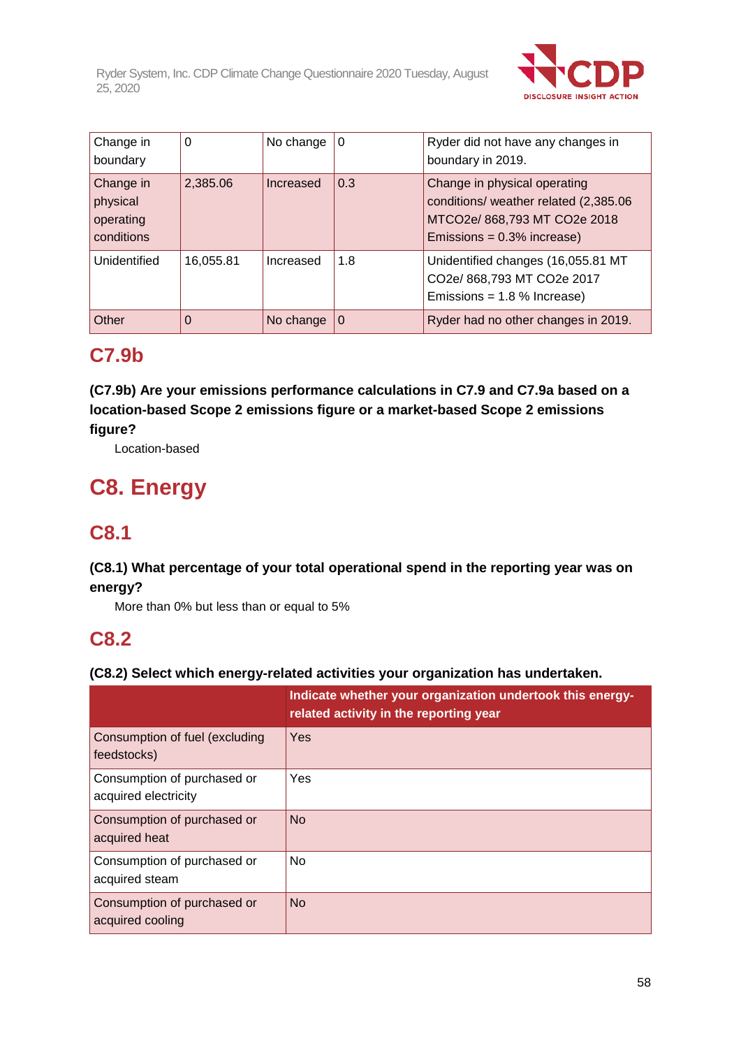

| Change in<br>boundary                            | 0         | No change | 0   | Ryder did not have any changes in<br>boundary in 2019.                                                                                 |
|--------------------------------------------------|-----------|-----------|-----|----------------------------------------------------------------------------------------------------------------------------------------|
| Change in<br>physical<br>operating<br>conditions | 2,385.06  | Increased | 0.3 | Change in physical operating<br>conditions/ weather related (2,385.06<br>MTCO2e/ 868,793 MT CO2e 2018<br>Emissions = $0.3\%$ increase) |
| Unidentified                                     | 16,055.81 | Increased | 1.8 | Unidentified changes (16,055.81 MT<br>CO2e/ 868,793 MT CO2e 2017<br>Emissions = $1.8$ % Increase)                                      |
| Other                                            | 0         | No change | 0   | Ryder had no other changes in 2019.                                                                                                    |

# **C7.9b**

**(C7.9b) Are your emissions performance calculations in C7.9 and C7.9a based on a location-based Scope 2 emissions figure or a market-based Scope 2 emissions figure?**

Location-based

# **C8. Energy**

# **C8.1**

## **(C8.1) What percentage of your total operational spend in the reporting year was on energy?**

More than 0% but less than or equal to 5%

# **C8.2**

## **(C8.2) Select which energy-related activities your organization has undertaken.**

|                                                     | Indicate whether your organization undertook this energy-<br>related activity in the reporting year |
|-----------------------------------------------------|-----------------------------------------------------------------------------------------------------|
| Consumption of fuel (excluding<br>feedstocks)       | Yes                                                                                                 |
| Consumption of purchased or<br>acquired electricity | Yes                                                                                                 |
| Consumption of purchased or<br>acquired heat        | <b>No</b>                                                                                           |
| Consumption of purchased or<br>acquired steam       | <b>No</b>                                                                                           |
| Consumption of purchased or<br>acquired cooling     | <b>No</b>                                                                                           |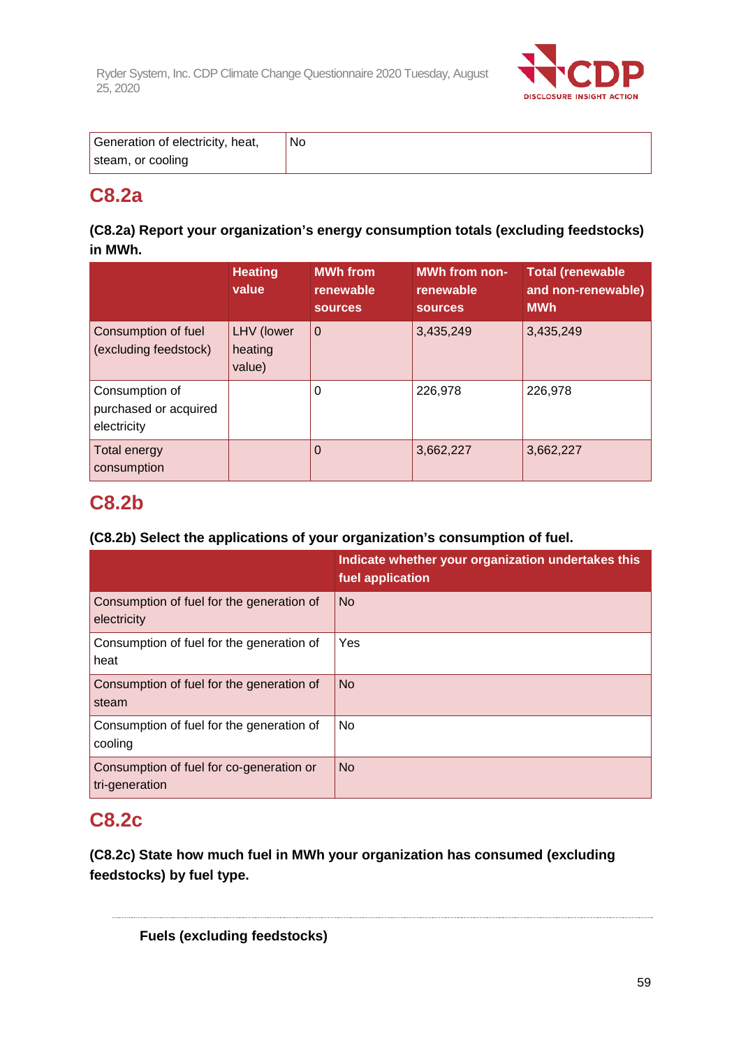

| Generation of electricity, heat, | No. |
|----------------------------------|-----|
| steam, or cooling                |     |

# **C8.2a**

## **(C8.2a) Report your organization's energy consumption totals (excluding feedstocks) in MWh.**

|                                                        | <b>Heating</b><br>value         | <b>MWh from</b><br>renewable<br><b>sources</b> | <b>MWh from non-</b><br>renewable<br><b>SOUrces</b> | <b>Total (renewable</b><br>and non-renewable)<br><b>MWh</b> |
|--------------------------------------------------------|---------------------------------|------------------------------------------------|-----------------------------------------------------|-------------------------------------------------------------|
| Consumption of fuel<br>(excluding feedstock)           | LHV (lower<br>heating<br>value) | $\mathbf 0$                                    | 3,435,249                                           | 3,435,249                                                   |
| Consumption of<br>purchased or acquired<br>electricity |                                 | 0                                              | 226,978                                             | 226,978                                                     |
| <b>Total energy</b><br>consumption                     |                                 | $\Omega$                                       | 3,662,227                                           | 3,662,227                                                   |

# **C8.2b**

## **(C8.2b) Select the applications of your organization's consumption of fuel.**

|                                                            | Indicate whether your organization undertakes this<br>fuel application |
|------------------------------------------------------------|------------------------------------------------------------------------|
| Consumption of fuel for the generation of<br>electricity   | <b>No</b>                                                              |
| Consumption of fuel for the generation of<br>heat          | Yes                                                                    |
| Consumption of fuel for the generation of<br>steam         | <b>No</b>                                                              |
| Consumption of fuel for the generation of<br>cooling       | No                                                                     |
| Consumption of fuel for co-generation or<br>tri-generation | <b>No</b>                                                              |

# **C8.2c**

**(C8.2c) State how much fuel in MWh your organization has consumed (excluding feedstocks) by fuel type.**

**Fuels (excluding feedstocks)**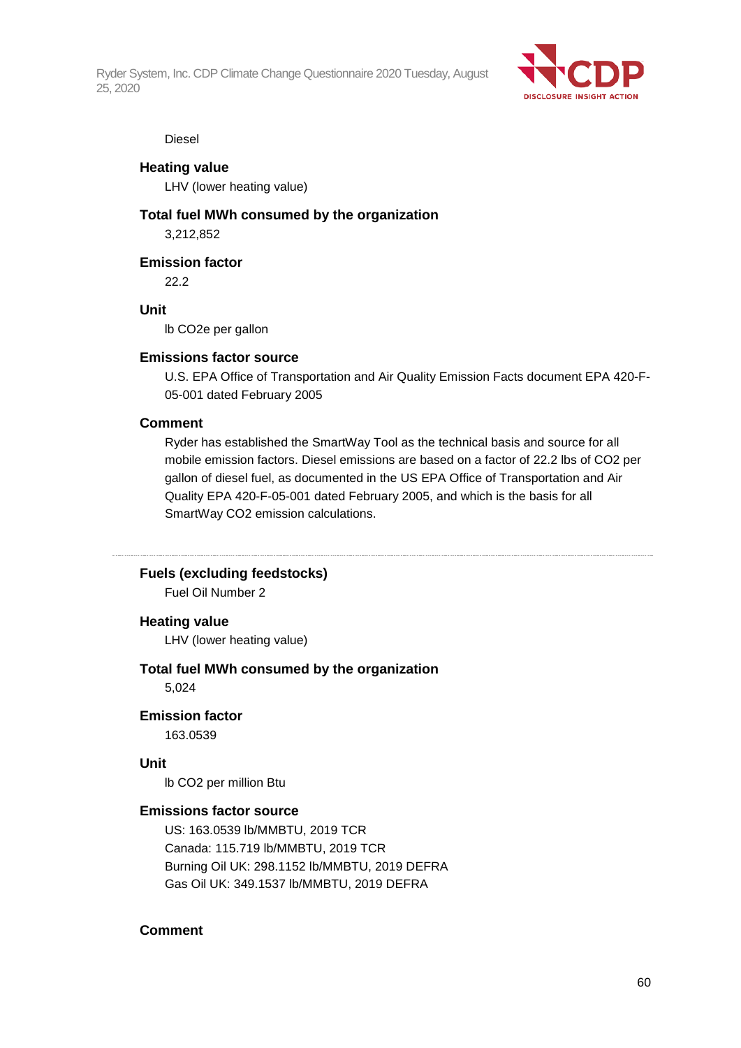

#### Diesel

#### **Heating value**

LHV (lower heating value)

#### **Total fuel MWh consumed by the organization**

3,212,852

**Emission factor**

22.2

### **Unit**

lb CO2e per gallon

#### **Emissions factor source**

U.S. EPA Office of Transportation and Air Quality Emission Facts document EPA 420-F-05-001 dated February 2005

#### **Comment**

Ryder has established the SmartWay Tool as the technical basis and source for all mobile emission factors. Diesel emissions are based on a factor of 22.2 lbs of CO2 per gallon of diesel fuel, as documented in the US EPA Office of Transportation and Air Quality EPA 420-F-05-001 dated February 2005, and which is the basis for all SmartWay CO2 emission calculations.

#### **Fuels (excluding feedstocks)**

Fuel Oil Number 2

#### **Heating value**

LHV (lower heating value)

#### **Total fuel MWh consumed by the organization**

5,024

#### **Emission factor**

163.0539

#### **Unit**

lb CO2 per million Btu

#### **Emissions factor source**

US: 163.0539 lb/MMBTU, 2019 TCR Canada: 115.719 lb/MMBTU, 2019 TCR Burning Oil UK: 298.1152 lb/MMBTU, 2019 DEFRA Gas Oil UK: 349.1537 lb/MMBTU, 2019 DEFRA

#### **Comment**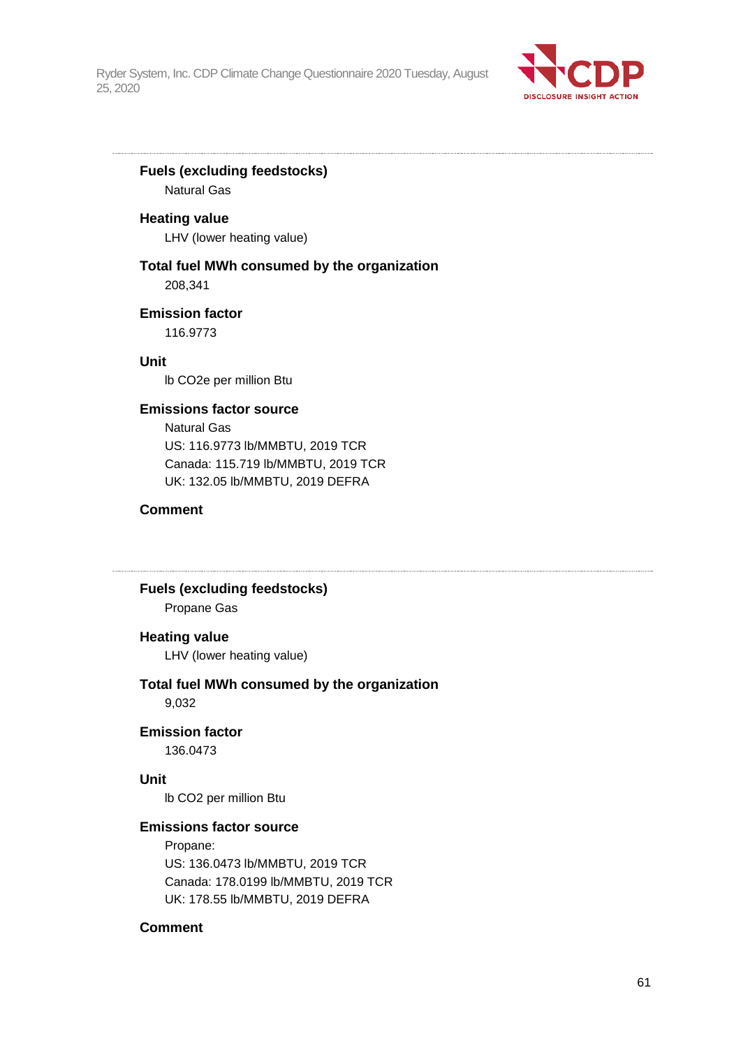

## **Fuels (excluding feedstocks)**

Natural Gas

### **Heating value**

LHV (lower heating value)

## **Total fuel MWh consumed by the organization**

208,341

## **Emission factor**

116.9773

**Unit**

lb CO2e per million Btu

## **Emissions factor source**

Natural Gas US: 116.9773 lb/MMBTU, 2019 TCR Canada: 115.719 lb/MMBTU, 2019 TCR UK: 132.05 lb/MMBTU, 2019 DEFRA

## **Comment**

## **Fuels (excluding feedstocks)**

Propane Gas

## **Heating value**

LHV (lower heating value)

# **Total fuel MWh consumed by the organization**

9,032

## **Emission factor**

136.0473

#### **Unit**

lb CO2 per million Btu

## **Emissions factor source**

Propane: US: 136.0473 lb/MMBTU, 2019 TCR Canada: 178.0199 lb/MMBTU, 2019 TCR UK: 178.55 lb/MMBTU, 2019 DEFRA

## **Comment**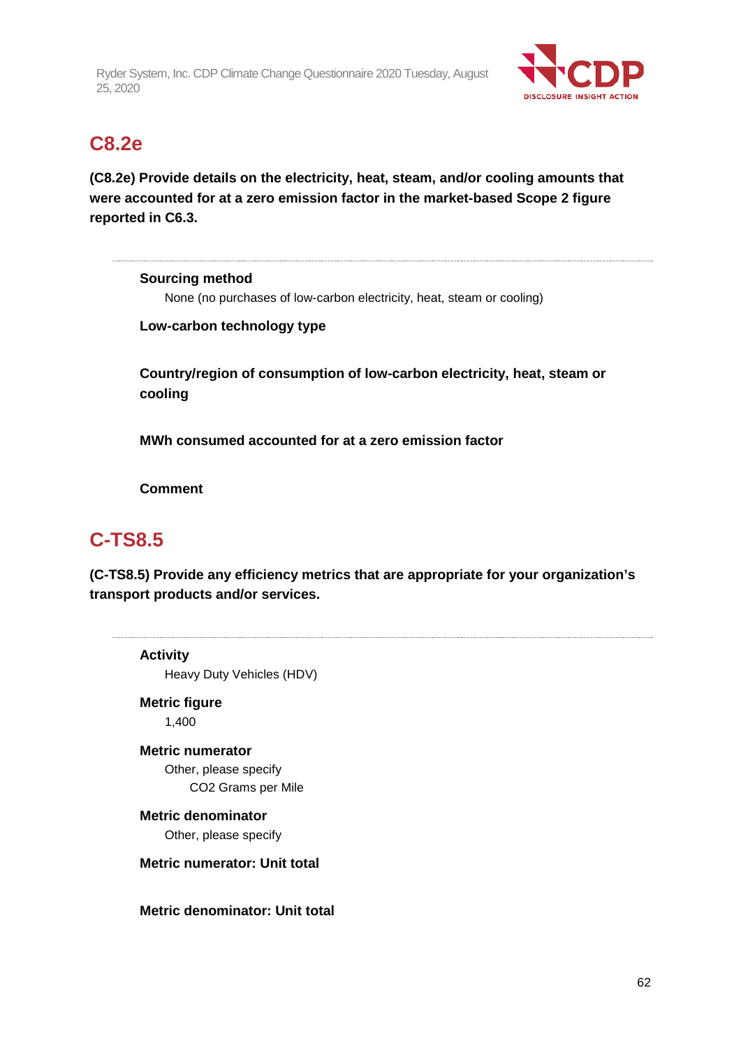

## **C8.2e**

**(C8.2e) Provide details on the electricity, heat, steam, and/or cooling amounts that were accounted for at a zero emission factor in the market-based Scope 2 figure reported in C6.3.**

**Sourcing method** None (no purchases of low-carbon electricity, heat, steam or cooling)

**Low-carbon technology type**

**Country/region of consumption of low-carbon electricity, heat, steam or cooling**

**MWh consumed accounted for at a zero emission factor**

**Comment**

# **C-TS8.5**

**(C-TS8.5) Provide any efficiency metrics that are appropriate for your organization's transport products and/or services.**

**Activity** Heavy Duty Vehicles (HDV) **Metric figure** 1,400 **Metric numerator** Other, please specify

CO2 Grams per Mile

**Metric denominator** Other, please specify

**Metric numerator: Unit total**

**Metric denominator: Unit total**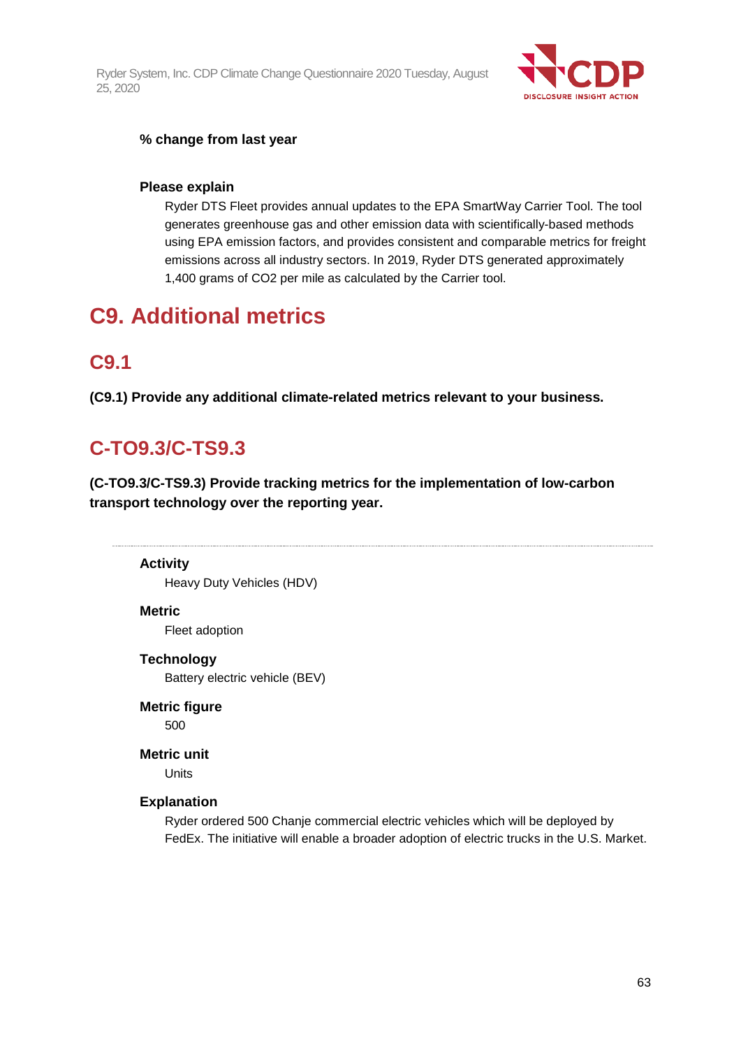

## **% change from last year**

### **Please explain**

Ryder DTS Fleet provides annual updates to the EPA SmartWay Carrier Tool. The tool generates greenhouse gas and other emission data with scientifically-based methods using EPA emission factors, and provides consistent and comparable metrics for freight emissions across all industry sectors. In 2019, Ryder DTS generated approximately 1,400 grams of CO2 per mile as calculated by the Carrier tool.

# **C9. Additional metrics**

## **C9.1**

**(C9.1) Provide any additional climate-related metrics relevant to your business.**

# **C-TO9.3/C-TS9.3**

**(C-TO9.3/C-TS9.3) Provide tracking metrics for the implementation of low-carbon transport technology over the reporting year.**

**Activity** Heavy Duty Vehicles (HDV)

#### **Metric**

Fleet adoption

#### **Technology**

Battery electric vehicle (BEV)

**Metric figure**

500

#### **Metric unit**

**Units** 

### **Explanation**

Ryder ordered 500 Chanje commercial electric vehicles which will be deployed by FedEx. The initiative will enable a broader adoption of electric trucks in the U.S. Market.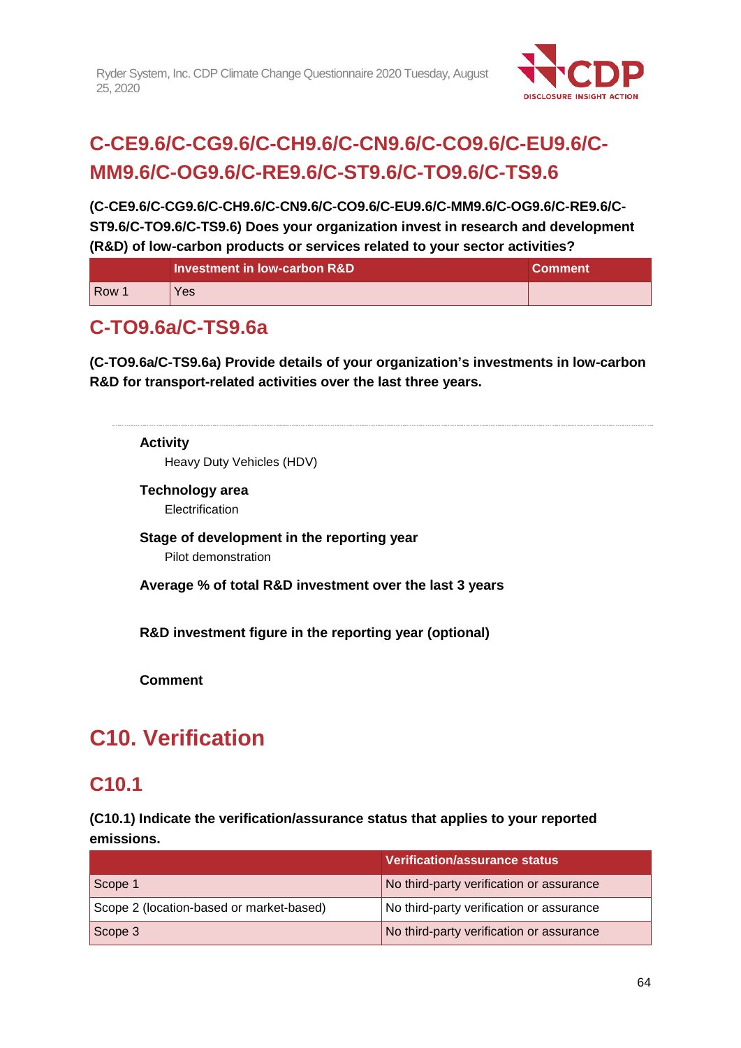

# **C-CE9.6/C-CG9.6/C-CH9.6/C-CN9.6/C-CO9.6/C-EU9.6/C-MM9.6/C-OG9.6/C-RE9.6/C-ST9.6/C-TO9.6/C-TS9.6**

**(C-CE9.6/C-CG9.6/C-CH9.6/C-CN9.6/C-CO9.6/C-EU9.6/C-MM9.6/C-OG9.6/C-RE9.6/C-ST9.6/C-TO9.6/C-TS9.6) Does your organization invest in research and development (R&D) of low-carbon products or services related to your sector activities?**

|     | Investment in low-carbon R&D | <b>Comment</b> |
|-----|------------------------------|----------------|
| Row | Yes                          |                |

# **C-TO9.6a/C-TS9.6a**

**(C-TO9.6a/C-TS9.6a) Provide details of your organization's investments in low-carbon R&D for transport-related activities over the last three years.**

# **Activity** Heavy Duty Vehicles (HDV) **Technology area** Electrification **Stage of development in the reporting year** Pilot demonstration **Average % of total R&D investment over the last 3 years R&D investment figure in the reporting year (optional) Comment**

# **C10. Verification**

# **C10.1**

**(C10.1) Indicate the verification/assurance status that applies to your reported emissions.**

|                                          | <b>Verification/assurance status</b>     |
|------------------------------------------|------------------------------------------|
| Scope 1                                  | No third-party verification or assurance |
| Scope 2 (location-based or market-based) | No third-party verification or assurance |
| Scope 3                                  | No third-party verification or assurance |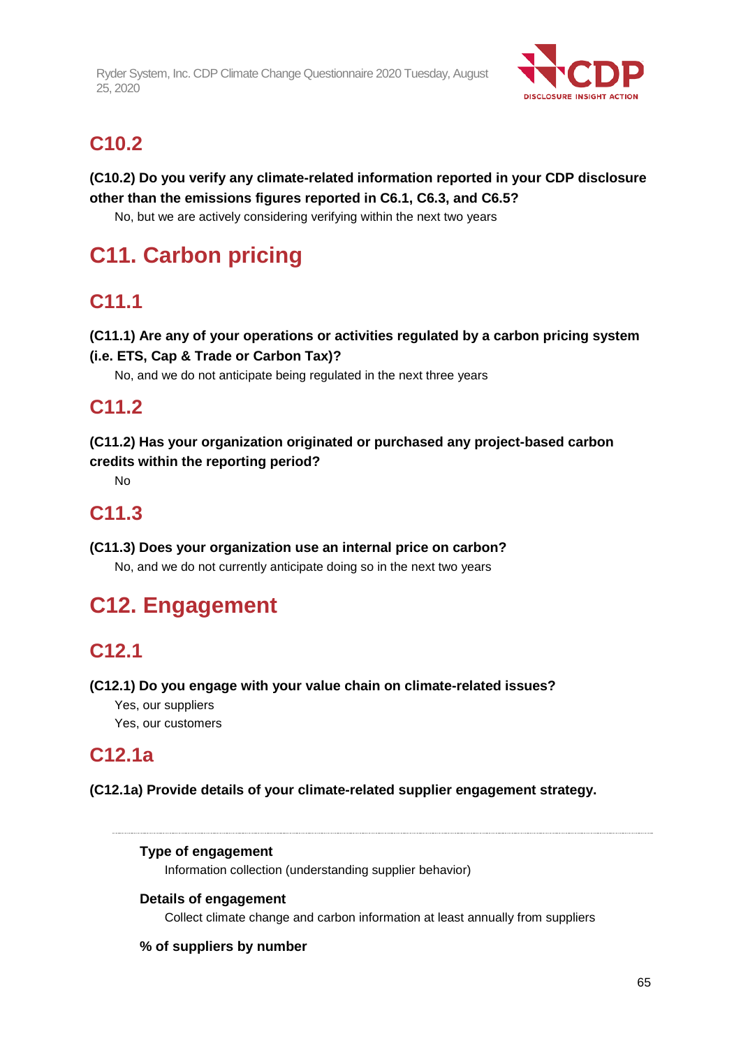

# **C10.2**

**(C10.2) Do you verify any climate-related information reported in your CDP disclosure other than the emissions figures reported in C6.1, C6.3, and C6.5?**

No, but we are actively considering verifying within the next two years

# **C11. Carbon pricing**

# **C11.1**

**(C11.1) Are any of your operations or activities regulated by a carbon pricing system** 

## **(i.e. ETS, Cap & Trade or Carbon Tax)?**

No, and we do not anticipate being regulated in the next three years

# **C11.2**

**(C11.2) Has your organization originated or purchased any project-based carbon credits within the reporting period?**

No

# **C11.3**

**(C11.3) Does your organization use an internal price on carbon?** No, and we do not currently anticipate doing so in the next two years

# **C12. Engagement**

# **C12.1**

## **(C12.1) Do you engage with your value chain on climate-related issues?**

Yes, our suppliers

Yes, our customers

## **C12.1a**

## **(C12.1a) Provide details of your climate-related supplier engagement strategy.**

## **Type of engagement**

Information collection (understanding supplier behavior)

## **Details of engagement**

Collect climate change and carbon information at least annually from suppliers

## **% of suppliers by number**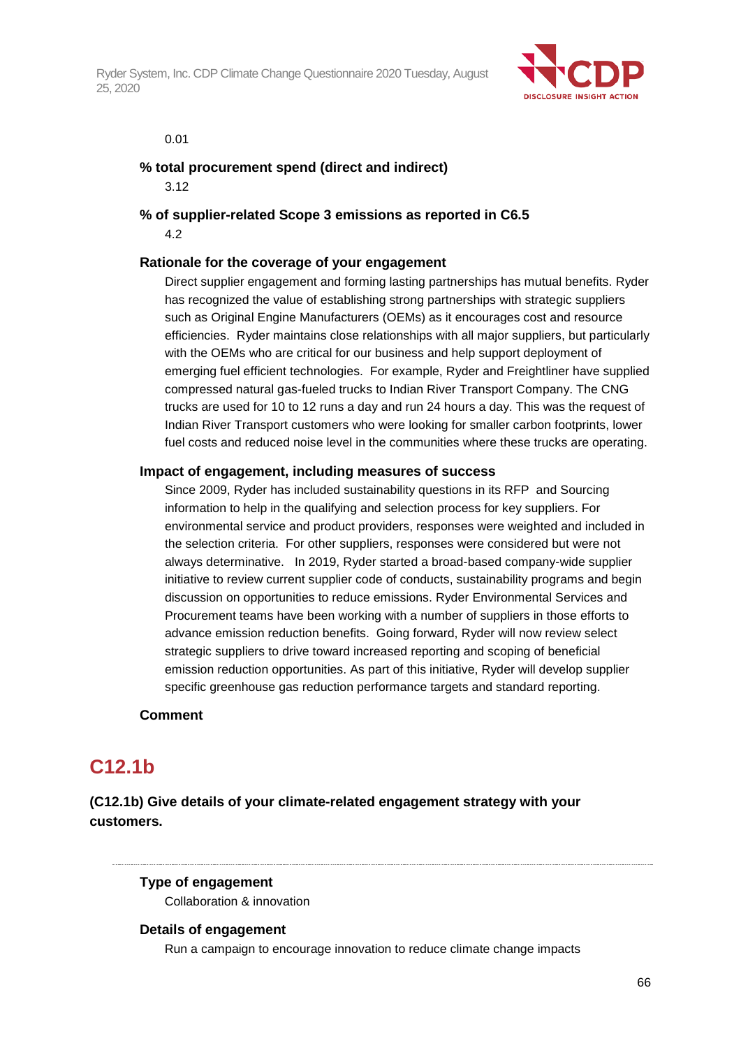

#### 0.01

## **% total procurement spend (direct and indirect)**

3.12

**% of supplier-related Scope 3 emissions as reported in C6.5** 4.2

### **Rationale for the coverage of your engagement**

Direct supplier engagement and forming lasting partnerships has mutual benefits. Ryder has recognized the value of establishing strong partnerships with strategic suppliers such as Original Engine Manufacturers (OEMs) as it encourages cost and resource efficiencies. Ryder maintains close relationships with all major suppliers, but particularly with the OEMs who are critical for our business and help support deployment of emerging fuel efficient technologies. For example, Ryder and Freightliner have supplied compressed natural gas-fueled trucks to Indian River Transport Company. The CNG trucks are used for 10 to 12 runs a day and run 24 hours a day. This was the request of Indian River Transport customers who were looking for smaller carbon footprints, lower fuel costs and reduced noise level in the communities where these trucks are operating.

#### **Impact of engagement, including measures of success**

Since 2009, Ryder has included sustainability questions in its RFP and Sourcing information to help in the qualifying and selection process for key suppliers. For environmental service and product providers, responses were weighted and included in the selection criteria. For other suppliers, responses were considered but were not always determinative. In 2019, Ryder started a broad-based company-wide supplier initiative to review current supplier code of conducts, sustainability programs and begin discussion on opportunities to reduce emissions. Ryder Environmental Services and Procurement teams have been working with a number of suppliers in those efforts to advance emission reduction benefits. Going forward, Ryder will now review select strategic suppliers to drive toward increased reporting and scoping of beneficial emission reduction opportunities. As part of this initiative, Ryder will develop supplier specific greenhouse gas reduction performance targets and standard reporting.

#### **Comment**

# **C12.1b**

**(C12.1b) Give details of your climate-related engagement strategy with your customers.**

#### **Type of engagement**

Collaboration & innovation

#### **Details of engagement**

Run a campaign to encourage innovation to reduce climate change impacts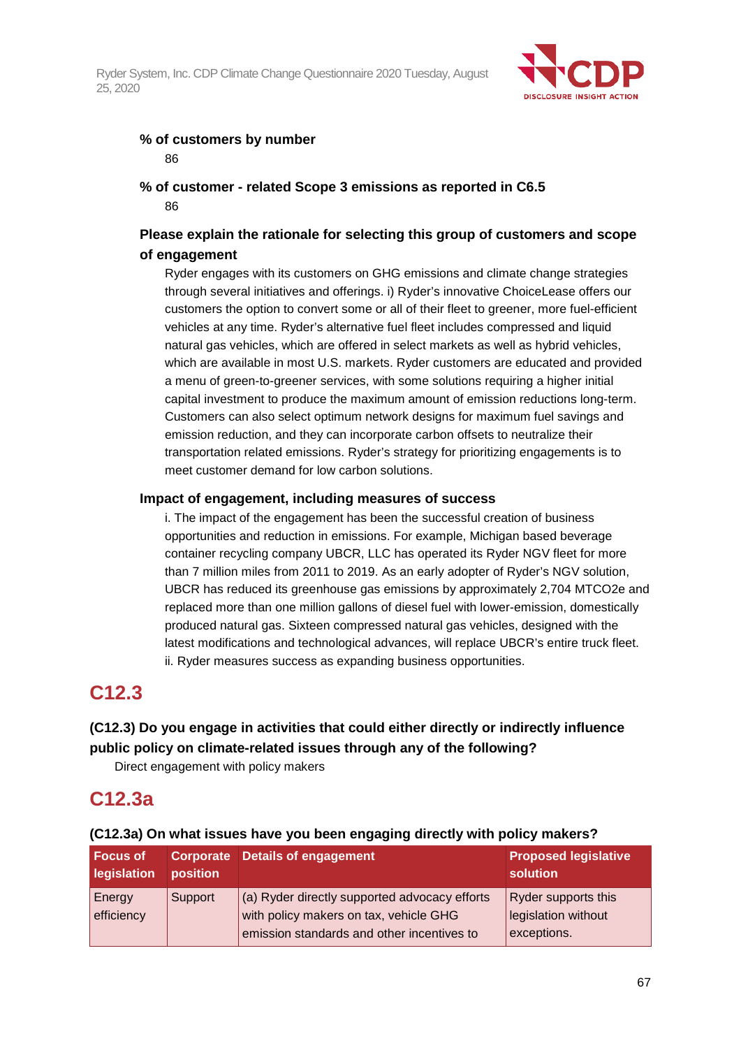

## **% of customers by number** 86

## **% of customer - related Scope 3 emissions as reported in C6.5** 86

## **Please explain the rationale for selecting this group of customers and scope of engagement**

Ryder engages with its customers on GHG emissions and climate change strategies through several initiatives and offerings. i) Ryder's innovative ChoiceLease offers our customers the option to convert some or all of their fleet to greener, more fuel-efficient vehicles at any time. Ryder's alternative fuel fleet includes compressed and liquid natural gas vehicles, which are offered in select markets as well as hybrid vehicles, which are available in most U.S. markets. Ryder customers are educated and provided a menu of green-to-greener services, with some solutions requiring a higher initial capital investment to produce the maximum amount of emission reductions long-term. Customers can also select optimum network designs for maximum fuel savings and emission reduction, and they can incorporate carbon offsets to neutralize their transportation related emissions. Ryder's strategy for prioritizing engagements is to meet customer demand for low carbon solutions.

## **Impact of engagement, including measures of success**

i. The impact of the engagement has been the successful creation of business opportunities and reduction in emissions. For example, Michigan based beverage container recycling company UBCR, LLC has operated its Ryder NGV fleet for more than 7 million miles from 2011 to 2019. As an early adopter of Ryder's NGV solution, UBCR has reduced its greenhouse gas emissions by approximately 2,704 MTCO2e and replaced more than one million gallons of diesel fuel with lower-emission, domestically produced natural gas. Sixteen compressed natural gas vehicles, designed with the latest modifications and technological advances, will replace UBCR's entire truck fleet. ii. Ryder measures success as expanding business opportunities.

# **C12.3**

## **(C12.3) Do you engage in activities that could either directly or indirectly influence public policy on climate-related issues through any of the following?**

Direct engagement with policy makers

# **C12.3a**

| <b>Focus of</b><br>legislation | position | Corporate Details of engagement                                                                                                       | <b>Proposed legislative</b><br>solution                   |
|--------------------------------|----------|---------------------------------------------------------------------------------------------------------------------------------------|-----------------------------------------------------------|
| Energy<br>efficiency           | Support  | (a) Ryder directly supported advocacy efforts<br>with policy makers on tax, vehicle GHG<br>emission standards and other incentives to | Ryder supports this<br>legislation without<br>exceptions. |

## **(C12.3a) On what issues have you been engaging directly with policy makers?**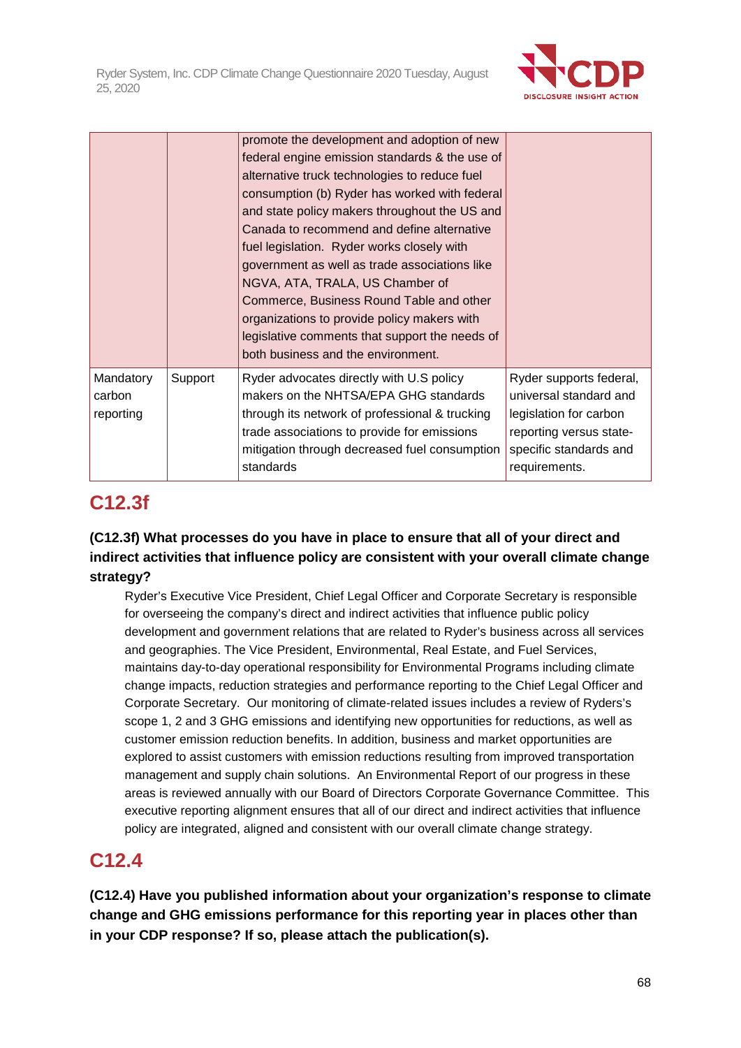

|                                  |         | promote the development and adoption of new<br>federal engine emission standards & the use of<br>alternative truck technologies to reduce fuel<br>consumption (b) Ryder has worked with federal<br>and state policy makers throughout the US and<br>Canada to recommend and define alternative<br>fuel legislation. Ryder works closely with<br>government as well as trade associations like<br>NGVA, ATA, TRALA, US Chamber of<br>Commerce, Business Round Table and other<br>organizations to provide policy makers with<br>legislative comments that support the needs of |                                                                                                                                                   |
|----------------------------------|---------|-------------------------------------------------------------------------------------------------------------------------------------------------------------------------------------------------------------------------------------------------------------------------------------------------------------------------------------------------------------------------------------------------------------------------------------------------------------------------------------------------------------------------------------------------------------------------------|---------------------------------------------------------------------------------------------------------------------------------------------------|
|                                  |         | both business and the environment.                                                                                                                                                                                                                                                                                                                                                                                                                                                                                                                                            |                                                                                                                                                   |
| Mandatory<br>carbon<br>reporting | Support | Ryder advocates directly with U.S policy<br>makers on the NHTSA/EPA GHG standards<br>through its network of professional & trucking<br>trade associations to provide for emissions<br>mitigation through decreased fuel consumption<br>standards                                                                                                                                                                                                                                                                                                                              | Ryder supports federal,<br>universal standard and<br>legislation for carbon<br>reporting versus state-<br>specific standards and<br>requirements. |

# **C12.3f**

## **(C12.3f) What processes do you have in place to ensure that all of your direct and indirect activities that influence policy are consistent with your overall climate change strategy?**

Ryder's Executive Vice President, Chief Legal Officer and Corporate Secretary is responsible for overseeing the company's direct and indirect activities that influence public policy development and government relations that are related to Ryder's business across all services and geographies. The Vice President, Environmental, Real Estate, and Fuel Services, maintains day-to-day operational responsibility for Environmental Programs including climate change impacts, reduction strategies and performance reporting to the Chief Legal Officer and Corporate Secretary. Our monitoring of climate-related issues includes a review of Ryders's scope 1, 2 and 3 GHG emissions and identifying new opportunities for reductions, as well as customer emission reduction benefits. In addition, business and market opportunities are explored to assist customers with emission reductions resulting from improved transportation management and supply chain solutions. An Environmental Report of our progress in these areas is reviewed annually with our Board of Directors Corporate Governance Committee. This executive reporting alignment ensures that all of our direct and indirect activities that influence policy are integrated, aligned and consistent with our overall climate change strategy.

# **C12.4**

**(C12.4) Have you published information about your organization's response to climate change and GHG emissions performance for this reporting year in places other than in your CDP response? If so, please attach the publication(s).**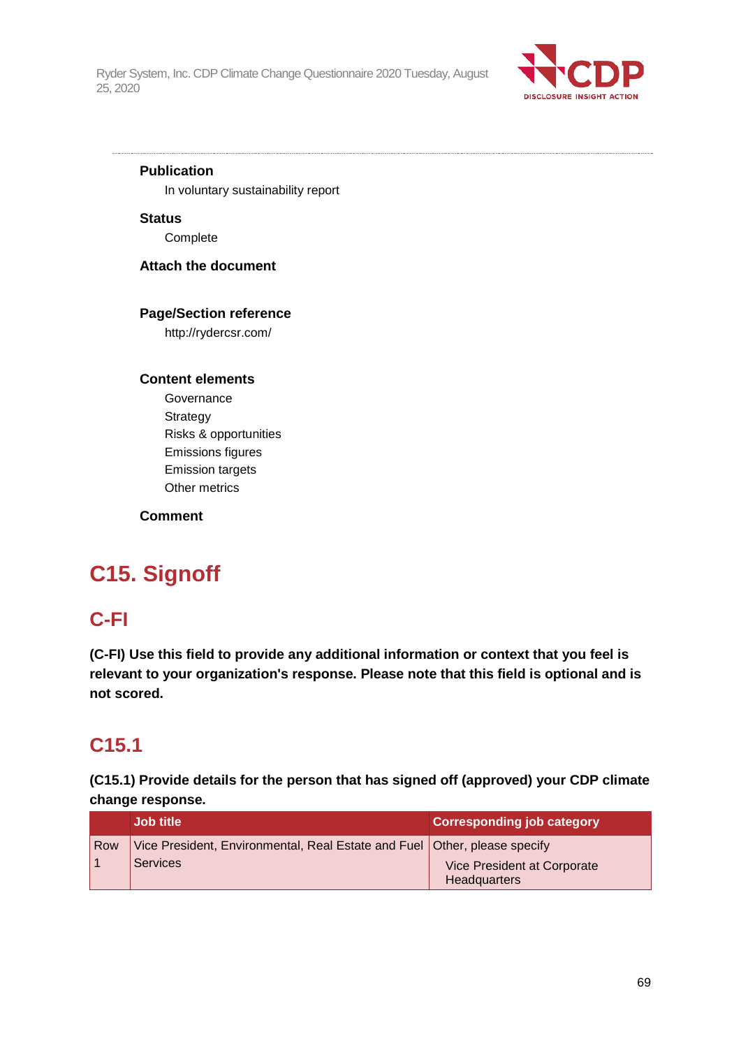

## **Publication**

In voluntary sustainability report

**Status** Complete

**Attach the document**

## **Page/Section reference**

http://rydercsr.com/

### **Content elements**

**Governance** Strategy Risks & opportunities Emissions figures Emission targets Other metrics

## **Comment**

# **C15. Signoff**

# **C-FI**

**(C-FI) Use this field to provide any additional information or context that you feel is relevant to your organization's response. Please note that this field is optional and is not scored.**

# **C15.1**

**(C15.1) Provide details for the person that has signed off (approved) your CDP climate change response.**

|            | <b>Job title</b>                                                          | <b>Corresponding job category</b>           |
|------------|---------------------------------------------------------------------------|---------------------------------------------|
| <b>Row</b> | Vice President, Environmental, Real Estate and Fuel Other, please specify |                                             |
|            | <b>Services</b>                                                           | Vice President at Corporate<br>Headquarters |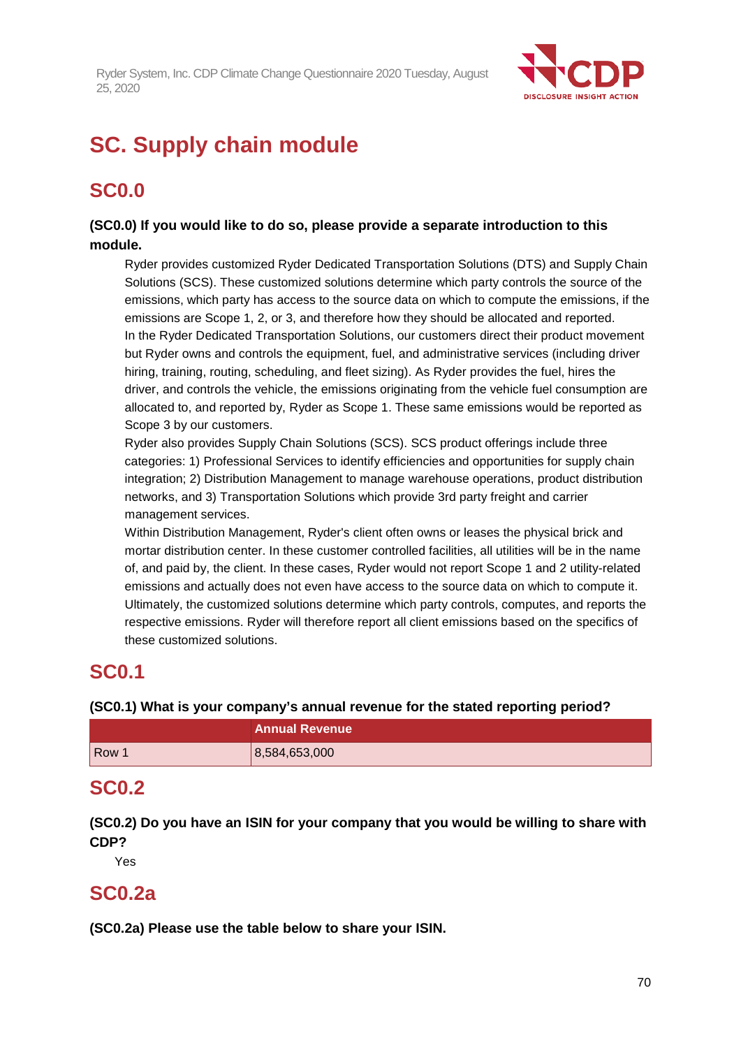

# **SC. Supply chain module**

# **SC0.0**

## **(SC0.0) If you would like to do so, please provide a separate introduction to this module.**

Ryder provides customized Ryder Dedicated Transportation Solutions (DTS) and Supply Chain Solutions (SCS). These customized solutions determine which party controls the source of the emissions, which party has access to the source data on which to compute the emissions, if the emissions are Scope 1, 2, or 3, and therefore how they should be allocated and reported. In the Ryder Dedicated Transportation Solutions, our customers direct their product movement but Ryder owns and controls the equipment, fuel, and administrative services (including driver hiring, training, routing, scheduling, and fleet sizing). As Ryder provides the fuel, hires the driver, and controls the vehicle, the emissions originating from the vehicle fuel consumption are allocated to, and reported by, Ryder as Scope 1. These same emissions would be reported as Scope 3 by our customers.

Ryder also provides Supply Chain Solutions (SCS). SCS product offerings include three categories: 1) Professional Services to identify efficiencies and opportunities for supply chain integration; 2) Distribution Management to manage warehouse operations, product distribution networks, and 3) Transportation Solutions which provide 3rd party freight and carrier management services.

Within Distribution Management, Ryder's client often owns or leases the physical brick and mortar distribution center. In these customer controlled facilities, all utilities will be in the name of, and paid by, the client. In these cases, Ryder would not report Scope 1 and 2 utility-related emissions and actually does not even have access to the source data on which to compute it. Ultimately, the customized solutions determine which party controls, computes, and reports the respective emissions. Ryder will therefore report all client emissions based on the specifics of these customized solutions.

# **SC0.1**

## **(SC0.1) What is your company's annual revenue for the stated reporting period?**

|       | <b>Annual Revenue</b> |
|-------|-----------------------|
| Row 1 | 8,584,653,000         |

# **SC0.2**

**(SC0.2) Do you have an ISIN for your company that you would be willing to share with CDP?**

Yes

# **SC0.2a**

**(SC0.2a) Please use the table below to share your ISIN.**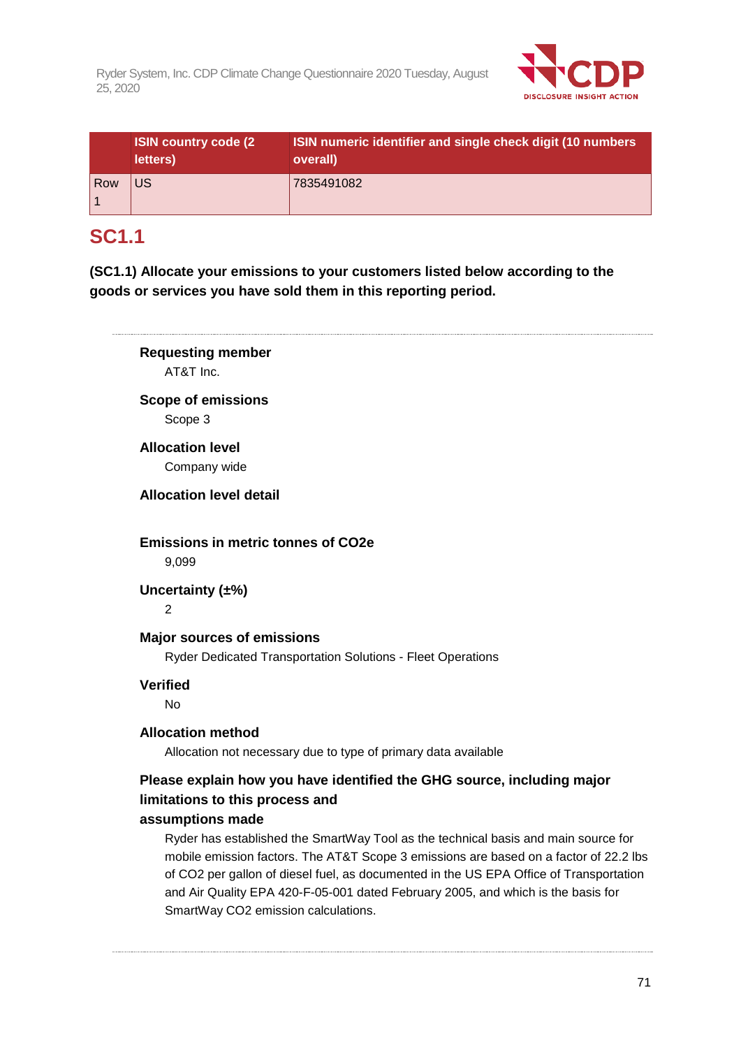

|     | <b>ISIN country code (2)</b><br>letters) | ISIN numeric identifier and single check digit (10 numbers<br>overall) |
|-----|------------------------------------------|------------------------------------------------------------------------|
| Row | US                                       | 7835491082                                                             |

# **SC1.1**

**(SC1.1) Allocate your emissions to your customers listed below according to the goods or services you have sold them in this reporting period.**

**Requesting member** AT&T Inc. **Scope of emissions** Scope 3 **Allocation level** Company wide **Allocation level detail Emissions in metric tonnes of CO2e** 9,099 **Uncertainty (±%)**  $\overline{2}$ **Major sources of emissions** Ryder Dedicated Transportation Solutions - Fleet Operations **Verified** No **Allocation method** Allocation not necessary due to type of primary data available **Please explain how you have identified the GHG source, including major limitations to this process and assumptions made** Ryder has established the SmartWay Tool as the technical basis and main source for mobile emission factors. The AT&T Scope 3 emissions are based on a factor of 22.2 lbs of CO2 per gallon of diesel fuel, as documented in the US EPA Office of Transportation and Air Quality EPA 420-F-05-001 dated February 2005, and which is the basis for

SmartWay CO2 emission calculations.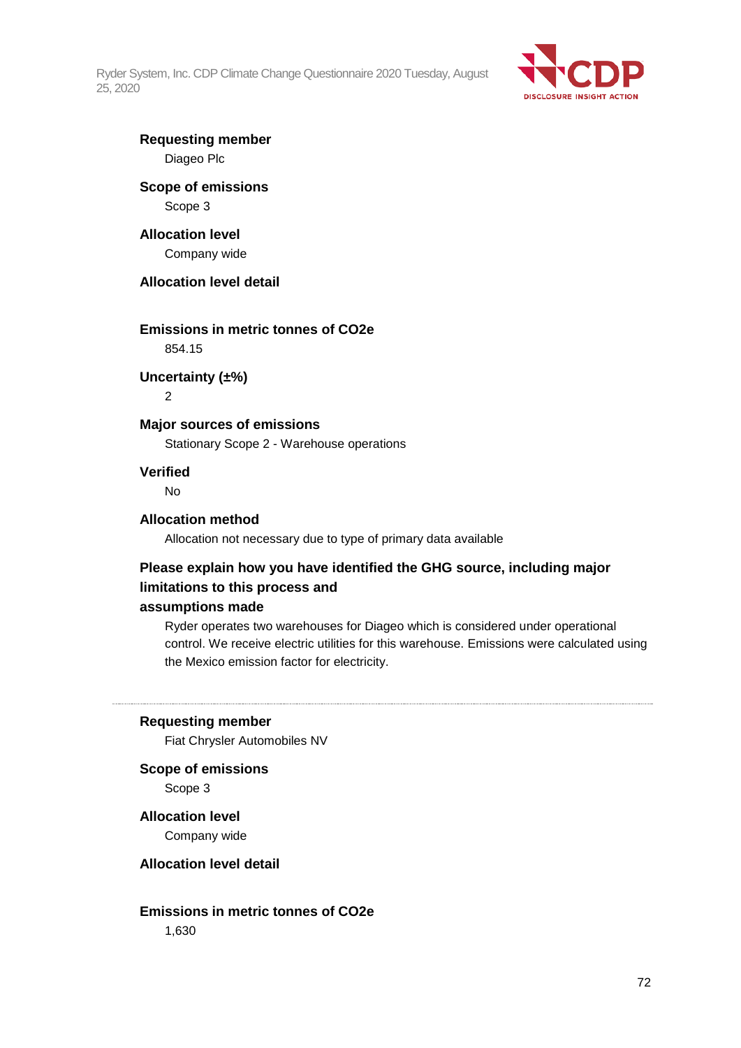

## **Requesting member** Diageo Plc

## **Scope of emissions** Scope 3

# **Allocation level**

Company wide

## **Allocation level detail**

## **Emissions in metric tonnes of CO2e**

854.15

## **Uncertainty (±%)**

 $\mathfrak{D}$ 

## **Major sources of emissions**

Stationary Scope 2 - Warehouse operations

### **Verified**

No

### **Allocation method**

Allocation not necessary due to type of primary data available

## **Please explain how you have identified the GHG source, including major limitations to this process and**

## **assumptions made**

Ryder operates two warehouses for Diageo which is considered under operational control. We receive electric utilities for this warehouse. Emissions were calculated using the Mexico emission factor for electricity.

#### **Requesting member**

Fiat Chrysler Automobiles NV

**Scope of emissions**

Scope 3

## **Allocation level**

Company wide

### **Allocation level detail**

**Emissions in metric tonnes of CO2e** 1,630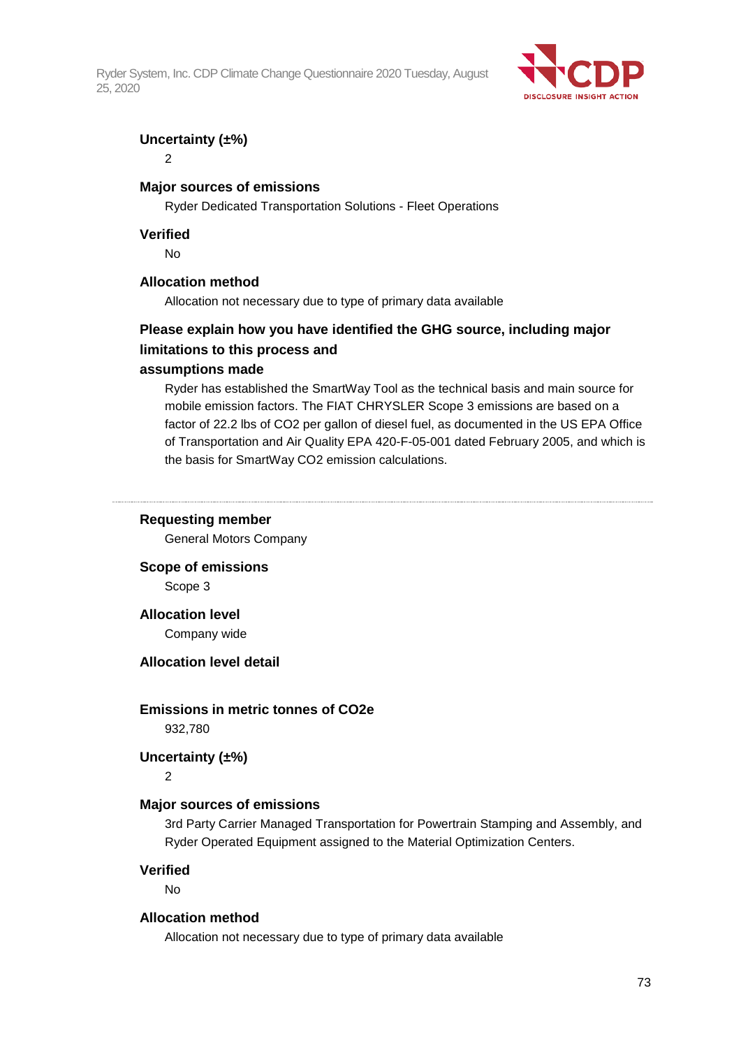Ryder System, Inc. CDP Climate Change Questionnaire 2020 Tuesday, August 25, 2020



### **Uncertainty (±%)**

2

#### **Major sources of emissions**

Ryder Dedicated Transportation Solutions - Fleet Operations

#### **Verified**

No

#### **Allocation method**

Allocation not necessary due to type of primary data available

# **Please explain how you have identified the GHG source, including major limitations to this process and**

#### **assumptions made**

Ryder has established the SmartWay Tool as the technical basis and main source for mobile emission factors. The FIAT CHRYSLER Scope 3 emissions are based on a factor of 22.2 lbs of CO2 per gallon of diesel fuel, as documented in the US EPA Office of Transportation and Air Quality EPA 420-F-05-001 dated February 2005, and which is the basis for SmartWay CO2 emission calculations.

#### **Requesting member**

General Motors Company

**Scope of emissions**

Scope 3

#### **Allocation level**

Company wide

#### **Allocation level detail**

#### **Emissions in metric tonnes of CO2e**

932,780

### **Uncertainty (±%)**

 $\overline{2}$ 

#### **Major sources of emissions**

3rd Party Carrier Managed Transportation for Powertrain Stamping and Assembly, and Ryder Operated Equipment assigned to the Material Optimization Centers.

#### **Verified**

No

#### **Allocation method**

Allocation not necessary due to type of primary data available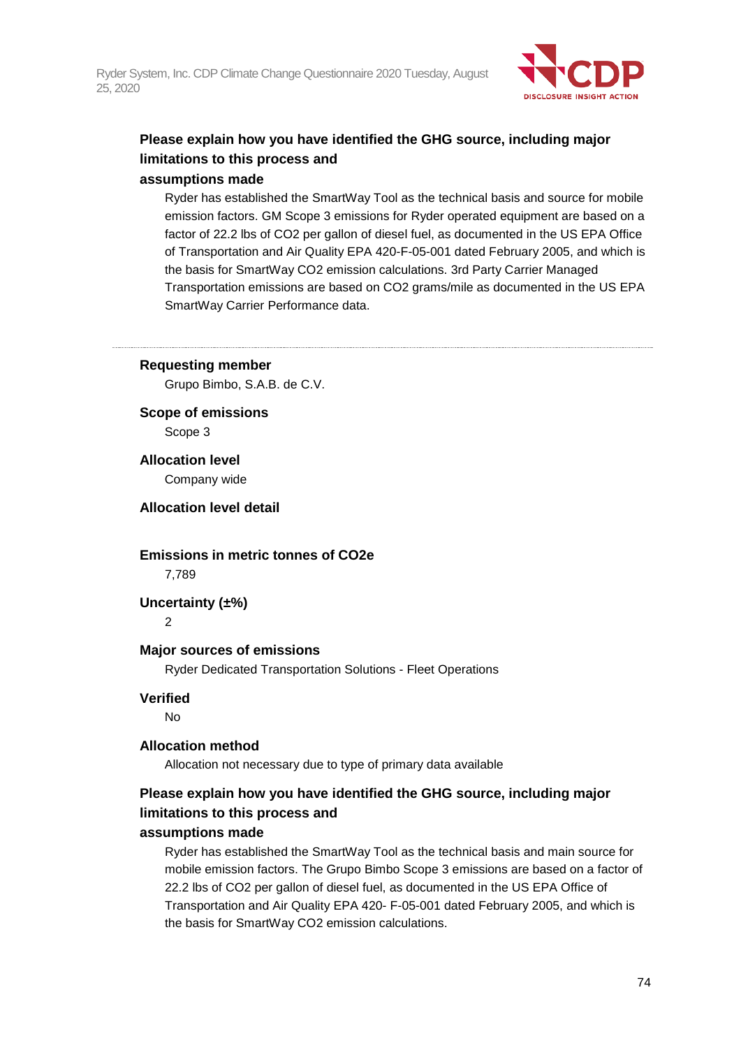

# **Please explain how you have identified the GHG source, including major limitations to this process and**

## **assumptions made**

Ryder has established the SmartWay Tool as the technical basis and source for mobile emission factors. GM Scope 3 emissions for Ryder operated equipment are based on a factor of 22.2 lbs of CO2 per gallon of diesel fuel, as documented in the US EPA Office of Transportation and Air Quality EPA 420-F-05-001 dated February 2005, and which is the basis for SmartWay CO2 emission calculations. 3rd Party Carrier Managed Transportation emissions are based on CO2 grams/mile as documented in the US EPA SmartWay Carrier Performance data.

#### **Requesting member**

Grupo Bimbo, S.A.B. de C.V.

**Scope of emissions** Scope 3

**Allocation level**

Company wide

#### **Allocation level detail**

# **Emissions in metric tonnes of CO2e**

7,789

**Uncertainty (±%)**

 $\overline{2}$ 

## **Major sources of emissions**

Ryder Dedicated Transportation Solutions - Fleet Operations

#### **Verified**

No

#### **Allocation method**

Allocation not necessary due to type of primary data available

# **Please explain how you have identified the GHG source, including major limitations to this process and**

#### **assumptions made**

Ryder has established the SmartWay Tool as the technical basis and main source for mobile emission factors. The Grupo Bimbo Scope 3 emissions are based on a factor of 22.2 lbs of CO2 per gallon of diesel fuel, as documented in the US EPA Office of Transportation and Air Quality EPA 420- F-05-001 dated February 2005, and which is the basis for SmartWay CO2 emission calculations.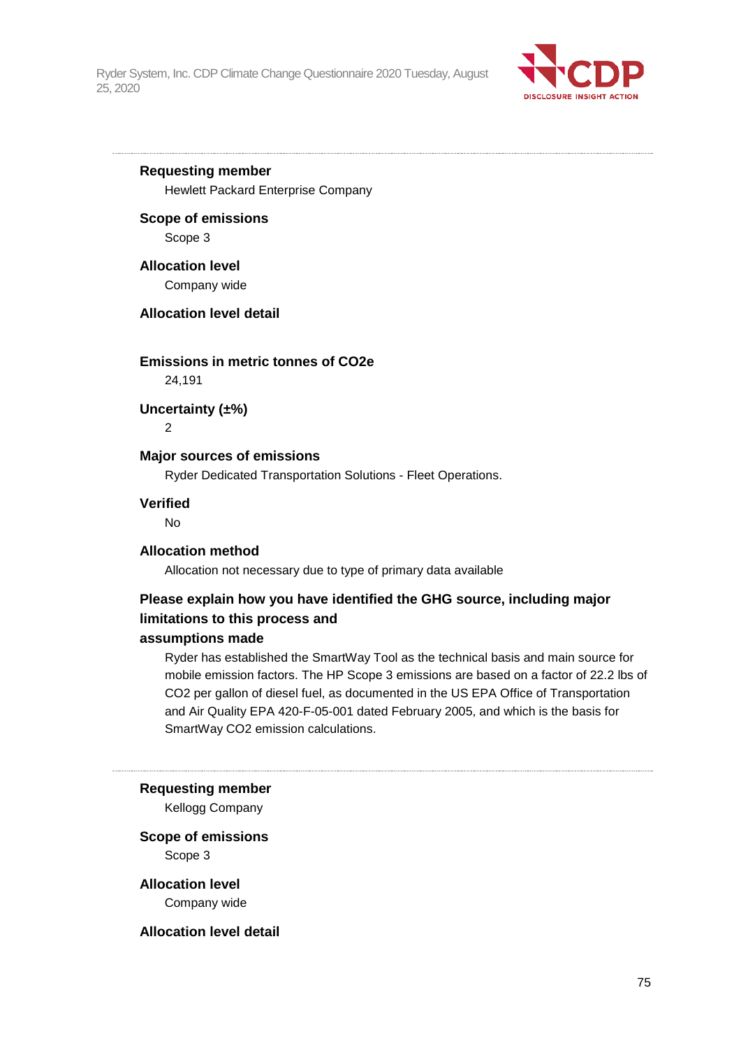

# **Requesting member**

Hewlett Packard Enterprise Company

#### **Scope of emissions**

Scope 3

#### **Allocation level**

Company wide

#### **Allocation level detail**

#### **Emissions in metric tonnes of CO2e**

24,191

**Uncertainty (±%)**

2

### **Major sources of emissions**

Ryder Dedicated Transportation Solutions - Fleet Operations.

#### **Verified**

No

#### **Allocation method**

Allocation not necessary due to type of primary data available

# **Please explain how you have identified the GHG source, including major limitations to this process and**

#### **assumptions made**

Ryder has established the SmartWay Tool as the technical basis and main source for mobile emission factors. The HP Scope 3 emissions are based on a factor of 22.2 lbs of CO2 per gallon of diesel fuel, as documented in the US EPA Office of Transportation and Air Quality EPA 420-F-05-001 dated February 2005, and which is the basis for SmartWay CO2 emission calculations.

#### **Requesting member**

Kellogg Company

#### **Scope of emissions** Scope 3

**Allocation level**

Company wide

#### **Allocation level detail**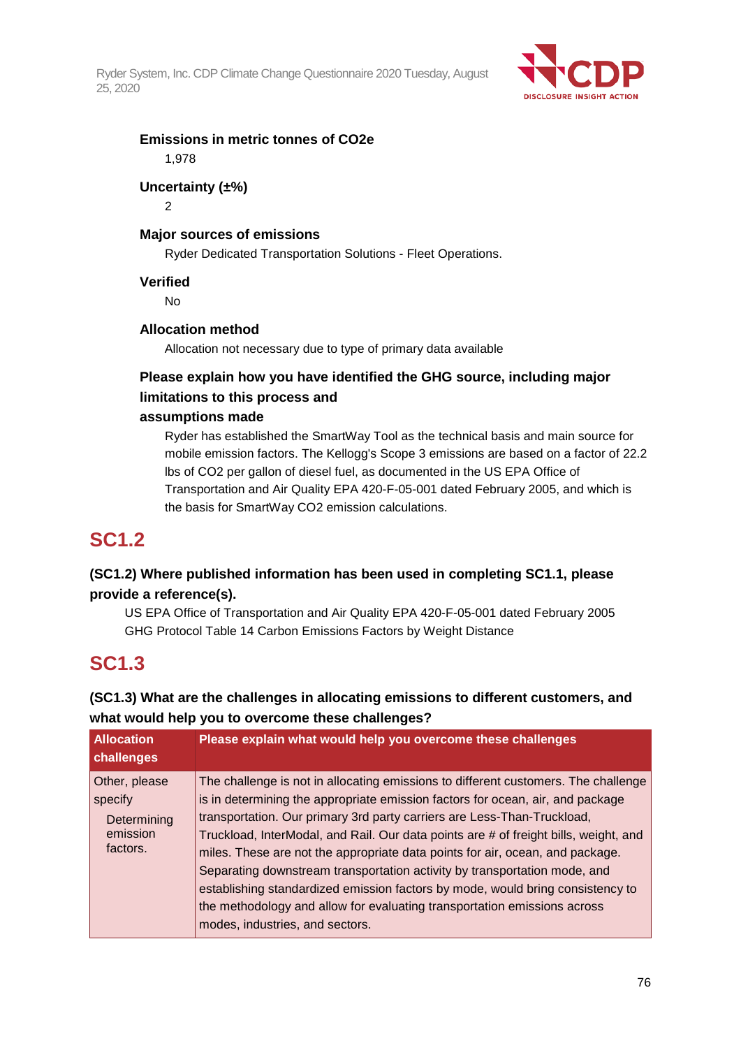Ryder System, Inc. CDP Climate Change Questionnaire 2020 Tuesday, August 25, 2020



## **Emissions in metric tonnes of CO2e** 1,978

# **Uncertainty (±%)**

2

# **Major sources of emissions**

Ryder Dedicated Transportation Solutions - Fleet Operations.

# **Verified**

No

# **Allocation method**

Allocation not necessary due to type of primary data available

# **Please explain how you have identified the GHG source, including major limitations to this process and**

## **assumptions made**

Ryder has established the SmartWay Tool as the technical basis and main source for mobile emission factors. The Kellogg's Scope 3 emissions are based on a factor of 22.2 lbs of CO2 per gallon of diesel fuel, as documented in the US EPA Office of Transportation and Air Quality EPA 420-F-05-001 dated February 2005, and which is the basis for SmartWay CO2 emission calculations.

# **SC1.2**

# **(SC1.2) Where published information has been used in completing SC1.1, please provide a reference(s).**

US EPA Office of Transportation and Air Quality EPA 420-F-05-001 dated February 2005 GHG Protocol Table 14 Carbon Emissions Factors by Weight Distance

# **SC1.3**

**(SC1.3) What are the challenges in allocating emissions to different customers, and what would help you to overcome these challenges?**

| <b>Allocation</b><br>challenges                                 | Please explain what would help you overcome these challenges                                                                                                                                                                                                                                                                                                                                                                                                                                                                                                                                                                                                                                           |
|-----------------------------------------------------------------|--------------------------------------------------------------------------------------------------------------------------------------------------------------------------------------------------------------------------------------------------------------------------------------------------------------------------------------------------------------------------------------------------------------------------------------------------------------------------------------------------------------------------------------------------------------------------------------------------------------------------------------------------------------------------------------------------------|
| Other, please<br>specify<br>Determining<br>emission<br>factors. | The challenge is not in allocating emissions to different customers. The challenge<br>is in determining the appropriate emission factors for ocean, air, and package<br>transportation. Our primary 3rd party carriers are Less-Than-Truckload,<br>Truckload, InterModal, and Rail. Our data points are # of freight bills, weight, and<br>miles. These are not the appropriate data points for air, ocean, and package.<br>Separating downstream transportation activity by transportation mode, and<br>establishing standardized emission factors by mode, would bring consistency to<br>the methodology and allow for evaluating transportation emissions across<br>modes, industries, and sectors. |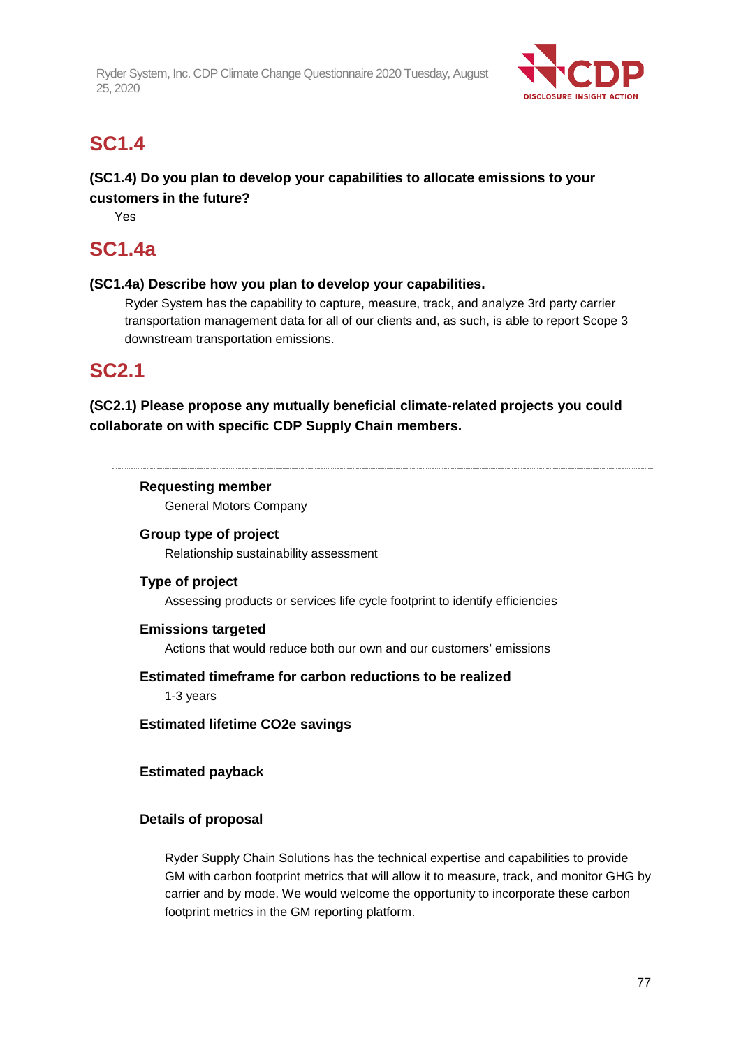Ryder System, Inc. CDP Climate Change Questionnaire 2020 Tuesday, August 25, 2020



# **SC1.4**

# **(SC1.4) Do you plan to develop your capabilities to allocate emissions to your customers in the future?**

Yes

# **SC1.4a**

# **(SC1.4a) Describe how you plan to develop your capabilities.**

Ryder System has the capability to capture, measure, track, and analyze 3rd party carrier transportation management data for all of our clients and, as such, is able to report Scope 3 downstream transportation emissions.

# **SC2.1**

# **(SC2.1) Please propose any mutually beneficial climate-related projects you could collaborate on with specific CDP Supply Chain members.**

# **Requesting member**

General Motors Company

## **Group type of project**

Relationship sustainability assessment

## **Type of project**

Assessing products or services life cycle footprint to identify efficiencies

## **Emissions targeted**

Actions that would reduce both our own and our customers' emissions

## **Estimated timeframe for carbon reductions to be realized**

1-3 years

**Estimated lifetime CO2e savings**

# **Estimated payback**

# **Details of proposal**

Ryder Supply Chain Solutions has the technical expertise and capabilities to provide GM with carbon footprint metrics that will allow it to measure, track, and monitor GHG by carrier and by mode. We would welcome the opportunity to incorporate these carbon footprint metrics in the GM reporting platform.